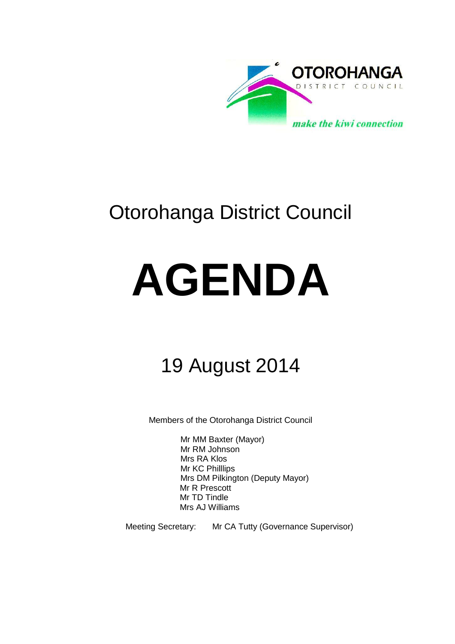

# Otorohanga District Council

# **AGENDA**

# 19 August 2014

Members of the Otorohanga District Council

Mr MM Baxter (Mayor) Mr RM Johnson Mrs RA Klos Mr KC Philllips Mrs DM Pilkington (Deputy Mayor) Mr R Prescott Mr TD Tindle Mrs AJ Williams

Meeting Secretary: Mr CA Tutty (Governance Supervisor)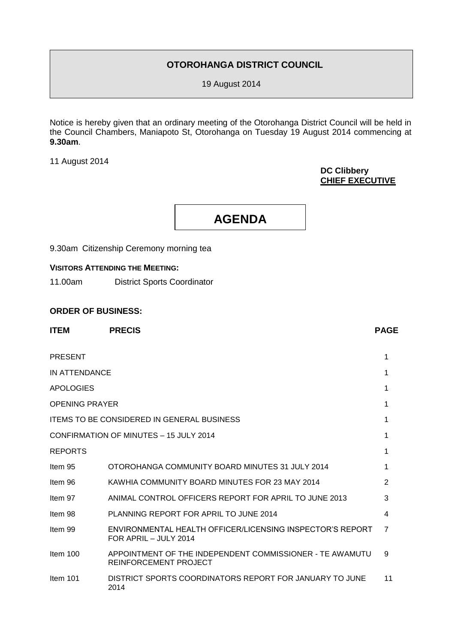### **OTOROHANGA DISTRICT COUNCIL**

19 August 2014

Notice is hereby given that an ordinary meeting of the Otorohanga District Council will be held in the Council Chambers, Maniapoto St, Otorohanga on Tuesday 19 August 2014 commencing at **9.30am**.

11 August 2014

#### **DC Clibbery CHIEF EXECUTIVE**

**AGENDA**

9.30am Citizenship Ceremony morning tea

#### **VISITORS ATTENDING THE MEETING:**

11.00am District Sports Coordinator

#### **ORDER OF BUSINESS:**

| <b>ITEM</b>           | <b>PRECIS</b>                                                                      | <b>PAGE</b>    |
|-----------------------|------------------------------------------------------------------------------------|----------------|
| <b>PRESENT</b>        |                                                                                    | 1              |
| IN ATTENDANCE         |                                                                                    | 1              |
| <b>APOLOGIES</b>      |                                                                                    | 1              |
| <b>OPENING PRAYER</b> |                                                                                    | 1              |
|                       | <b>ITEMS TO BE CONSIDERED IN GENERAL BUSINESS</b>                                  | 1              |
|                       | CONFIRMATION OF MINUTES - 15 JULY 2014                                             | 1              |
| <b>REPORTS</b>        |                                                                                    | 1              |
| Item 95               | OTOROHANGA COMMUNITY BOARD MINUTES 31 JULY 2014                                    | 1              |
| Item 96               | KAWHIA COMMUNITY BOARD MINUTES FOR 23 MAY 2014                                     | $\overline{2}$ |
| Item 97               | ANIMAL CONTROL OFFICERS REPORT FOR APRIL TO JUNE 2013                              | 3              |
| Item 98               | PLANNING REPORT FOR APRIL TO JUNE 2014                                             | 4              |
| Item 99               | ENVIRONMENTAL HEALTH OFFICER/LICENSING INSPECTOR'S REPORT<br>FOR APRIL - JULY 2014 | 7              |
| Item 100              | APPOINTMENT OF THE INDEPENDENT COMMISSIONER - TE AWAMUTU<br>REINFORCEMENT PROJECT  | 9              |
| Item $101$            | DISTRICT SPORTS COORDINATORS REPORT FOR JANUARY TO JUNE<br>2014                    | 11             |
|                       |                                                                                    |                |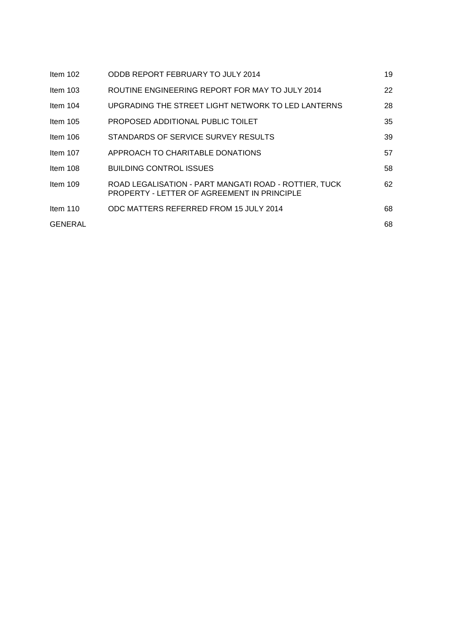| Item $102$ | ODDB REPORT FEBRUARY TO JULY 2014                                                                    | 19 |
|------------|------------------------------------------------------------------------------------------------------|----|
| Item $103$ | ROUTINE ENGINEERING REPORT FOR MAY TO JULY 2014                                                      | 22 |
| Item $104$ | UPGRADING THE STREET LIGHT NETWORK TO LED LANTERNS                                                   | 28 |
| Item $105$ | PROPOSED ADDITIONAL PUBLIC TOILET                                                                    | 35 |
| Item $106$ | STANDARDS OF SERVICE SURVEY RESULTS                                                                  | 39 |
| Item $107$ | APPROACH TO CHARITABLE DONATIONS                                                                     | 57 |
| Item $108$ | <b>BUILDING CONTROL ISSUES</b>                                                                       | 58 |
| Item $109$ | ROAD LEGALISATION - PART MANGATI ROAD - ROTTIER, TUCK<br>PROPERTY - LETTER OF AGREEMENT IN PRINCIPLE | 62 |
| Item $110$ | ODC MATTERS REFERRED FROM 15 JULY 2014                                                               | 68 |
| GENERAL    |                                                                                                      | 68 |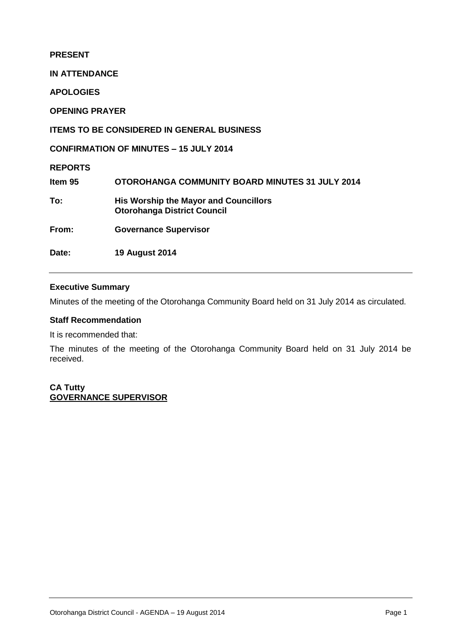#### **PRESENT**

**IN ATTENDANCE**

**APOLOGIES**

**OPENING PRAYER**

#### **ITEMS TO BE CONSIDERED IN GENERAL BUSINESS**

**CONFIRMATION OF MINUTES – 15 JULY 2014**

**REPORTS**

**Item 95 OTOROHANGA COMMUNITY BOARD MINUTES 31 JULY 2014 To: His Worship the Mayor and Councillors Otorohanga District Council From: Governance Supervisor**

**Date: 19 August 2014** 

#### **Executive Summary**

Minutes of the meeting of the Otorohanga Community Board held on 31 July 2014 as circulated.

#### **Staff Recommendation**

It is recommended that:

The minutes of the meeting of the Otorohanga Community Board held on 31 July 2014 be received.

**CA Tutty GOVERNANCE SUPERVISOR**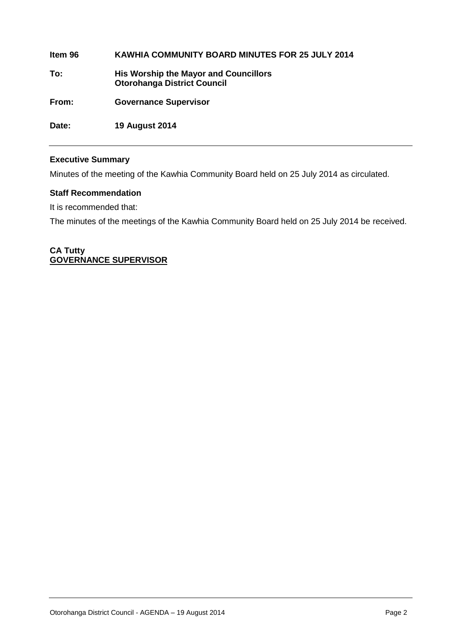**Item 96 KAWHIA COMMUNITY BOARD MINUTES FOR 25 JULY 2014 To: His Worship the Mayor and Councillors Otorohanga District Council From: Governance Supervisor**

**Executive Summary**

**Date: 19 August 2014**

Minutes of the meeting of the Kawhia Community Board held on 25 July 2014 as circulated.

#### **Staff Recommendation**

It is recommended that:

The minutes of the meetings of the Kawhia Community Board held on 25 July 2014 be received.

#### **CA Tutty GOVERNANCE SUPERVISOR**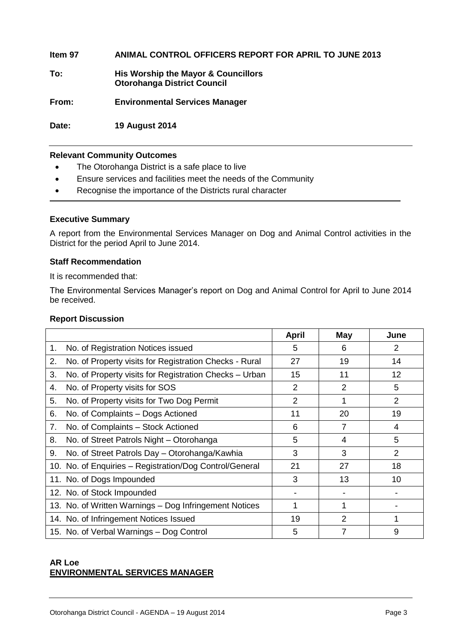**Item 97 ANIMAL CONTROL OFFICERS REPORT FOR APRIL TO JUNE 2013 To: His Worship the Mayor & Councillors Otorohanga District Council From: Environmental Services Manager**

**Date: 19 August 2014**

#### **Relevant Community Outcomes**

- The Otorohanga District is a safe place to live
- Ensure services and facilities meet the needs of the Community
- Recognise the importance of the Districts rural character

#### **Executive Summary**

A report from the Environmental Services Manager on Dog and Animal Control activities in the District for the period April to June 2014.

#### **Staff Recommendation**

It is recommended that:

The Environmental Services Manager's report on Dog and Animal Control for April to June 2014 be received.

#### **Report Discussion**

|    |                                                         | <b>April</b>   | <b>May</b>     | June           |
|----|---------------------------------------------------------|----------------|----------------|----------------|
| 1. | No. of Registration Notices issued                      | 5              | 6              | 2              |
| 2. | No. of Property visits for Registration Checks - Rural  | 27             | 19             | 14             |
| 3. | No. of Property visits for Registration Checks - Urban  | 15             | 11             | 12             |
| 4. | No. of Property visits for SOS                          | $\overline{2}$ | $\overline{2}$ | 5              |
| 5. | No. of Property visits for Two Dog Permit               | $\overline{2}$ | 1              | $\overline{2}$ |
| 6. | No. of Complaints – Dogs Actioned                       | 11             | 20             | 19             |
| 7. | No. of Complaints - Stock Actioned                      | 6              | $\overline{7}$ | 4              |
| 8. | No. of Street Patrols Night - Otorohanga                | 5              | 4              | 5              |
| 9. | No. of Street Patrols Day - Otorohanga/Kawhia           | 3              | 3              | 2              |
|    | 10. No. of Enquiries - Registration/Dog Control/General | 21             | 27             | 18             |
|    | 11. No. of Dogs Impounded                               | 3              | 13             | 10             |
|    | 12. No. of Stock Impounded                              |                |                |                |
|    | 13. No. of Written Warnings - Dog Infringement Notices  |                | 1              |                |
|    | 14. No. of Infringement Notices Issued                  | 19             | 2              |                |
|    | 15. No. of Verbal Warnings - Dog Control                | 5              | 7              | 9              |

#### **AR Loe ENVIRONMENTAL SERVICES MANAGER**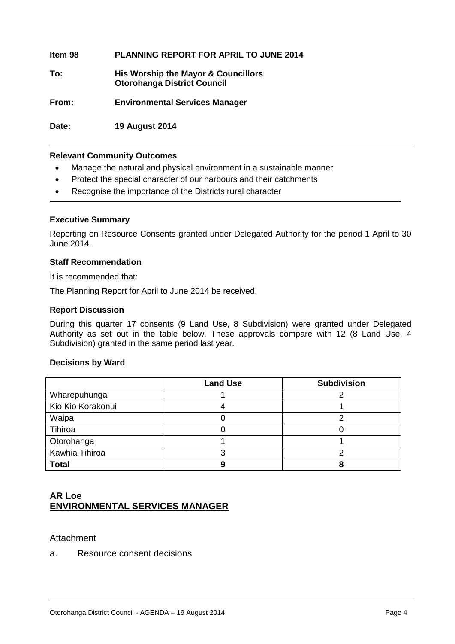**Item 98 PLANNING REPORT FOR APRIL TO JUNE 2014 To: His Worship the Mayor & Councillors Otorohanga District Council From: Environmental Services Manager**

**Date: 19 August 2014**

#### **Relevant Community Outcomes**

- Manage the natural and physical environment in a sustainable manner
- Protect the special character of our harbours and their catchments
- Recognise the importance of the Districts rural character

#### **Executive Summary**

Reporting on Resource Consents granted under Delegated Authority for the period 1 April to 30 June 2014.

#### **Staff Recommendation**

It is recommended that:

The Planning Report for April to June 2014 be received.

#### **Report Discussion**

During this quarter 17 consents (9 Land Use, 8 Subdivision) were granted under Delegated Authority as set out in the table below. These approvals compare with 12 (8 Land Use, 4 Subdivision) granted in the same period last year.

#### **Decisions by Ward**

|                   | <b>Land Use</b> | <b>Subdivision</b> |
|-------------------|-----------------|--------------------|
| Wharepuhunga      |                 |                    |
| Kio Kio Korakonui |                 |                    |
| Waipa             |                 |                    |
| Tihiroa           |                 |                    |
| Otorohanga        |                 |                    |
| Kawhia Tihiroa    |                 |                    |
| <b>Total</b>      |                 |                    |

#### **AR Loe ENVIRONMENTAL SERVICES MANAGER**

#### **Attachment**

a. Resource consent decisions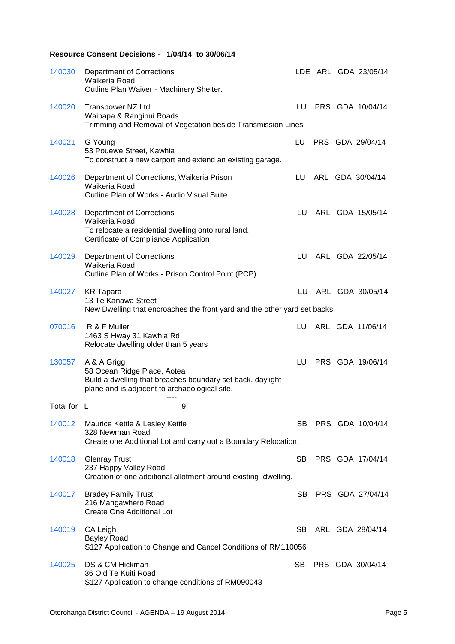#### **Resource Consent Decisions - 1/04/14 to 30/06/14**

| 140030      | <b>Department of Corrections</b><br>Waikeria Road<br>Outline Plan Waiver - Machinery Shelter.                                                             |      |  | LDE ARL GDA 23/05/14 |
|-------------|-----------------------------------------------------------------------------------------------------------------------------------------------------------|------|--|----------------------|
| 140020      | Transpower NZ Ltd<br>Waipapa & Ranginui Roads<br>Trimming and Removal of Vegetation beside Transmission Lines                                             |      |  | LU PRS GDA 10/04/14  |
| 140021      | G Young<br>53 Pouewe Street, Kawhia<br>To construct a new carport and extend an existing garage.                                                          | LU   |  | PRS GDA 29/04/14     |
| 140026      | Department of Corrections, Waikeria Prison<br>Waikeria Road<br>Outline Plan of Works - Audio Visual Suite                                                 | LU.  |  | ARL GDA 30/04/14     |
| 140028      | <b>Department of Corrections</b><br>Waikeria Road<br>To relocate a residential dwelling onto rural land.<br>Certificate of Compliance Application         | LU.  |  | ARL GDA 15/05/14     |
| 140029      | <b>Department of Corrections</b><br>Waikeria Road<br>Outline Plan of Works - Prison Control Point (PCP).                                                  | LU – |  | ARL GDA 22/05/14     |
| 140027      | <b>KR</b> Tapara<br>13 Te Kanawa Street<br>New Dwelling that encroaches the front yard and the other yard set backs.                                      |      |  | LU ARL GDA 30/05/14  |
| 070016      | R & F Muller<br>1463 S Hway 31 Kawhia Rd<br>Relocate dwelling older than 5 years                                                                          | LU   |  | ARL GDA 11/06/14     |
| 130057      | A & A Grigg<br>58 Ocean Ridge Place, Aotea<br>Build a dwelling that breaches boundary set back, daylight<br>plane and is adjacent to archaeological site. | LU   |  | PRS GDA 19/06/14     |
| Total for L | 9                                                                                                                                                         |      |  |                      |
| 140012      | Maurice Kettle & Lesley Kettle<br>328 Newman Road<br>Create one Additional Lot and carry out a Boundary Relocation.                                       | SB.  |  | PRS GDA 10/04/14     |
| 140018      | <b>Glenray Trust</b><br>237 Happy Valley Road<br>Creation of one additional allotment around existing dwelling.                                           | SB.  |  | PRS GDA 17/04/14     |
| 140017      | <b>Bradey Family Trust</b><br>216 Mangawhero Road<br>Create One Additional Lot                                                                            | SB.  |  | PRS GDA 27/04/14     |
| 140019      | CA Leigh<br><b>Bayley Road</b><br>S127 Application to Change and Cancel Conditions of RM110056                                                            | SB.  |  | ARL GDA 28/04/14     |
| 140025      | DS & CM Hickman<br>36 Old Te Kuiti Road<br>S127 Application to change conditions of RM090043                                                              | SB.  |  | PRS GDA 30/04/14     |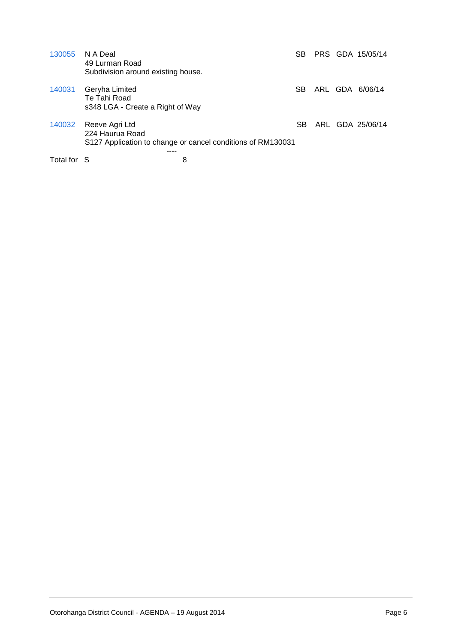| 130055      | N A Deal<br>49 Lurman Road<br>Subdivision around existing house.   |                                                             | SB. |  | PRS GDA 15/05/14 |
|-------------|--------------------------------------------------------------------|-------------------------------------------------------------|-----|--|------------------|
| 140031      | Geryha Limited<br>Te Tahi Road<br>s348 LGA - Create a Right of Way |                                                             | SB. |  | ARL GDA 6/06/14  |
| 140032      | Reeve Agri Ltd<br>224 Haurua Road                                  | S127 Application to change or cancel conditions of RM130031 | SB. |  | ARL GDA 25/06/14 |
| Total for S |                                                                    | 8                                                           |     |  |                  |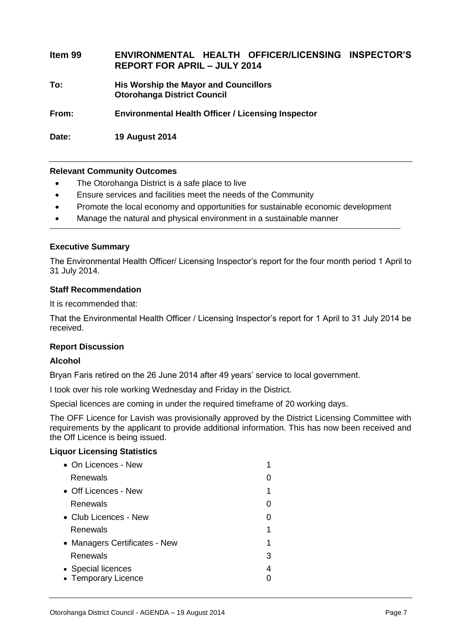| Item 99 | ENVIRONMENTAL HEALTH OFFICER/LICENSING INSPECTOR'S<br><b>REPORT FOR APRIL - JULY 2014</b> |
|---------|-------------------------------------------------------------------------------------------|
| To:     | His Worship the Mayor and Councillors<br><b>Otorohanga District Council</b>               |
| From:   | <b>Environmental Health Officer / Licensing Inspector</b>                                 |

**Date: 19 August 2014**

#### **Relevant Community Outcomes**

- The Otorohanga District is a safe place to live
- Ensure services and facilities meet the needs of the Community
- Promote the local economy and opportunities for sustainable economic development
- Manage the natural and physical environment in a sustainable manner

#### **Executive Summary**

The Environmental Health Officer/ Licensing Inspector's report for the four month period 1 April to 31 July 2014.

#### **Staff Recommendation**

It is recommended that:

That the Environmental Health Officer / Licensing Inspector's report for 1 April to 31 July 2014 be received.

#### **Report Discussion**

#### **Alcohol**

Bryan Faris retired on the 26 June 2014 after 49 years' service to local government.

I took over his role working Wednesday and Friday in the District.

Special licences are coming in under the required timeframe of 20 working days.

The OFF Licence for Lavish was provisionally approved by the District Licensing Committee with requirements by the applicant to provide additional information. This has now been received and the Off Licence is being issued.

#### **Liquor Licensing Statistics**

| $\bullet$ On Licences - New   |   |
|-------------------------------|---|
| Renewals                      |   |
| • Off Licences - New          |   |
| Renewals                      |   |
| $\bullet$ Club Licences - New |   |
| Renewals                      |   |
| • Managers Certificates - New | 1 |
| Renewals                      | 3 |
| • Special licences            | 4 |
| • Temporary Licence           |   |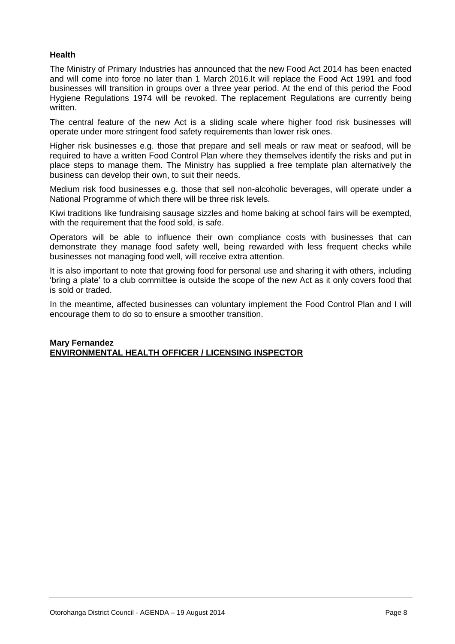#### **Health**

The Ministry of Primary Industries has announced that the new Food Act 2014 has been enacted and will come into force no later than 1 March 2016.It will replace the Food Act 1991 and food businesses will transition in groups over a three year period. At the end of this period the Food Hygiene Regulations 1974 will be revoked. The replacement Regulations are currently being written.

The central feature of the new Act is a sliding scale where higher food risk businesses will operate under more stringent food safety requirements than lower risk ones.

Higher risk businesses e.g. those that prepare and sell meals or raw meat or seafood, will be required to have a written Food Control Plan where they themselves identify the risks and put in place steps to manage them. The Ministry has supplied a free template plan alternatively the business can develop their own, to suit their needs.

Medium risk food businesses e.g. those that sell non-alcoholic beverages, will operate under a National Programme of which there will be three risk levels.

Kiwi traditions like fundraising sausage sizzles and home baking at school fairs will be exempted, with the requirement that the food sold, is safe.

Operators will be able to influence their own compliance costs with businesses that can demonstrate they manage food safety well, being rewarded with less frequent checks while businesses not managing food well, will receive extra attention.

It is also important to note that growing food for personal use and sharing it with others, including 'bring a plate' to a club committee is outside the scope of the new Act as it only covers food that is sold or traded.

In the meantime, affected businesses can voluntary implement the Food Control Plan and I will encourage them to do so to ensure a smoother transition.

#### **Mary Fernandez ENVIRONMENTAL HEALTH OFFICER / LICENSING INSPECTOR**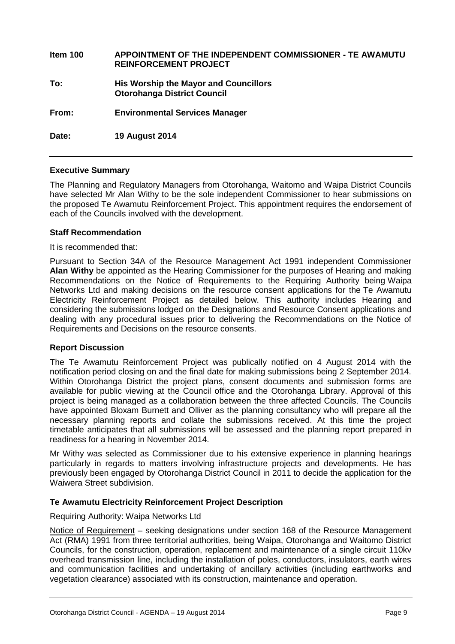| Item 100 | APPOINTMENT OF THE INDEPENDENT COMMISSIONER - TE AWAMUTU<br><b>REINFORCEMENT PROJECT</b> |
|----------|------------------------------------------------------------------------------------------|
| To:      | His Worship the Mayor and Councillors<br><b>Otorohanga District Council</b>              |
| From:    | <b>Environmental Services Manager</b>                                                    |
| Date:    | <b>19 August 2014</b>                                                                    |

#### **Executive Summary**

The Planning and Regulatory Managers from Otorohanga, Waitomo and Waipa District Councils have selected Mr Alan Withy to be the sole independent Commissioner to hear submissions on the proposed Te Awamutu Reinforcement Project. This appointment requires the endorsement of each of the Councils involved with the development.

#### **Staff Recommendation**

It is recommended that:

Pursuant to Section 34A of the Resource Management Act 1991 independent Commissioner **Alan Withy** be appointed as the Hearing Commissioner for the purposes of Hearing and making Recommendations on the Notice of Requirements to the Requiring Authority being Waipa Networks Ltd and making decisions on the resource consent applications for the Te Awamutu Electricity Reinforcement Project as detailed below. This authority includes Hearing and considering the submissions lodged on the Designations and Resource Consent applications and dealing with any procedural issues prior to delivering the Recommendations on the Notice of Requirements and Decisions on the resource consents.

#### **Report Discussion**

The Te Awamutu Reinforcement Project was publically notified on 4 August 2014 with the notification period closing on and the final date for making submissions being 2 September 2014. Within Otorohanga District the project plans, consent documents and submission forms are available for public viewing at the Council office and the Otorohanga Library. Approval of this project is being managed as a collaboration between the three affected Councils. The Councils have appointed Bloxam Burnett and Olliver as the planning consultancy who will prepare all the necessary planning reports and collate the submissions received. At this time the project timetable anticipates that all submissions will be assessed and the planning report prepared in readiness for a hearing in November 2014.

Mr Withy was selected as Commissioner due to his extensive experience in planning hearings particularly in regards to matters involving infrastructure projects and developments. He has previously been engaged by Otorohanga District Council in 2011 to decide the application for the Waiwera Street subdivision.

#### **Te Awamutu Electricity Reinforcement Project Description**

#### Requiring Authority: Waipa Networks Ltd

Notice of Requirement - seeking designations under section 168 of the Resource Management Act (RMA) 1991 from three territorial authorities, being Waipa, Otorohanga and Waitomo District Councils, for the construction, operation, replacement and maintenance of a single circuit 110kv overhead transmission line, including the installation of poles, conductors, insulators, earth wires and communication facilities and undertaking of ancillary activities (including earthworks and vegetation clearance) associated with its construction, maintenance and operation.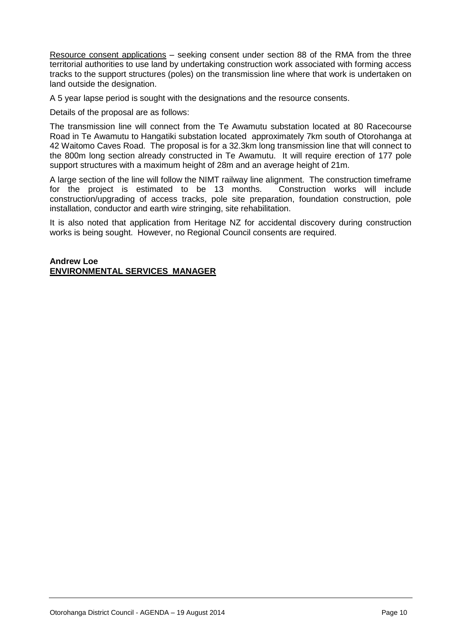Resource consent applications – seeking consent under section 88 of the RMA from the three territorial authorities to use land by undertaking construction work associated with forming access tracks to the support structures (poles) on the transmission line where that work is undertaken on land outside the designation.

A 5 year lapse period is sought with the designations and the resource consents.

Details of the proposal are as follows:

The transmission line will connect from the Te Awamutu substation located at 80 Racecourse Road in Te Awamutu to Hangatiki substation located approximately 7km south of Otorohanga at 42 Waitomo Caves Road. The proposal is for a 32.3km long transmission line that will connect to the 800m long section already constructed in Te Awamutu. It will require erection of 177 pole support structures with a maximum height of 28m and an average height of 21m.

A large section of the line will follow the NIMT railway line alignment. The construction timeframe for the project is estimated to be 13 months. Construction works will include construction/upgrading of access tracks, pole site preparation, foundation construction, pole installation, conductor and earth wire stringing, site rehabilitation.

It is also noted that application from Heritage NZ for accidental discovery during construction works is being sought. However, no Regional Council consents are required.

#### **Andrew Loe ENVIRONMENTAL SERVICES MANAGER**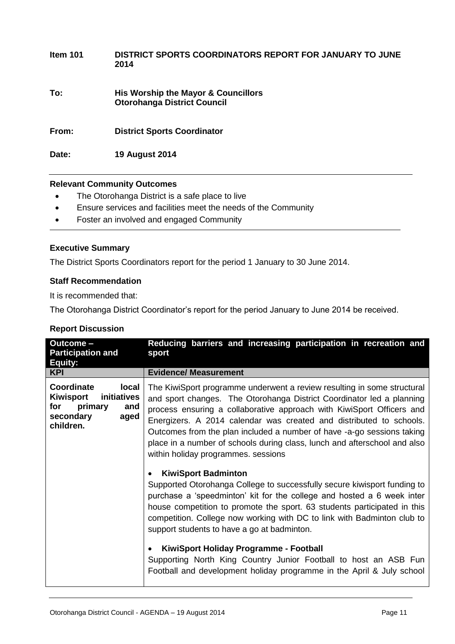| Item 101 | DISTRICT SPORTS COORDINATORS REPORT FOR JANUARY TO JUNE<br>2014           |
|----------|---------------------------------------------------------------------------|
| To:      | His Worship the Mayor & Councillors<br><b>Otorohanga District Council</b> |
| From:    | <b>District Sports Coordinator</b>                                        |
| Date:    | <b>19 August 2014</b>                                                     |

#### **Relevant Community Outcomes**

- The Otorohanga District is a safe place to live
- Ensure services and facilities meet the needs of the Community
- Foster an involved and engaged Community

#### **Executive Summary**

The District Sports Coordinators report for the period 1 January to 30 June 2014.

#### **Staff Recommendation**

It is recommended that:

The Otorohanga District Coordinator's report for the period January to June 2014 be received.

#### **Report Discussion**

| Outcome -<br><b>Participation and</b><br>Equity:                                                           | Reducing barriers and increasing participation in recreation and<br>sport                                                                                                                                                                                                                                                                                                                                                                                                                      |
|------------------------------------------------------------------------------------------------------------|------------------------------------------------------------------------------------------------------------------------------------------------------------------------------------------------------------------------------------------------------------------------------------------------------------------------------------------------------------------------------------------------------------------------------------------------------------------------------------------------|
| <b>KPI</b>                                                                                                 | <b>Evidence/ Measurement</b>                                                                                                                                                                                                                                                                                                                                                                                                                                                                   |
| Coordinate<br>local<br>Kiwisport<br>initiatives<br>primary<br>for<br>and<br>secondary<br>aged<br>children. | The KiwiSport programme underwent a review resulting in some structural<br>and sport changes. The Otorohanga District Coordinator led a planning<br>process ensuring a collaborative approach with KiwiSport Officers and<br>Energizers. A 2014 calendar was created and distributed to schools.<br>Outcomes from the plan included a number of have -a-go sessions taking<br>place in a number of schools during class, lunch and afterschool and also<br>within holiday programmes. sessions |
|                                                                                                            | <b>KiwiSport Badminton</b><br>Supported Otorohanga College to successfully secure kiwisport funding to<br>purchase a 'speedminton' kit for the college and hosted a 6 week inter<br>house competition to promote the sport. 63 students participated in this<br>competition. College now working with DC to link with Badminton club to<br>support students to have a go at badminton.                                                                                                         |
|                                                                                                            | KiwiSport Holiday Programme - Football<br>Supporting North King Country Junior Football to host an ASB Fun<br>Football and development holiday programme in the April & July school                                                                                                                                                                                                                                                                                                            |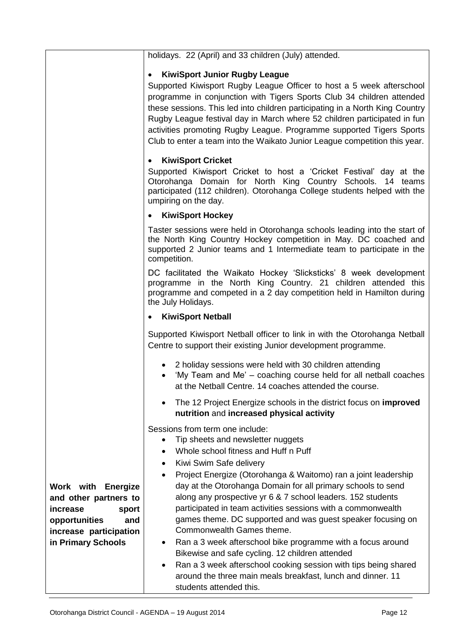|                                                                                                                                                 | holidays. 22 (April) and 33 children (July) attended.                                                                                                                                                                                                                                                                                                                                                                                                                                                                                                                                                                                                                                                                                                                                                                           |
|-------------------------------------------------------------------------------------------------------------------------------------------------|---------------------------------------------------------------------------------------------------------------------------------------------------------------------------------------------------------------------------------------------------------------------------------------------------------------------------------------------------------------------------------------------------------------------------------------------------------------------------------------------------------------------------------------------------------------------------------------------------------------------------------------------------------------------------------------------------------------------------------------------------------------------------------------------------------------------------------|
|                                                                                                                                                 |                                                                                                                                                                                                                                                                                                                                                                                                                                                                                                                                                                                                                                                                                                                                                                                                                                 |
|                                                                                                                                                 | <b>KiwiSport Junior Rugby League</b>                                                                                                                                                                                                                                                                                                                                                                                                                                                                                                                                                                                                                                                                                                                                                                                            |
|                                                                                                                                                 | Supported Kiwisport Rugby League Officer to host a 5 week afterschool<br>programme in conjunction with Tigers Sports Club 34 children attended<br>these sessions. This led into children participating in a North King Country<br>Rugby League festival day in March where 52 children participated in fun<br>activities promoting Rugby League. Programme supported Tigers Sports<br>Club to enter a team into the Waikato Junior League competition this year.                                                                                                                                                                                                                                                                                                                                                                |
|                                                                                                                                                 | <b>KiwiSport Cricket</b><br>$\bullet$                                                                                                                                                                                                                                                                                                                                                                                                                                                                                                                                                                                                                                                                                                                                                                                           |
|                                                                                                                                                 | Supported Kiwisport Cricket to host a 'Cricket Festival' day at the<br>Otorohanga Domain for North King Country Schools. 14 teams<br>participated (112 children). Otorohanga College students helped with the<br>umpiring on the day.                                                                                                                                                                                                                                                                                                                                                                                                                                                                                                                                                                                           |
|                                                                                                                                                 | <b>KiwiSport Hockey</b>                                                                                                                                                                                                                                                                                                                                                                                                                                                                                                                                                                                                                                                                                                                                                                                                         |
|                                                                                                                                                 | Taster sessions were held in Otorohanga schools leading into the start of<br>the North King Country Hockey competition in May. DC coached and<br>supported 2 Junior teams and 1 Intermediate team to participate in the<br>competition.                                                                                                                                                                                                                                                                                                                                                                                                                                                                                                                                                                                         |
|                                                                                                                                                 | DC facilitated the Waikato Hockey 'Slicksticks' 8 week development<br>programme in the North King Country. 21 children attended this<br>programme and competed in a 2 day competition held in Hamilton during<br>the July Holidays.                                                                                                                                                                                                                                                                                                                                                                                                                                                                                                                                                                                             |
|                                                                                                                                                 | <b>KiwiSport Netball</b><br>$\bullet$                                                                                                                                                                                                                                                                                                                                                                                                                                                                                                                                                                                                                                                                                                                                                                                           |
|                                                                                                                                                 | Supported Kiwisport Netball officer to link in with the Otorohanga Netball<br>Centre to support their existing Junior development programme.                                                                                                                                                                                                                                                                                                                                                                                                                                                                                                                                                                                                                                                                                    |
|                                                                                                                                                 | 2 holiday sessions were held with 30 children attending<br>'My Team and Me' - coaching course held for all netball coaches<br>at the Netball Centre. 14 coaches attended the course.                                                                                                                                                                                                                                                                                                                                                                                                                                                                                                                                                                                                                                            |
|                                                                                                                                                 | The 12 Project Energize schools in the district focus on <b>improved</b><br>nutrition and increased physical activity                                                                                                                                                                                                                                                                                                                                                                                                                                                                                                                                                                                                                                                                                                           |
| <b>Work with Energize</b><br>and other partners to<br>increase<br>sport<br>opportunities<br>and<br>increase participation<br>in Primary Schools | Sessions from term one include:<br>Tip sheets and newsletter nuggets<br>$\bullet$<br>Whole school fitness and Huff n Puff<br>$\bullet$<br>Kiwi Swim Safe delivery<br>٠<br>Project Energize (Otorohanga & Waitomo) ran a joint leadership<br>$\bullet$<br>day at the Otorohanga Domain for all primary schools to send<br>along any prospective yr 6 & 7 school leaders. 152 students<br>participated in team activities sessions with a commonwealth<br>games theme. DC supported and was guest speaker focusing on<br>Commonwealth Games theme.<br>Ran a 3 week afterschool bike programme with a focus around<br>Bikewise and safe cycling. 12 children attended<br>Ran a 3 week afterschool cooking session with tips being shared<br>around the three main meals breakfast, lunch and dinner. 11<br>students attended this. |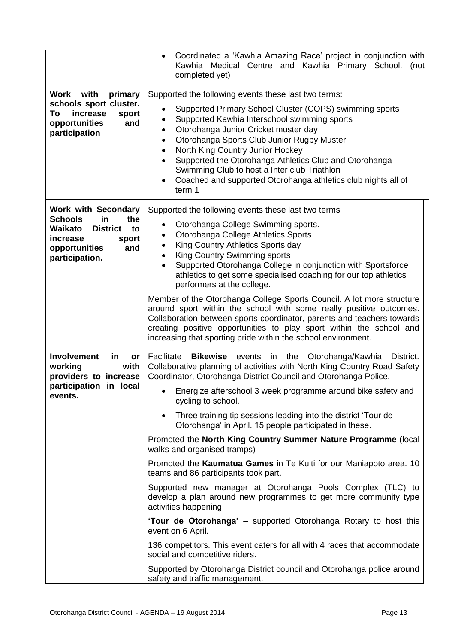|                                                                                                                                                              | Coordinated a 'Kawhia Amazing Race' project in conjunction with<br>$\bullet$<br>Kawhia Medical Centre and Kawhia Primary School. (not<br>completed yet)                                                                                                                                                                                                                                                                                                                                                            |  |  |
|--------------------------------------------------------------------------------------------------------------------------------------------------------------|--------------------------------------------------------------------------------------------------------------------------------------------------------------------------------------------------------------------------------------------------------------------------------------------------------------------------------------------------------------------------------------------------------------------------------------------------------------------------------------------------------------------|--|--|
| Work<br>with<br>primary<br>schools sport cluster.<br>To<br>increase<br>sport<br>opportunities<br>and<br>participation                                        | Supported the following events these last two terms:<br>Supported Primary School Cluster (COPS) swimming sports<br>Supported Kawhia Interschool swimming sports<br>Otorohanga Junior Cricket muster day<br>٠<br>Otorohanga Sports Club Junior Rugby Muster<br>$\bullet$<br>North King Country Junior Hockey<br>٠<br>Supported the Otorohanga Athletics Club and Otorohanga<br>$\bullet$<br>Swimming Club to host a Inter club Triathlon<br>Coached and supported Otorohanga athletics club nights all of<br>term 1 |  |  |
| <b>Work with Secondary</b><br><b>Schools</b><br>in<br>the<br><b>District</b><br>Waikato<br>to<br>increase<br>sport<br>opportunities<br>and<br>participation. | Supported the following events these last two terms<br>Otorohanga College Swimming sports.<br>Otorohanga College Athletics Sports<br>King Country Athletics Sports day<br>King Country Swimming sports<br>$\bullet$<br>Supported Otorohanga College in conjunction with Sportsforce<br>athletics to get some specialised coaching for our top athletics<br>performers at the college.<br>Member of the Otorohanga College Sports Council. A lot more structure                                                     |  |  |
|                                                                                                                                                              | around sport within the school with some really positive outcomes.<br>Collaboration between sports coordinator, parents and teachers towards<br>creating positive opportunities to play sport within the school and<br>increasing that sporting pride within the school environment.                                                                                                                                                                                                                               |  |  |
| <b>Involvement</b><br>in<br>or<br>working<br>with<br>providers to increase<br>participation in local                                                         | Facilitate<br><b>Bikewise</b><br>in the Otorohanga/Kawhia<br>District.<br>events<br>Collaborative planning of activities with North King Country Road Safety<br>Coordinator, Otorohanga District Council and Otorohanga Police.<br>Energize afterschool 3 week programme around bike safety and                                                                                                                                                                                                                    |  |  |
| events.                                                                                                                                                      | cycling to school.                                                                                                                                                                                                                                                                                                                                                                                                                                                                                                 |  |  |
|                                                                                                                                                              | Three training tip sessions leading into the district 'Tour de<br>$\bullet$<br>Otorohanga' in April. 15 people participated in these.                                                                                                                                                                                                                                                                                                                                                                              |  |  |
|                                                                                                                                                              | Promoted the North King Country Summer Nature Programme (local<br>walks and organised tramps)                                                                                                                                                                                                                                                                                                                                                                                                                      |  |  |
|                                                                                                                                                              | Promoted the Kaumatua Games in Te Kuiti for our Maniapoto area. 10<br>teams and 86 participants took part.                                                                                                                                                                                                                                                                                                                                                                                                         |  |  |
|                                                                                                                                                              | Supported new manager at Otorohanga Pools Complex (TLC) to<br>develop a plan around new programmes to get more community type<br>activities happening.                                                                                                                                                                                                                                                                                                                                                             |  |  |
|                                                                                                                                                              | 'Tour de Otorohanga' – supported Otorohanga Rotary to host this<br>event on 6 April.                                                                                                                                                                                                                                                                                                                                                                                                                               |  |  |
|                                                                                                                                                              | 136 competitors. This event caters for all with 4 races that accommodate<br>social and competitive riders.                                                                                                                                                                                                                                                                                                                                                                                                         |  |  |
|                                                                                                                                                              | Supported by Otorohanga District council and Otorohanga police around<br>safety and traffic management.                                                                                                                                                                                                                                                                                                                                                                                                            |  |  |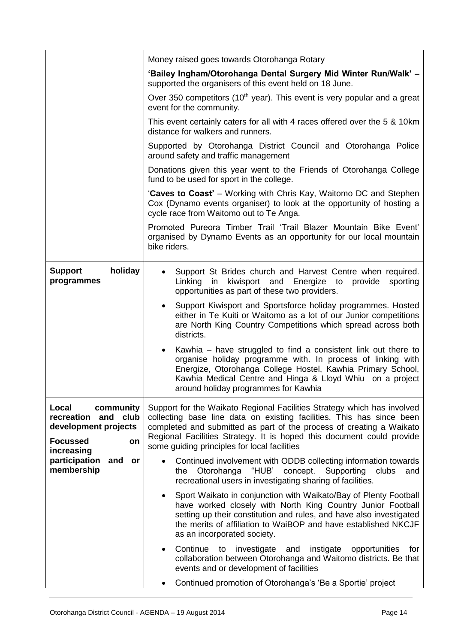|                                                                                                             | Money raised goes towards Otorohanga Rotary                                                                                                                                                                                                                                                                                                       |  |
|-------------------------------------------------------------------------------------------------------------|---------------------------------------------------------------------------------------------------------------------------------------------------------------------------------------------------------------------------------------------------------------------------------------------------------------------------------------------------|--|
|                                                                                                             | 'Bailey Ingham/Otorohanga Dental Surgery Mid Winter Run/Walk' -<br>supported the organisers of this event held on 18 June.                                                                                                                                                                                                                        |  |
|                                                                                                             | Over 350 competitors (10 <sup>th</sup> year). This event is very popular and a great<br>event for the community.                                                                                                                                                                                                                                  |  |
|                                                                                                             | This event certainly caters for all with 4 races offered over the 5 & 10km<br>distance for walkers and runners.                                                                                                                                                                                                                                   |  |
|                                                                                                             | Supported by Otorohanga District Council and Otorohanga Police<br>around safety and traffic management                                                                                                                                                                                                                                            |  |
|                                                                                                             | Donations given this year went to the Friends of Otorohanga College<br>fund to be used for sport in the college.                                                                                                                                                                                                                                  |  |
|                                                                                                             | 'Caves to Coast' – Working with Chris Kay, Waitomo DC and Stephen<br>Cox (Dynamo events organiser) to look at the opportunity of hosting a<br>cycle race from Waitomo out to Te Anga.                                                                                                                                                             |  |
|                                                                                                             | Promoted Pureora Timber Trail 'Trail Blazer Mountain Bike Event'<br>organised by Dynamo Events as an opportunity for our local mountain<br>bike riders.                                                                                                                                                                                           |  |
| holiday<br><b>Support</b><br>programmes                                                                     | Support St Brides church and Harvest Centre when required.<br>٠<br>Linking<br>in kiwisport and<br>Energize to provide<br>sporting<br>opportunities as part of these two providers.                                                                                                                                                                |  |
|                                                                                                             | Support Kiwisport and Sportsforce holiday programmes. Hosted<br>$\bullet$<br>either in Te Kuiti or Waitomo as a lot of our Junior competitions<br>are North King Country Competitions which spread across both<br>districts.                                                                                                                      |  |
|                                                                                                             | Kawhia – have struggled to find a consistent link out there to<br>$\bullet$<br>organise holiday programme with. In process of linking with<br>Energize, Otorohanga College Hostel, Kawhia Primary School,<br>Kawhia Medical Centre and Hinga & Lloyd Whiu on a project<br>around holiday programmes for Kawhia                                    |  |
| Local<br>community<br>and club<br>recreation<br>development projects<br><b>Focussed</b><br>on<br>increasing | Support for the Waikato Regional Facilities Strategy which has involved<br>collecting base line data on existing facilities. This has since been<br>completed and submitted as part of the process of creating a Waikato<br>Regional Facilities Strategy. It is hoped this document could provide<br>some guiding principles for local facilities |  |
| participation<br>and<br><b>or</b><br>membership                                                             | Continued involvement with ODDB collecting information towards<br>"HUB'<br>concept.<br>Supporting<br>Otorohanga<br>clubs<br>the<br>and<br>recreational users in investigating sharing of facilities.                                                                                                                                              |  |
|                                                                                                             | Sport Waikato in conjunction with Waikato/Bay of Plenty Football<br>have worked closely with North King Country Junior Football<br>setting up their constitution and rules, and have also investigated<br>the merits of affiliation to WaiBOP and have established NKCJF<br>as an incorporated society.                                           |  |
|                                                                                                             | Continue to investigate and<br>instigate<br>opportunities<br>for<br>collaboration between Otorohanga and Waitomo districts. Be that<br>events and or development of facilities                                                                                                                                                                    |  |
|                                                                                                             | Continued promotion of Otorohanga's 'Be a Sportie' project                                                                                                                                                                                                                                                                                        |  |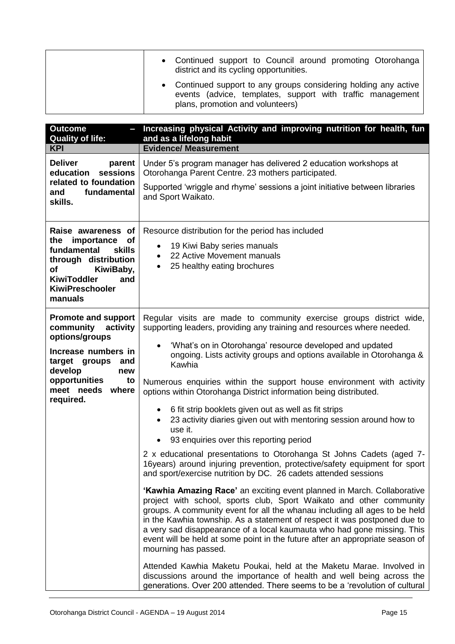| • Continued support to Council around promoting Otorohanga<br>district and its cycling opportunities.                                                              |
|--------------------------------------------------------------------------------------------------------------------------------------------------------------------|
| • Continued support to any groups considering holding any active<br>events (advice, templates, support with traffic management<br>plans, promotion and volunteers) |

| <b>Outcome</b><br><b>Quality of life:</b>                                                                             | Increasing physical Activity and improving nutrition for health, fun<br>and as a lifelong habit                                                                                                                                                                                                                                                                                                                                                                                                      |  |  |
|-----------------------------------------------------------------------------------------------------------------------|------------------------------------------------------------------------------------------------------------------------------------------------------------------------------------------------------------------------------------------------------------------------------------------------------------------------------------------------------------------------------------------------------------------------------------------------------------------------------------------------------|--|--|
| <b>KPI</b>                                                                                                            | <b>Evidence/ Measurement</b>                                                                                                                                                                                                                                                                                                                                                                                                                                                                         |  |  |
| <b>Deliver</b><br>parent<br>sessions<br>education<br>related to foundation<br>fundamental<br>and<br>skills.           | Under 5's program manager has delivered 2 education workshops at<br>Otorohanga Parent Centre. 23 mothers participated.                                                                                                                                                                                                                                                                                                                                                                               |  |  |
|                                                                                                                       | Supported 'wriggle and rhyme' sessions a joint initiative between libraries<br>and Sport Waikato.                                                                                                                                                                                                                                                                                                                                                                                                    |  |  |
| Raise awareness of<br>the importance<br><b>of</b><br>fundamental<br>skills<br>through distribution<br>KiwiBaby,<br>of | Resource distribution for the period has included<br>19 Kiwi Baby series manuals<br>$\bullet$<br>22 Active Movement manuals<br>$\bullet$<br>25 healthy eating brochures<br>$\bullet$                                                                                                                                                                                                                                                                                                                 |  |  |
| <b>KiwiToddler</b><br>and<br><b>KiwiPreschooler</b><br>manuals                                                        |                                                                                                                                                                                                                                                                                                                                                                                                                                                                                                      |  |  |
| <b>Promote and support</b><br>community<br>activity<br>options/groups                                                 | Regular visits are made to community exercise groups district wide,<br>supporting leaders, providing any training and resources where needed.                                                                                                                                                                                                                                                                                                                                                        |  |  |
| Increase numbers in<br>target groups<br>and<br>develop<br>new                                                         | 'What's on in Otorohanga' resource developed and updated<br>ongoing. Lists activity groups and options available in Otorohanga &<br>Kawhia                                                                                                                                                                                                                                                                                                                                                           |  |  |
| opportunities<br>to<br>meet needs<br>where<br>required.                                                               | Numerous enquiries within the support house environment with activity<br>options within Otorohanga District information being distributed.                                                                                                                                                                                                                                                                                                                                                           |  |  |
|                                                                                                                       | 6 fit strip booklets given out as well as fit strips<br>$\bullet$<br>23 activity diaries given out with mentoring session around how to<br>use it.<br>93 enquiries over this reporting period                                                                                                                                                                                                                                                                                                        |  |  |
|                                                                                                                       | 2 x educational presentations to Otorohanga St Johns Cadets (aged 7-<br>16years) around injuring prevention, protective/safety equipment for sport<br>and sport/exercise nutrition by DC. 26 cadets attended sessions                                                                                                                                                                                                                                                                                |  |  |
|                                                                                                                       | <b>'Kawhia Amazing Race'</b> an exciting event planned in March. Collaborative<br>project with school, sports club, Sport Waikato and other community<br>groups. A community event for all the whanau including all ages to be held<br>in the Kawhia township. As a statement of respect it was postponed due to<br>a very sad disappearance of a local kaumauta who had gone missing. This<br>event will be held at some point in the future after an appropriate season of<br>mourning has passed. |  |  |
|                                                                                                                       | Attended Kawhia Maketu Poukai, held at the Maketu Marae. Involved in<br>discussions around the importance of health and well being across the<br>generations. Over 200 attended. There seems to be a 'revolution of cultural                                                                                                                                                                                                                                                                         |  |  |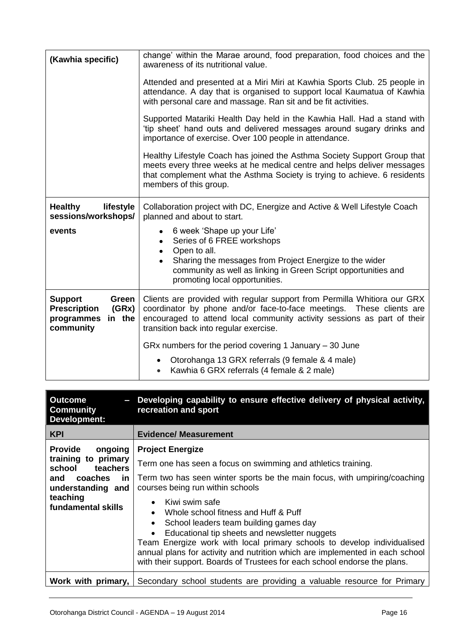| (Kawhia specific)                                                                            | change' within the Marae around, food preparation, food choices and the<br>awareness of its nutritional value.                                                                                                                                                        |  |  |
|----------------------------------------------------------------------------------------------|-----------------------------------------------------------------------------------------------------------------------------------------------------------------------------------------------------------------------------------------------------------------------|--|--|
|                                                                                              | Attended and presented at a Miri Miri at Kawhia Sports Club. 25 people in<br>attendance. A day that is organised to support local Kaumatua of Kawhia<br>with personal care and massage. Ran sit and be fit activities.                                                |  |  |
|                                                                                              | Supported Matariki Health Day held in the Kawhia Hall. Had a stand with<br>'tip sheet' hand outs and delivered messages around sugary drinks and<br>importance of exercise. Over 100 people in attendance.                                                            |  |  |
|                                                                                              | Healthy Lifestyle Coach has joined the Asthma Society Support Group that<br>meets every three weeks at he medical centre and helps deliver messages<br>that complement what the Asthma Society is trying to achieve. 6 residents<br>members of this group.            |  |  |
| <b>Healthy</b><br>lifestyle<br>sessions/workshops/                                           | Collaboration project with DC, Energize and Active & Well Lifestyle Coach<br>planned and about to start.                                                                                                                                                              |  |  |
| events                                                                                       | 6 week 'Shape up your Life'<br>$\bullet$<br>Series of 6 FREE workshops<br>Open to all.<br>Sharing the messages from Project Energize to the wider<br>community as well as linking in Green Script opportunities and<br>promoting local opportunities.                 |  |  |
| <b>Support</b><br>Green<br><b>Prescription</b><br>(GRx)<br>programmes<br>in the<br>community | Clients are provided with regular support from Permilla Whitiora our GRX<br>coordinator by phone and/or face-to-face meetings. These clients are<br>encouraged to attend local community activity sessions as part of their<br>transition back into regular exercise. |  |  |
|                                                                                              | GRx numbers for the period covering 1 January $-30$ June                                                                                                                                                                                                              |  |  |
|                                                                                              | Otorohanga 13 GRX referrals (9 female & 4 male)<br>Kawhia 6 GRX referrals (4 female & 2 male)                                                                                                                                                                         |  |  |

| <b>Outcome</b><br>$\sim$<br><b>Community</b><br><b>Development:</b>                                                    | Developing capability to ensure effective delivery of physical activity,<br>recreation and sport                                                                                                                                                                                                                                                                                                                                                                                                                                    |
|------------------------------------------------------------------------------------------------------------------------|-------------------------------------------------------------------------------------------------------------------------------------------------------------------------------------------------------------------------------------------------------------------------------------------------------------------------------------------------------------------------------------------------------------------------------------------------------------------------------------------------------------------------------------|
| <b>KPI</b>                                                                                                             | <b>Evidence/ Measurement</b>                                                                                                                                                                                                                                                                                                                                                                                                                                                                                                        |
| <b>Provide</b><br>ongoing                                                                                              | <b>Project Energize</b>                                                                                                                                                                                                                                                                                                                                                                                                                                                                                                             |
| training to primary<br>teachers<br>school<br>and coaches<br>in.<br>understanding and<br>teaching<br>fundamental skills | Term one has seen a focus on swimming and athletics training.                                                                                                                                                                                                                                                                                                                                                                                                                                                                       |
|                                                                                                                        | Term two has seen winter sports be the main focus, with umpiring/coaching<br>courses being run within schools<br>$\bullet$ Kiwi swim safe<br>• Whole school fitness and Huff & Puff<br>School leaders team building games day<br>$\bullet$<br>Educational tip sheets and newsletter nuggets<br>Team Energize work with local primary schools to develop individualised<br>annual plans for activity and nutrition which are implemented in each school<br>with their support. Boards of Trustees for each school endorse the plans. |
| Work with primary,                                                                                                     | Secondary school students are providing a valuable resource for Primary                                                                                                                                                                                                                                                                                                                                                                                                                                                             |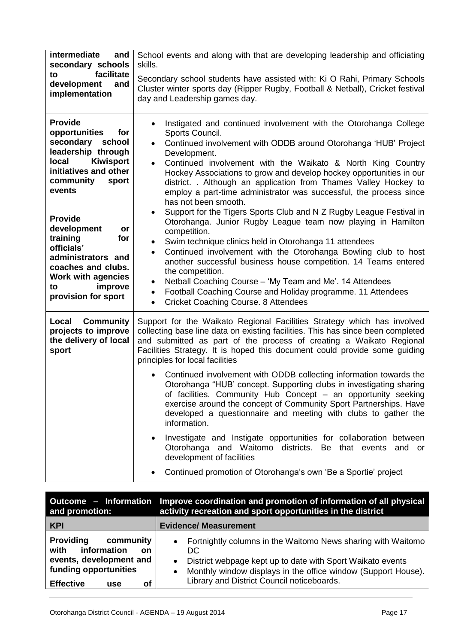| intermediate<br>and<br>secondary schools<br>facilitate<br>to                                                                                                                                                                                                                                                                                             | School events and along with that are developing leadership and officiating<br>skills.<br>Secondary school students have assisted with: Ki O Rahi, Primary Schools                                                                                                                                                                                                                                                                                                                                                                                                                                                                                                                                                                                                                                                                                                                                                                                                                                                                                                                                                                  |  |
|----------------------------------------------------------------------------------------------------------------------------------------------------------------------------------------------------------------------------------------------------------------------------------------------------------------------------------------------------------|-------------------------------------------------------------------------------------------------------------------------------------------------------------------------------------------------------------------------------------------------------------------------------------------------------------------------------------------------------------------------------------------------------------------------------------------------------------------------------------------------------------------------------------------------------------------------------------------------------------------------------------------------------------------------------------------------------------------------------------------------------------------------------------------------------------------------------------------------------------------------------------------------------------------------------------------------------------------------------------------------------------------------------------------------------------------------------------------------------------------------------------|--|
| and<br>development<br>implementation                                                                                                                                                                                                                                                                                                                     | Cluster winter sports day (Ripper Rugby, Football & Netball), Cricket festival<br>day and Leadership games day.                                                                                                                                                                                                                                                                                                                                                                                                                                                                                                                                                                                                                                                                                                                                                                                                                                                                                                                                                                                                                     |  |
| <b>Provide</b><br>opportunities<br>for<br>secondary school<br>leadership through<br><b>Kiwisport</b><br>local<br>initiatives and other<br>community<br>sport<br>events<br><b>Provide</b><br>development<br>or<br>training<br>for<br>officials'<br>administrators and<br>coaches and clubs.<br>Work with agencies<br>improve<br>to<br>provision for sport | Instigated and continued involvement with the Otorohanga College<br>Sports Council.<br>Continued involvement with ODDB around Otorohanga 'HUB' Project<br>$\bullet$<br>Development.<br>Continued involvement with the Waikato & North King Country<br>$\bullet$<br>Hockey Associations to grow and develop hockey opportunities in our<br>district. . Although an application from Thames Valley Hockey to<br>employ a part-time administrator was successful, the process since<br>has not been smooth.<br>Support for the Tigers Sports Club and N Z Rugby League Festival in<br>$\bullet$<br>Otorohanga. Junior Rugby League team now playing in Hamilton<br>competition.<br>Swim technique clinics held in Otorohanga 11 attendees<br>$\bullet$<br>Continued involvement with the Otorohanga Bowling club to host<br>$\bullet$<br>another successful business house competition. 14 Teams entered<br>the competition.<br>Netball Coaching Course – 'My Team and Me'. 14 Attendees<br>٠<br>Football Coaching Course and Holiday programme. 11 Attendees<br>$\bullet$<br><b>Cricket Coaching Course. 8 Attendees</b><br>$\bullet$ |  |
| <b>Local Community</b><br>projects to improve<br>the delivery of local<br>sport                                                                                                                                                                                                                                                                          | Support for the Waikato Regional Facilities Strategy which has involved<br>collecting base line data on existing facilities. This has since been completed<br>and submitted as part of the process of creating a Waikato Regional<br>Facilities Strategy. It is hoped this document could provide some guiding<br>principles for local facilities<br>Continued involvement with ODDB collecting information towards the<br>Otorohanga "HUB' concept. Supporting clubs in investigating sharing<br>of facilities. Community Hub Concept - an opportunity seeking<br>exercise around the concept of Community Sport Partnerships. Have<br>developed a questionnaire and meeting with clubs to gather the<br>information.<br>Investigate and Instigate opportunities for collaboration between<br>Otorohanga and Waitomo districts.<br>Be that events<br>and<br>or<br>development of facilities                                                                                                                                                                                                                                        |  |
|                                                                                                                                                                                                                                                                                                                                                          | Continued promotion of Otorohanga's own 'Be a Sportie' project                                                                                                                                                                                                                                                                                                                                                                                                                                                                                                                                                                                                                                                                                                                                                                                                                                                                                                                                                                                                                                                                      |  |

| and promotion:                                                                                                                                         | Outcome - Information Improve coordination and promotion of information of all physical<br>activity recreation and sport opportunities in the district                                                                                                                                  |  |
|--------------------------------------------------------------------------------------------------------------------------------------------------------|-----------------------------------------------------------------------------------------------------------------------------------------------------------------------------------------------------------------------------------------------------------------------------------------|--|
| <b>KPI</b>                                                                                                                                             | <b>Evidence/ Measurement</b>                                                                                                                                                                                                                                                            |  |
| <b>Providing</b><br>community<br>information<br>with<br><b>on</b><br>events, development and<br>funding opportunities<br><b>Effective</b><br>οf<br>use | Fortnightly columns in the Waitomo News sharing with Waitomo<br>$\bullet$<br>DC.<br>District webpage kept up to date with Sport Waikato events<br>$\bullet$<br>Monthly window displays in the office window (Support House).<br>$\bullet$<br>Library and District Council noticeboards. |  |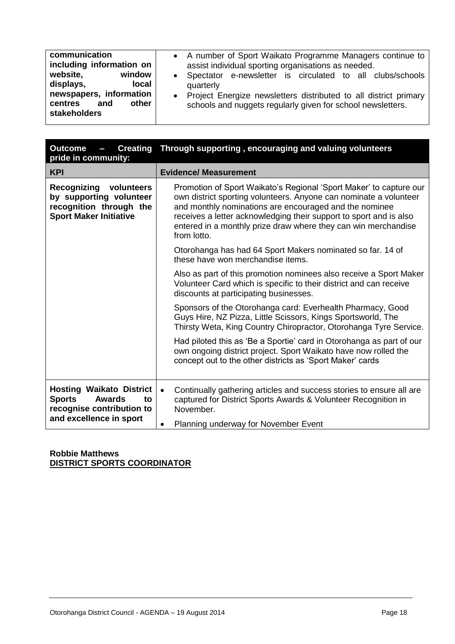| <b>Creating</b><br><b>Outcome</b><br>$\sim$<br>pride in community:                                                      | Through supporting, encouraging and valuing volunteers                                                                                                                                                                                                                                                                                                   |  |
|-------------------------------------------------------------------------------------------------------------------------|----------------------------------------------------------------------------------------------------------------------------------------------------------------------------------------------------------------------------------------------------------------------------------------------------------------------------------------------------------|--|
| <b>KPI</b>                                                                                                              | <b>Evidence/ Measurement</b>                                                                                                                                                                                                                                                                                                                             |  |
| <b>Recognizing</b><br>volunteers<br>by supporting volunteer<br>recognition through the<br><b>Sport Maker Initiative</b> | Promotion of Sport Waikato's Regional 'Sport Maker' to capture our<br>own district sporting volunteers. Anyone can nominate a volunteer<br>and monthly nominations are encouraged and the nominee<br>receives a letter acknowledging their support to sport and is also<br>entered in a monthly prize draw where they can win merchandise<br>from lotto. |  |
|                                                                                                                         | Otorohanga has had 64 Sport Makers nominated so far. 14 of<br>these have won merchandise items.                                                                                                                                                                                                                                                          |  |
|                                                                                                                         | Also as part of this promotion nominees also receive a Sport Maker<br>Volunteer Card which is specific to their district and can receive<br>discounts at participating businesses.                                                                                                                                                                       |  |
|                                                                                                                         | Sponsors of the Otorohanga card: Everhealth Pharmacy, Good<br>Guys Hire, NZ Pizza, Little Scissors, Kings Sportsworld, The<br>Thirsty Weta, King Country Chiropractor, Otorohanga Tyre Service.                                                                                                                                                          |  |
|                                                                                                                         | Had piloted this as 'Be a Sportie' card in Otorohanga as part of our<br>own ongoing district project. Sport Waikato have now rolled the<br>concept out to the other districts as 'Sport Maker' cards                                                                                                                                                     |  |
| <b>Hosting Waikato District</b><br><b>Sports</b><br><b>Awards</b><br>to<br>recognise contribution to                    | Continually gathering articles and success stories to ensure all are<br>$\bullet$<br>captured for District Sports Awards & Volunteer Recognition in<br>November.                                                                                                                                                                                         |  |
| and excellence in sport                                                                                                 | Planning underway for November Event                                                                                                                                                                                                                                                                                                                     |  |

#### **Robbie Matthews DISTRICT SPORTS COORDINATOR**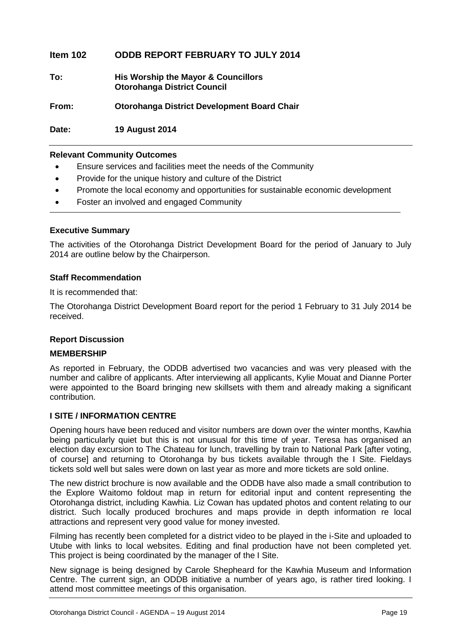#### **Item 102 ODDB REPORT FEBRUARY TO JULY 2014**

**To: His Worship the Mayor & Councillors Otorohanga District Council**

**From: Otorohanga District Development Board Chair**

**Date: 19 August 2014**

#### **Relevant Community Outcomes**

- Ensure services and facilities meet the needs of the Community
- Provide for the unique history and culture of the District
- Promote the local economy and opportunities for sustainable economic development
- Foster an involved and engaged Community

#### **Executive Summary**

The activities of the Otorohanga District Development Board for the period of January to July 2014 are outline below by the Chairperson.

#### **Staff Recommendation**

It is recommended that:

The Otorohanga District Development Board report for the period 1 February to 31 July 2014 be received.

#### **Report Discussion**

#### **MEMBERSHIP**

As reported in February, the ODDB advertised two vacancies and was very pleased with the number and calibre of applicants. After interviewing all applicants, Kylie Mouat and Dianne Porter were appointed to the Board bringing new skillsets with them and already making a significant contribution.

#### **I SITE / INFORMATION CENTRE**

Opening hours have been reduced and visitor numbers are down over the winter months, Kawhia being particularly quiet but this is not unusual for this time of year. Teresa has organised an election day excursion to The Chateau for lunch, travelling by train to National Park [after voting, of course] and returning to Otorohanga by bus tickets available through the I Site. Fieldays tickets sold well but sales were down on last year as more and more tickets are sold online.

The new district brochure is now available and the ODDB have also made a small contribution to the Explore Waitomo foldout map in return for editorial input and content representing the Otorohanga district, including Kawhia. Liz Cowan has updated photos and content relating to our district. Such locally produced brochures and maps provide in depth information re local attractions and represent very good value for money invested.

Filming has recently been completed for a district video to be played in the i-Site and uploaded to Utube with links to local websites. Editing and final production have not been completed yet. This project is being coordinated by the manager of the I Site.

New signage is being designed by Carole Shepheard for the Kawhia Museum and Information Centre. The current sign, an ODDB initiative a number of years ago, is rather tired looking. I attend most committee meetings of this organisation.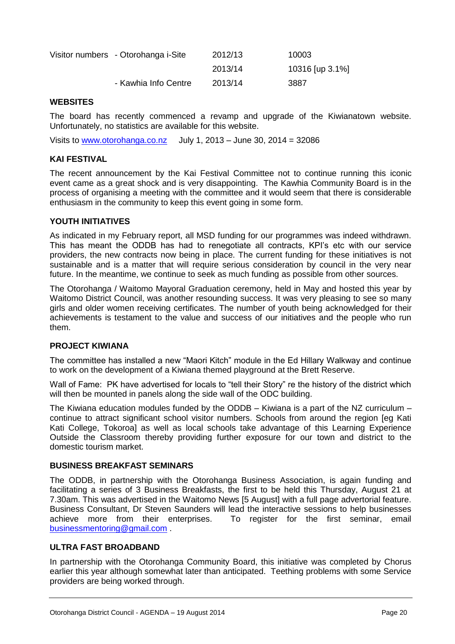| Visitor numbers - Otorohanga i-Site | 2012/13 | 10003           |
|-------------------------------------|---------|-----------------|
|                                     | 2013/14 | 10316 [up 3.1%] |
| - Kawhia Info Centre                | 2013/14 | 3887            |

#### **WEBSITES**

The board has recently commenced a revamp and upgrade of the Kiwianatown website. Unfortunately, no statistics are available for this website.

Visits to [www.otorohanga.co.nz](http://www.otorohanga.co.nz/) July 1, 2013 – June 30, 2014 =  $32086$ 

#### **KAI FESTIVAL**

The recent announcement by the Kai Festival Committee not to continue running this iconic event came as a great shock and is very disappointing. The Kawhia Community Board is in the process of organising a meeting with the committee and it would seem that there is considerable enthusiasm in the community to keep this event going in some form.

#### **YOUTH INITIATIVES**

As indicated in my February report, all MSD funding for our programmes was indeed withdrawn. This has meant the ODDB has had to renegotiate all contracts, KPI's etc with our service providers, the new contracts now being in place. The current funding for these initiatives is not sustainable and is a matter that will require serious consideration by council in the very near future. In the meantime, we continue to seek as much funding as possible from other sources.

The Otorohanga / Waitomo Mayoral Graduation ceremony, held in May and hosted this year by Waitomo District Council, was another resounding success. It was very pleasing to see so many girls and older women receiving certificates. The number of youth being acknowledged for their achievements is testament to the value and success of our initiatives and the people who run them.

#### **PROJECT KIWIANA**

The committee has installed a new "Maori Kitch" module in the Ed Hillary Walkway and continue to work on the development of a Kiwiana themed playground at the Brett Reserve.

Wall of Fame: PK have advertised for locals to "tell their Story" re the history of the district which will then be mounted in panels along the side wall of the ODC building.

The Kiwiana education modules funded by the ODDB – Kiwiana is a part of the NZ curriculum – continue to attract significant school visitor numbers. Schools from around the region [eg Kati Kati College, Tokoroa] as well as local schools take advantage of this Learning Experience Outside the Classroom thereby providing further exposure for our town and district to the domestic tourism market.

#### **BUSINESS BREAKFAST SEMINARS**

The ODDB, in partnership with the Otorohanga Business Association, is again funding and facilitating a series of 3 Business Breakfasts, the first to be held this Thursday, August 21 at 7.30am. This was advertised in the Waitomo News [5 August] with a full page advertorial feature. Business Consultant, Dr Steven Saunders will lead the interactive sessions to help businesses achieve more from their enterprises. To register for the first seminar, email [businessmentoring@gmail.com](mailto:businessmentoring@gmail.com) .

#### **ULTRA FAST BROADBAND**

In partnership with the Otorohanga Community Board, this initiative was completed by Chorus earlier this year although somewhat later than anticipated. Teething problems with some Service providers are being worked through.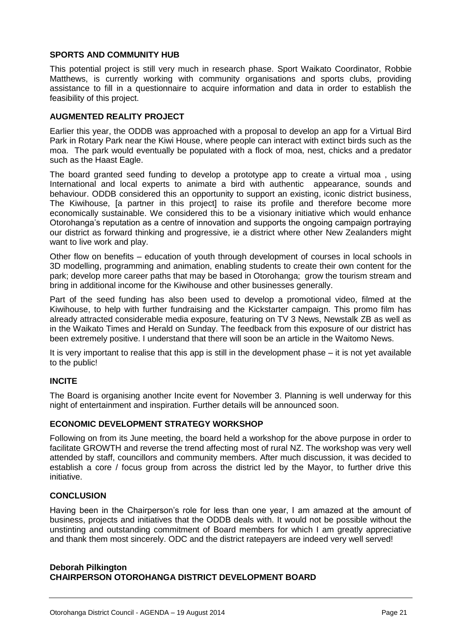#### **SPORTS AND COMMUNITY HUB**

This potential project is still very much in research phase. Sport Waikato Coordinator, Robbie Matthews, is currently working with community organisations and sports clubs, providing assistance to fill in a questionnaire to acquire information and data in order to establish the feasibility of this project.

#### **AUGMENTED REALITY PROJECT**

Earlier this year, the ODDB was approached with a proposal to develop an app for a Virtual Bird Park in Rotary Park near the Kiwi House, where people can interact with extinct birds such as the moa. The park would eventually be populated with a flock of moa, nest, chicks and a predator such as the Haast Eagle.

The board granted seed funding to develop a prototype app to create a virtual moa , using International and local experts to animate a bird with authentic appearance, sounds and behaviour. ODDB considered this an opportunity to support an existing, iconic district business, The Kiwihouse, [a partner in this project] to raise its profile and therefore become more economically sustainable. We considered this to be a visionary initiative which would enhance Otorohanga's reputation as a centre of innovation and supports the ongoing campaign portraying our district as forward thinking and progressive, ie a district where other New Zealanders might want to live work and play.

Other flow on benefits – education of youth through development of courses in local schools in 3D modelling, programming and animation, enabling students to create their own content for the park; develop more career paths that may be based in Otorohanga; grow the tourism stream and bring in additional income for the Kiwihouse and other businesses generally.

Part of the seed funding has also been used to develop a promotional video, filmed at the Kiwihouse, to help with further fundraising and the Kickstarter campaign. This promo film has already attracted considerable media exposure, featuring on TV 3 News, Newstalk ZB as well as in the Waikato Times and Herald on Sunday. The feedback from this exposure of our district has been extremely positive. I understand that there will soon be an article in the Waitomo News.

It is very important to realise that this app is still in the development phase – it is not yet available to the public!

#### **INCITE**

The Board is organising another Incite event for November 3. Planning is well underway for this night of entertainment and inspiration. Further details will be announced soon.

#### **ECONOMIC DEVELOPMENT STRATEGY WORKSHOP**

Following on from its June meeting, the board held a workshop for the above purpose in order to facilitate GROWTH and reverse the trend affecting most of rural NZ. The workshop was very well attended by staff, councillors and community members. After much discussion, it was decided to establish a core / focus group from across the district led by the Mayor, to further drive this initiative.

#### **CONCLUSION**

Having been in the Chairperson's role for less than one year, I am amazed at the amount of business, projects and initiatives that the ODDB deals with. It would not be possible without the unstinting and outstanding commitment of Board members for which I am greatly appreciative and thank them most sincerely. ODC and the district ratepayers are indeed very well served!

#### **Deborah Pilkington CHAIRPERSON OTOROHANGA DISTRICT DEVELOPMENT BOARD**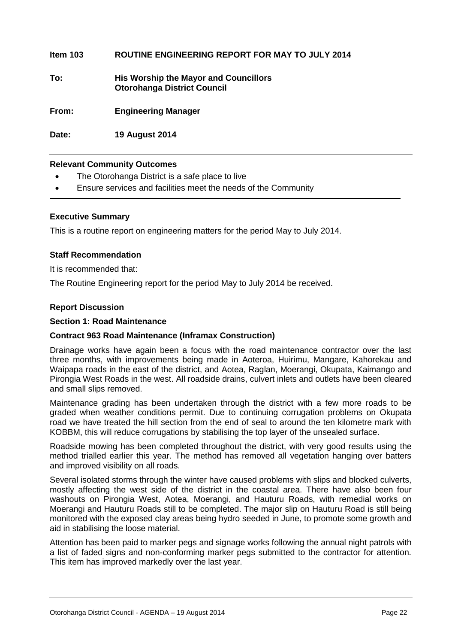| ltem 103 | <b>ROUTINE ENGINEERING REPORT FOR MAY TO JULY 2014</b> |
|----------|--------------------------------------------------------|

**To: His Worship the Mayor and Councillors Otorohanga District Council**

**From: Engineering Manager**

**Date: 19 August 2014**

#### **Relevant Community Outcomes**

- The Otorohanga District is a safe place to live
- Ensure services and facilities meet the needs of the Community

#### **Executive Summary**

This is a routine report on engineering matters for the period May to July 2014.

#### **Staff Recommendation**

It is recommended that:

The Routine Engineering report for the period May to July 2014 be received.

#### **Report Discussion**

#### **Section 1: Road Maintenance**

#### **Contract 963 Road Maintenance (Inframax Construction)**

Drainage works have again been a focus with the road maintenance contractor over the last three months, with improvements being made in Aoteroa, Huirimu, Mangare, Kahorekau and Waipapa roads in the east of the district, and Aotea, Raglan, Moerangi, Okupata, Kaimango and Pirongia West Roads in the west. All roadside drains, culvert inlets and outlets have been cleared and small slips removed.

Maintenance grading has been undertaken through the district with a few more roads to be graded when weather conditions permit. Due to continuing corrugation problems on Okupata road we have treated the hill section from the end of seal to around the ten kilometre mark with KOBBM, this will reduce corrugations by stabilising the top layer of the unsealed surface.

Roadside mowing has been completed throughout the district, with very good results using the method trialled earlier this year. The method has removed all vegetation hanging over batters and improved visibility on all roads.

Several isolated storms through the winter have caused problems with slips and blocked culverts, mostly affecting the west side of the district in the coastal area. There have also been four washouts on Pirongia West, Aotea, Moerangi, and Hauturu Roads, with remedial works on Moerangi and Hauturu Roads still to be completed. The major slip on Hauturu Road is still being monitored with the exposed clay areas being hydro seeded in June, to promote some growth and aid in stabilising the loose material.

Attention has been paid to marker pegs and signage works following the annual night patrols with a list of faded signs and non-conforming marker pegs submitted to the contractor for attention. This item has improved markedly over the last year.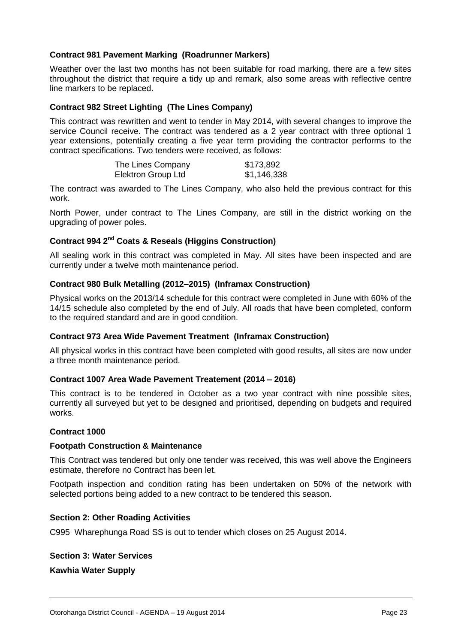#### **Contract 981 Pavement Marking (Roadrunner Markers)**

Weather over the last two months has not been suitable for road marking, there are a few sites throughout the district that require a tidy up and remark, also some areas with reflective centre line markers to be replaced.

#### **Contract 982 Street Lighting (The Lines Company)**

This contract was rewritten and went to tender in May 2014, with several changes to improve the service Council receive. The contract was tendered as a 2 year contract with three optional 1 year extensions, potentially creating a five year term providing the contractor performs to the contract specifications. Two tenders were received, as follows:

| The Lines Company         | \$173,892   |
|---------------------------|-------------|
| <b>Elektron Group Ltd</b> | \$1,146,338 |

The contract was awarded to The Lines Company, who also held the previous contract for this work.

North Power, under contract to The Lines Company, are still in the district working on the upgrading of power poles.

#### **Contract 994 2nd Coats & Reseals (Higgins Construction)**

All sealing work in this contract was completed in May. All sites have been inspected and are currently under a twelve moth maintenance period.

#### **Contract 980 Bulk Metalling (2012–2015) (Inframax Construction)**

Physical works on the 2013/14 schedule for this contract were completed in June with 60% of the 14/15 schedule also completed by the end of July. All roads that have been completed, conform to the required standard and are in good condition.

#### **Contract 973 Area Wide Pavement Treatment (Inframax Construction)**

All physical works in this contract have been completed with good results, all sites are now under a three month maintenance period.

#### **Contract 1007 Area Wade Pavement Treatement (2014 – 2016)**

This contract is to be tendered in October as a two year contract with nine possible sites, currently all surveyed but yet to be designed and prioritised, depending on budgets and required works.

#### **Contract 1000**

#### **Footpath Construction & Maintenance**

This Contract was tendered but only one tender was received, this was well above the Engineers estimate, therefore no Contract has been let.

Footpath inspection and condition rating has been undertaken on 50% of the network with selected portions being added to a new contract to be tendered this season.

#### **Section 2: Other Roading Activities**

C995 Wharephunga Road SS is out to tender which closes on 25 August 2014.

#### **Section 3: Water Services**

**Kawhia Water Supply**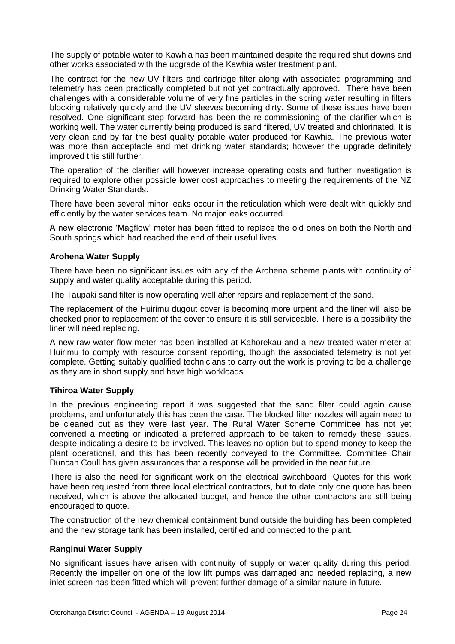The supply of potable water to Kawhia has been maintained despite the required shut downs and other works associated with the upgrade of the Kawhia water treatment plant.

The contract for the new UV filters and cartridge filter along with associated programming and telemetry has been practically completed but not yet contractually approved. There have been challenges with a considerable volume of very fine particles in the spring water resulting in filters blocking relatively quickly and the UV sleeves becoming dirty. Some of these issues have been resolved. One significant step forward has been the re-commissioning of the clarifier which is working well. The water currently being produced is sand filtered, UV treated and chlorinated. It is very clean and by far the best quality potable water produced for Kawhia. The previous water was more than acceptable and met drinking water standards; however the upgrade definitely improved this still further.

The operation of the clarifier will however increase operating costs and further investigation is required to explore other possible lower cost approaches to meeting the requirements of the NZ Drinking Water Standards.

There have been several minor leaks occur in the reticulation which were dealt with quickly and efficiently by the water services team. No major leaks occurred.

A new electronic 'Magflow' meter has been fitted to replace the old ones on both the North and South springs which had reached the end of their useful lives.

#### **Arohena Water Supply**

There have been no significant issues with any of the Arohena scheme plants with continuity of supply and water quality acceptable during this period.

The Taupaki sand filter is now operating well after repairs and replacement of the sand.

The replacement of the Huirimu dugout cover is becoming more urgent and the liner will also be checked prior to replacement of the cover to ensure it is still serviceable. There is a possibility the liner will need replacing.

A new raw water flow meter has been installed at Kahorekau and a new treated water meter at Huirimu to comply with resource consent reporting, though the associated telemetry is not yet complete. Getting suitably qualified technicians to carry out the work is proving to be a challenge as they are in short supply and have high workloads.

#### **Tihiroa Water Supply**

In the previous engineering report it was suggested that the sand filter could again cause problems, and unfortunately this has been the case. The blocked filter nozzles will again need to be cleaned out as they were last year. The Rural Water Scheme Committee has not yet convened a meeting or indicated a preferred approach to be taken to remedy these issues, despite indicating a desire to be involved. This leaves no option but to spend money to keep the plant operational, and this has been recently conveyed to the Committee. Committee Chair Duncan Coull has given assurances that a response will be provided in the near future.

There is also the need for significant work on the electrical switchboard. Quotes for this work have been requested from three local electrical contractors, but to date only one quote has been received, which is above the allocated budget, and hence the other contractors are still being encouraged to quote.

The construction of the new chemical containment bund outside the building has been completed and the new storage tank has been installed, certified and connected to the plant.

#### **Ranginui Water Supply**

No significant issues have arisen with continuity of supply or water quality during this period. Recently the impeller on one of the low lift pumps was damaged and needed replacing, a new inlet screen has been fitted which will prevent further damage of a similar nature in future.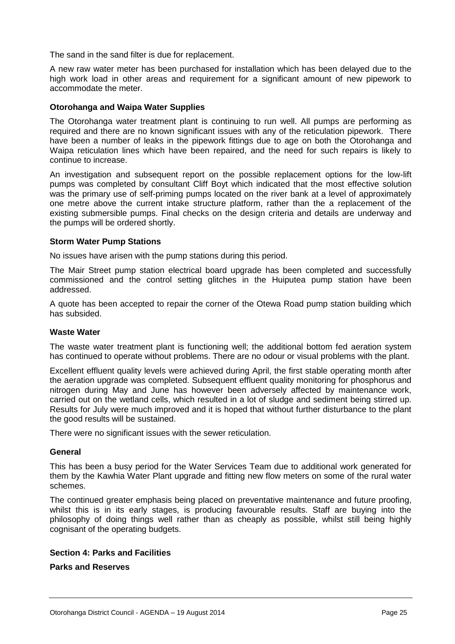The sand in the sand filter is due for replacement.

A new raw water meter has been purchased for installation which has been delayed due to the high work load in other areas and requirement for a significant amount of new pipework to accommodate the meter.

#### **Otorohanga and Waipa Water Supplies**

The Otorohanga water treatment plant is continuing to run well. All pumps are performing as required and there are no known significant issues with any of the reticulation pipework. There have been a number of leaks in the pipework fittings due to age on both the Otorohanga and Waipa reticulation lines which have been repaired, and the need for such repairs is likely to continue to increase.

An investigation and subsequent report on the possible replacement options for the low-lift pumps was completed by consultant Cliff Boyt which indicated that the most effective solution was the primary use of self-priming pumps located on the river bank at a level of approximately one metre above the current intake structure platform, rather than the a replacement of the existing submersible pumps. Final checks on the design criteria and details are underway and the pumps will be ordered shortly.

#### **Storm Water Pump Stations**

No issues have arisen with the pump stations during this period.

The Mair Street pump station electrical board upgrade has been completed and successfully commissioned and the control setting glitches in the Huiputea pump station have been addressed.

A quote has been accepted to repair the corner of the Otewa Road pump station building which has subsided.

#### **Waste Water**

The waste water treatment plant is functioning well; the additional bottom fed aeration system has continued to operate without problems. There are no odour or visual problems with the plant.

Excellent effluent quality levels were achieved during April, the first stable operating month after the aeration upgrade was completed. Subsequent effluent quality monitoring for phosphorus and nitrogen during May and June has however been adversely affected by maintenance work, carried out on the wetland cells, which resulted in a lot of sludge and sediment being stirred up. Results for July were much improved and it is hoped that without further disturbance to the plant the good results will be sustained.

There were no significant issues with the sewer reticulation.

#### **General**

This has been a busy period for the Water Services Team due to additional work generated for them by the Kawhia Water Plant upgrade and fitting new flow meters on some of the rural water schemes.

The continued greater emphasis being placed on preventative maintenance and future proofing, whilst this is in its early stages, is producing favourable results. Staff are buying into the philosophy of doing things well rather than as cheaply as possible, whilst still being highly cognisant of the operating budgets.

#### **Section 4: Parks and Facilities**

#### **Parks and Reserves**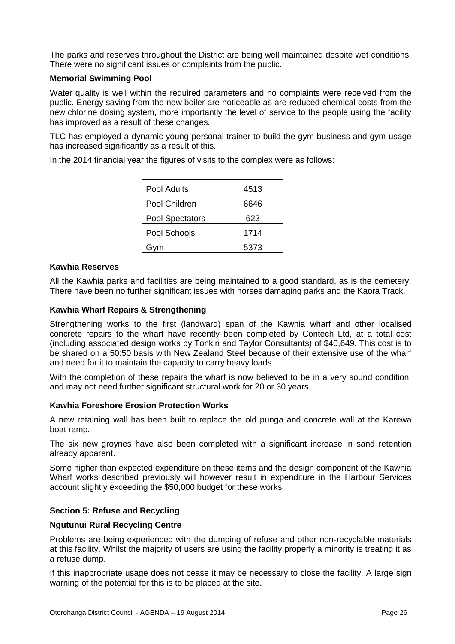The parks and reserves throughout the District are being well maintained despite wet conditions. There were no significant issues or complaints from the public.

#### **Memorial Swimming Pool**

Water quality is well within the required parameters and no complaints were received from the public. Energy saving from the new boiler are noticeable as are reduced chemical costs from the new chlorine dosing system, more importantly the level of service to the people using the facility has improved as a result of these changes.

TLC has employed a dynamic young personal trainer to build the gym business and gym usage has increased significantly as a result of this.

In the 2014 financial year the figures of visits to the complex were as follows:

| Pool Adults            | 4513 |
|------------------------|------|
| Pool Children          | 6646 |
| <b>Pool Spectators</b> | 623  |
| Pool Schools           | 1714 |
| Gvm                    | 5373 |

#### **Kawhia Reserves**

All the Kawhia parks and facilities are being maintained to a good standard, as is the cemetery. There have been no further significant issues with horses damaging parks and the Kaora Track.

#### **Kawhia Wharf Repairs & Strengthening**

Strengthening works to the first (landward) span of the Kawhia wharf and other localised concrete repairs to the wharf have recently been completed by Contech Ltd, at a total cost (including associated design works by Tonkin and Taylor Consultants) of \$40,649. This cost is to be shared on a 50:50 basis with New Zealand Steel because of their extensive use of the wharf and need for it to maintain the capacity to carry heavy loads

With the completion of these repairs the wharf is now believed to be in a very sound condition, and may not need further significant structural work for 20 or 30 years.

#### **Kawhia Foreshore Erosion Protection Works**

A new retaining wall has been built to replace the old punga and concrete wall at the Karewa boat ramp.

The six new groynes have also been completed with a significant increase in sand retention already apparent.

Some higher than expected expenditure on these items and the design component of the Kawhia Wharf works described previously will however result in expenditure in the Harbour Services account slightly exceeding the \$50,000 budget for these works.

#### **Section 5: Refuse and Recycling**

#### **Ngutunui Rural Recycling Centre**

Problems are being experienced with the dumping of refuse and other non-recyclable materials at this facility. Whilst the majority of users are using the facility properly a minority is treating it as a refuse dump.

If this inappropriate usage does not cease it may be necessary to close the facility. A large sign warning of the potential for this is to be placed at the site.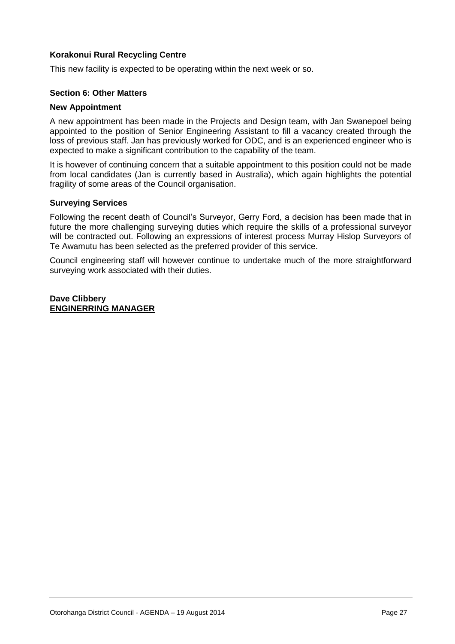#### **Korakonui Rural Recycling Centre**

This new facility is expected to be operating within the next week or so.

#### **Section 6: Other Matters**

#### **New Appointment**

A new appointment has been made in the Projects and Design team, with Jan Swanepoel being appointed to the position of Senior Engineering Assistant to fill a vacancy created through the loss of previous staff. Jan has previously worked for ODC, and is an experienced engineer who is expected to make a significant contribution to the capability of the team.

It is however of continuing concern that a suitable appointment to this position could not be made from local candidates (Jan is currently based in Australia), which again highlights the potential fragility of some areas of the Council organisation.

#### **Surveying Services**

Following the recent death of Council's Surveyor, Gerry Ford, a decision has been made that in future the more challenging surveying duties which require the skills of a professional surveyor will be contracted out. Following an expressions of interest process Murray Hislop Surveyors of Te Awamutu has been selected as the preferred provider of this service.

Council engineering staff will however continue to undertake much of the more straightforward surveying work associated with their duties.

**Dave Clibbery ENGINERRING MANAGER**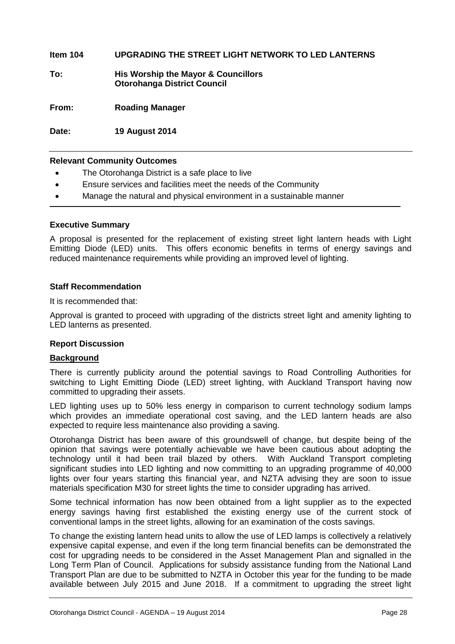#### **Item 104 UPGRADING THE STREET LIGHT NETWORK TO LED LANTERNS**

**To: His Worship the Mayor & Councillors Otorohanga District Council**

**From: Roading Manager**

**Date: 19 August 2014**

#### **Relevant Community Outcomes**

- The Otorohanga District is a safe place to live
- Ensure services and facilities meet the needs of the Community
- Manage the natural and physical environment in a sustainable manner

#### **Executive Summary**

A proposal is presented for the replacement of existing street light lantern heads with Light Emitting Diode (LED) units. This offers economic benefits in terms of energy savings and reduced maintenance requirements while providing an improved level of lighting.

#### **Staff Recommendation**

It is recommended that:

Approval is granted to proceed with upgrading of the districts street light and amenity lighting to LED lanterns as presented.

#### **Report Discussion**

#### **Background**

There is currently publicity around the potential savings to Road Controlling Authorities for switching to Light Emitting Diode (LED) street lighting, with Auckland Transport having now committed to upgrading their assets.

LED lighting uses up to 50% less energy in comparison to current technology sodium lamps which provides an immediate operational cost saving, and the LED lantern heads are also expected to require less maintenance also providing a saving.

Otorohanga District has been aware of this groundswell of change, but despite being of the opinion that savings were potentially achievable we have been cautious about adopting the technology until it had been trail blazed by others. With Auckland Transport completing significant studies into LED lighting and now committing to an upgrading programme of 40,000 lights over four years starting this financial year, and NZTA advising they are soon to issue materials specification M30 for street lights the time to consider upgrading has arrived.

Some technical information has now been obtained from a light supplier as to the expected energy savings having first established the existing energy use of the current stock of conventional lamps in the street lights, allowing for an examination of the costs savings.

To change the existing lantern head units to allow the use of LED lamps is collectively a relatively expensive capital expense, and even if the long term financial benefits can be demonstrated the cost for upgrading needs to be considered in the Asset Management Plan and signalled in the Long Term Plan of Council. Applications for subsidy assistance funding from the National Land Transport Plan are due to be submitted to NZTA in October this year for the funding to be made available between July 2015 and June 2018. If a commitment to upgrading the street light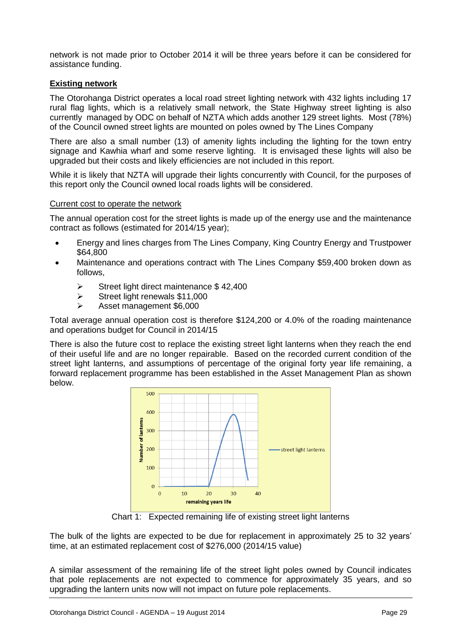network is not made prior to October 2014 it will be three years before it can be considered for assistance funding.

#### **Existing network**

The Otorohanga District operates a local road street lighting network with 432 lights including 17 rural flag lights, which is a relatively small network, the State Highway street lighting is also currently managed by ODC on behalf of NZTA which adds another 129 street lights. Most (78%) of the Council owned street lights are mounted on poles owned by The Lines Company

There are also a small number (13) of amenity lights including the lighting for the town entry signage and Kawhia wharf and some reserve lighting. It is envisaged these lights will also be upgraded but their costs and likely efficiencies are not included in this report.

While it is likely that NZTA will upgrade their lights concurrently with Council, for the purposes of this report only the Council owned local roads lights will be considered.

#### Current cost to operate the network

The annual operation cost for the street lights is made up of the energy use and the maintenance contract as follows (estimated for 2014/15 year);

- Energy and lines charges from The Lines Company, King Country Energy and Trustpower \$64,800
- Maintenance and operations contract with The Lines Company \$59,400 broken down as follows,
	- $\triangleright$  Street light direct maintenance \$42,400
	- $\triangleright$  Street light renewals \$11,000
	- Asset management \$6,000

Total average annual operation cost is therefore \$124,200 or 4.0% of the roading maintenance and operations budget for Council in 2014/15

There is also the future cost to replace the existing street light lanterns when they reach the end of their useful life and are no longer repairable. Based on the recorded current condition of the street light lanterns, and assumptions of percentage of the original forty year life remaining, a forward replacement programme has been established in the Asset Management Plan as shown below.



Chart 1: Expected remaining life of existing street light lanterns

The bulk of the lights are expected to be due for replacement in approximately 25 to 32 years' time, at an estimated replacement cost of \$276,000 (2014/15 value)

A similar assessment of the remaining life of the street light poles owned by Council indicates that pole replacements are not expected to commence for approximately 35 years, and so upgrading the lantern units now will not impact on future pole replacements.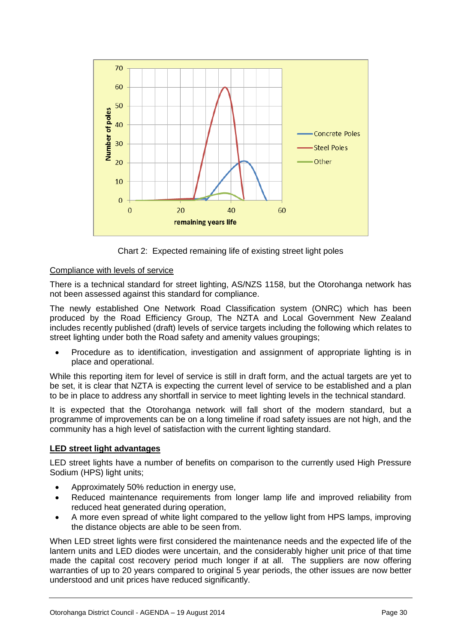

Chart 2: Expected remaining life of existing street light poles

#### Compliance with levels of service

There is a technical standard for street lighting, AS/NZS 1158, but the Otorohanga network has not been assessed against this standard for compliance.

The newly established One Network Road Classification system (ONRC) which has been produced by the Road Efficiency Group, The NZTA and Local Government New Zealand includes recently published (draft) levels of service targets including the following which relates to street lighting under both the Road safety and amenity values groupings;

 Procedure as to identification, investigation and assignment of appropriate lighting is in place and operational.

While this reporting item for level of service is still in draft form, and the actual targets are yet to be set, it is clear that NZTA is expecting the current level of service to be established and a plan to be in place to address any shortfall in service to meet lighting levels in the technical standard.

It is expected that the Otorohanga network will fall short of the modern standard, but a programme of improvements can be on a long timeline if road safety issues are not high, and the community has a high level of satisfaction with the current lighting standard.

#### **LED street light advantages**

LED street lights have a number of benefits on comparison to the currently used High Pressure Sodium (HPS) light units;

- Approximately 50% reduction in energy use,
- Reduced maintenance requirements from longer lamp life and improved reliability from reduced heat generated during operation,
- A more even spread of white light compared to the yellow light from HPS lamps, improving the distance objects are able to be seen from.

When LED street lights were first considered the maintenance needs and the expected life of the lantern units and LED diodes were uncertain, and the considerably higher unit price of that time made the capital cost recovery period much longer if at all. The suppliers are now offering warranties of up to 20 years compared to original 5 year periods, the other issues are now better understood and unit prices have reduced significantly.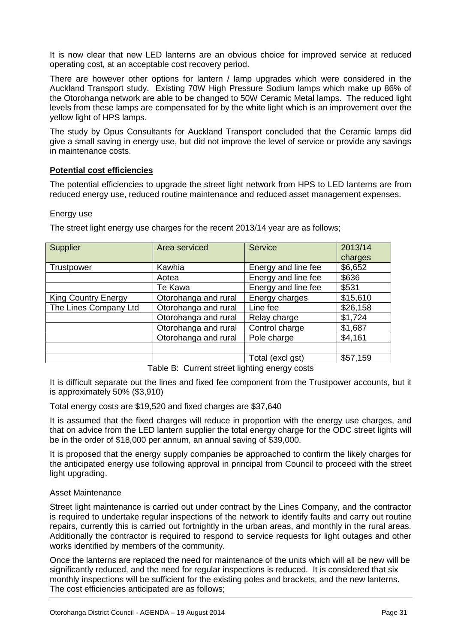It is now clear that new LED lanterns are an obvious choice for improved service at reduced operating cost, at an acceptable cost recovery period.

There are however other options for lantern / lamp upgrades which were considered in the Auckland Transport study. Existing 70W High Pressure Sodium lamps which make up 86% of the Otorohanga network are able to be changed to 50W Ceramic Metal lamps. The reduced light levels from these lamps are compensated for by the white light which is an improvement over the yellow light of HPS lamps.

The study by Opus Consultants for Auckland Transport concluded that the Ceramic lamps did give a small saving in energy use, but did not improve the level of service or provide any savings in maintenance costs.

#### **Potential cost efficiencies**

The potential efficiencies to upgrade the street light network from HPS to LED lanterns are from reduced energy use, reduced routine maintenance and reduced asset management expenses.

#### Energy use

Supplier Area serviced Service 2013/14 charges Trustpower | Kawhia | Energy and line fee | \$6.652 Aotea | Energy and line fee | \$636 Te Kawa Ferergy and line fee 1 \$531 King Country Energy  $\vert$  Otorohanga and rural Energy charges  $\vert$  \$15,610 The Lines Company Ltd  $\vert$  Otorohanga and rural  $\vert$  Line fee  $\vert$  \$26,158 Otorohanga and rural  $\vert$  Relay charge  $\vert$  \$1,724 Otorohanga and rural Control charge \ \ \ \ \ \$1,687 Otorohanga and rural Pole charge 1 \$4,161

The street light energy use charges for the recent 2013/14 year are as follows;

Table B: Current street lighting energy costs

Total (excl gst) \$57,159

It is difficult separate out the lines and fixed fee component from the Trustpower accounts, but it is approximately 50% (\$3,910)

Total energy costs are \$19,520 and fixed charges are \$37,640

It is assumed that the fixed charges will reduce in proportion with the energy use charges, and that on advice from the LED lantern supplier the total energy charge for the ODC street lights will be in the order of \$18,000 per annum, an annual saving of \$39,000.

It is proposed that the energy supply companies be approached to confirm the likely charges for the anticipated energy use following approval in principal from Council to proceed with the street light upgrading.

#### Asset Maintenance

Street light maintenance is carried out under contract by the Lines Company, and the contractor is required to undertake regular inspections of the network to identify faults and carry out routine repairs, currently this is carried out fortnightly in the urban areas, and monthly in the rural areas. Additionally the contractor is required to respond to service requests for light outages and other works identified by members of the community.

Once the lanterns are replaced the need for maintenance of the units which will all be new will be significantly reduced, and the need for regular inspections is reduced. It is considered that six monthly inspections will be sufficient for the existing poles and brackets, and the new lanterns. The cost efficiencies anticipated are as follows;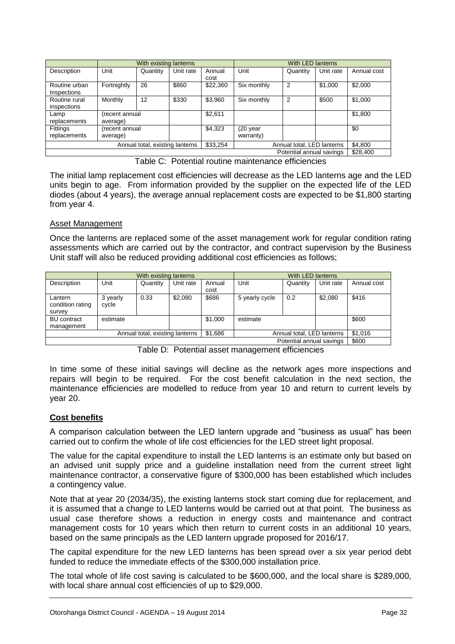|                              |                                 | With existing lanterns |           |                            |                       | With LED lanterns |           |             |
|------------------------------|---------------------------------|------------------------|-----------|----------------------------|-----------------------|-------------------|-----------|-------------|
| Description                  | Unit                            | Quantity               | Unit rate | Annual<br>cost             | Unit                  | Quantity          | Unit rate | Annual cost |
| Routine urban<br>Inspections | Fortnightly                     | 26                     | \$860     | \$22,360                   | Six monthly           | 2                 | \$1,000   | \$2,000     |
| Routine rural<br>inspections | Monthly                         | 12                     | \$330     | \$3,960                    | Six monthly           | 2                 | \$500     | \$1,000     |
| Lamp<br>replacements         | recent annual)<br>average)      |                        |           | \$2,611                    |                       |                   |           | \$1,800     |
| Fittings<br>replacements     | (recent annual<br>average)      |                        |           | \$4,323                    | (20 year<br>warranty) |                   |           | \$0         |
|                              | Annual total, existing lanterns | \$33.254               |           | Annual total, LED lanterns |                       | \$4,800           |           |             |
|                              | Potential annual savings        |                        |           |                            |                       |                   |           | \$28,400    |

Table C: Potential routine maintenance efficiencies

The initial lamp replacement cost efficiencies will decrease as the LED lanterns age and the LED units begin to age. From information provided by the supplier on the expected life of the LED diodes (about 4 years), the average annual replacement costs are expected to be \$1,800 starting from year 4.

#### Asset Management

Once the lanterns are replaced some of the asset management work for regular condition rating assessments which are carried out by the contractor, and contract supervision by the Business Unit staff will also be reduced providing additional cost efficiencies as follows;

|                                       | With existing lanterns   |          |           |                | With LED lanterns          |          |           |             |
|---------------------------------------|--------------------------|----------|-----------|----------------|----------------------------|----------|-----------|-------------|
| Description                           | Unit                     | Quantity | Unit rate | Annual<br>cost | Unit                       | Quantity | Unit rate | Annual cost |
| Lantern<br>condition rating<br>survey | 3 yearly<br>cycle        | 0.33     | \$2,080   | \$686          | 5 yearly cycle             | 0.2      | \$2,080   | \$416       |
| <b>BU</b> contract<br>management      | estimate                 |          |           | \$1,000        | estimate                   |          |           | \$600       |
| Annual total, existing lanterns       |                          |          |           | \$1,686        | Annual total, LED lanterns |          | \$1,016   |             |
|                                       | Potential annual savings |          |           |                |                            |          |           | \$600       |

Table D: Potential asset management efficiencies

In time some of these initial savings will decline as the network ages more inspections and repairs will begin to be required. For the cost benefit calculation in the next section, the maintenance efficiencies are modelled to reduce from year 10 and return to current levels by year 20.

#### **Cost benefits**

A comparison calculation between the LED lantern upgrade and "business as usual" has been carried out to confirm the whole of life cost efficiencies for the LED street light proposal.

The value for the capital expenditure to install the LED lanterns is an estimate only but based on an advised unit supply price and a guideline installation need from the current street light maintenance contractor, a conservative figure of \$300,000 has been established which includes a contingency value.

Note that at year 20 (2034/35), the existing lanterns stock start coming due for replacement, and it is assumed that a change to LED lanterns would be carried out at that point. The business as usual case therefore shows a reduction in energy costs and maintenance and contract management costs for 10 years which then return to current costs in an additional 10 years, based on the same principals as the LED lantern upgrade proposed for 2016/17.

The capital expenditure for the new LED lanterns has been spread over a six year period debt funded to reduce the immediate effects of the \$300,000 installation price.

The total whole of life cost saving is calculated to be \$600,000, and the local share is \$289,000, with local share annual cost efficiencies of up to \$29,000.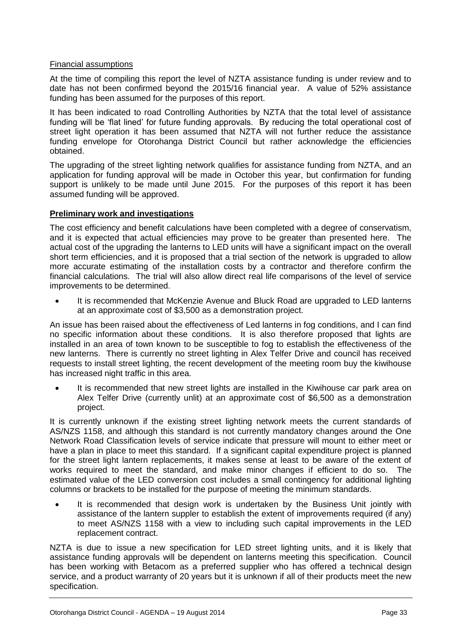#### Financial assumptions

At the time of compiling this report the level of NZTA assistance funding is under review and to date has not been confirmed beyond the 2015/16 financial year. A value of 52% assistance funding has been assumed for the purposes of this report.

It has been indicated to road Controlling Authorities by NZTA that the total level of assistance funding will be 'flat lined' for future funding approvals. By reducing the total operational cost of street light operation it has been assumed that NZTA will not further reduce the assistance funding envelope for Otorohanga District Council but rather acknowledge the efficiencies obtained.

The upgrading of the street lighting network qualifies for assistance funding from NZTA, and an application for funding approval will be made in October this year, but confirmation for funding support is unlikely to be made until June 2015. For the purposes of this report it has been assumed funding will be approved.

#### **Preliminary work and investigations**

The cost efficiency and benefit calculations have been completed with a degree of conservatism, and it is expected that actual efficiencies may prove to be greater than presented here. The actual cost of the upgrading the lanterns to LED units will have a significant impact on the overall short term efficiencies, and it is proposed that a trial section of the network is upgraded to allow more accurate estimating of the installation costs by a contractor and therefore confirm the financial calculations. The trial will also allow direct real life comparisons of the level of service improvements to be determined.

 It is recommended that McKenzie Avenue and Bluck Road are upgraded to LED lanterns at an approximate cost of \$3,500 as a demonstration project.

An issue has been raised about the effectiveness of Led lanterns in fog conditions, and I can find no specific information about these conditions. It is also therefore proposed that lights are installed in an area of town known to be susceptible to fog to establish the effectiveness of the new lanterns. There is currently no street lighting in Alex Telfer Drive and council has received requests to install street lighting, the recent development of the meeting room buy the kiwihouse has increased night traffic in this area.

 It is recommended that new street lights are installed in the Kiwihouse car park area on Alex Telfer Drive (currently unlit) at an approximate cost of \$6,500 as a demonstration project.

It is currently unknown if the existing street lighting network meets the current standards of AS/NZS 1158, and although this standard is not currently mandatory changes around the One Network Road Classification levels of service indicate that pressure will mount to either meet or have a plan in place to meet this standard. If a significant capital expenditure project is planned for the street light lantern replacements, it makes sense at least to be aware of the extent of works required to meet the standard, and make minor changes if efficient to do so. The estimated value of the LED conversion cost includes a small contingency for additional lighting columns or brackets to be installed for the purpose of meeting the minimum standards.

 It is recommended that design work is undertaken by the Business Unit jointly with assistance of the lantern suppler to establish the extent of improvements required (if any) to meet AS/NZS 1158 with a view to including such capital improvements in the LED replacement contract.

NZTA is due to issue a new specification for LED street lighting units, and it is likely that assistance funding approvals will be dependent on lanterns meeting this specification. Council has been working with Betacom as a preferred supplier who has offered a technical design service, and a product warranty of 20 years but it is unknown if all of their products meet the new specification.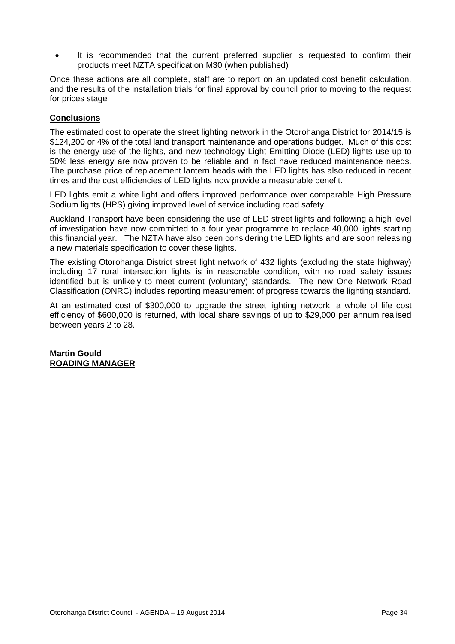It is recommended that the current preferred supplier is requested to confirm their products meet NZTA specification M30 (when published)

Once these actions are all complete, staff are to report on an updated cost benefit calculation, and the results of the installation trials for final approval by council prior to moving to the request for prices stage

#### **Conclusions**

The estimated cost to operate the street lighting network in the Otorohanga District for 2014/15 is \$124,200 or 4% of the total land transport maintenance and operations budget. Much of this cost is the energy use of the lights, and new technology Light Emitting Diode (LED) lights use up to 50% less energy are now proven to be reliable and in fact have reduced maintenance needs. The purchase price of replacement lantern heads with the LED lights has also reduced in recent times and the cost efficiencies of LED lights now provide a measurable benefit.

LED lights emit a white light and offers improved performance over comparable High Pressure Sodium lights (HPS) giving improved level of service including road safety.

Auckland Transport have been considering the use of LED street lights and following a high level of investigation have now committed to a four year programme to replace 40,000 lights starting this financial year. The NZTA have also been considering the LED lights and are soon releasing a new materials specification to cover these lights.

The existing Otorohanga District street light network of 432 lights (excluding the state highway) including 17 rural intersection lights is in reasonable condition, with no road safety issues identified but is unlikely to meet current (voluntary) standards. The new One Network Road Classification (ONRC) includes reporting measurement of progress towards the lighting standard.

At an estimated cost of \$300,000 to upgrade the street lighting network, a whole of life cost efficiency of \$600,000 is returned, with local share savings of up to \$29,000 per annum realised between years 2 to 28.

**Martin Gould ROADING MANAGER**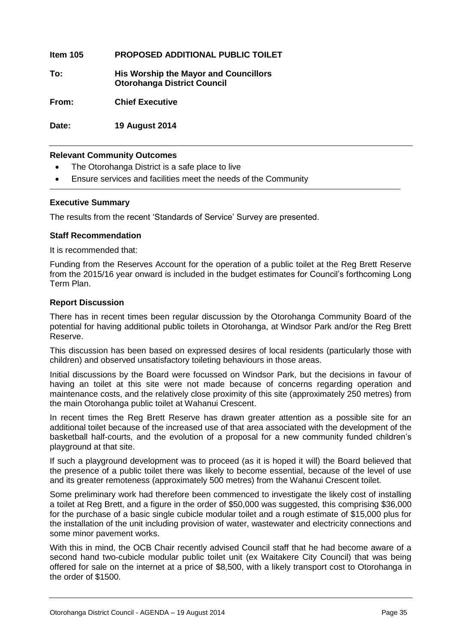**Item 105 PROPOSED ADDITIONAL PUBLIC TOILET**

**To: His Worship the Mayor and Councillors Otorohanga District Council**

**From: Chief Executive**

**Date: 19 August 2014**

#### **Relevant Community Outcomes**

- The Otorohanga District is a safe place to live
- Ensure services and facilities meet the needs of the Community

#### **Executive Summary**

The results from the recent 'Standards of Service' Survey are presented.

#### **Staff Recommendation**

It is recommended that:

Funding from the Reserves Account for the operation of a public toilet at the Reg Brett Reserve from the 2015/16 year onward is included in the budget estimates for Council's forthcoming Long Term Plan.

#### **Report Discussion**

There has in recent times been regular discussion by the Otorohanga Community Board of the potential for having additional public toilets in Otorohanga, at Windsor Park and/or the Reg Brett Reserve.

This discussion has been based on expressed desires of local residents (particularly those with children) and observed unsatisfactory toileting behaviours in those areas.

Initial discussions by the Board were focussed on Windsor Park, but the decisions in favour of having an toilet at this site were not made because of concerns regarding operation and maintenance costs, and the relatively close proximity of this site (approximately 250 metres) from the main Otorohanga public toilet at Wahanui Crescent.

In recent times the Reg Brett Reserve has drawn greater attention as a possible site for an additional toilet because of the increased use of that area associated with the development of the basketball half-courts, and the evolution of a proposal for a new community funded children's playground at that site.

If such a playground development was to proceed (as it is hoped it will) the Board believed that the presence of a public toilet there was likely to become essential, because of the level of use and its greater remoteness (approximately 500 metres) from the Wahanui Crescent toilet.

Some preliminary work had therefore been commenced to investigate the likely cost of installing a toilet at Reg Brett, and a figure in the order of \$50,000 was suggested, this comprising \$36,000 for the purchase of a basic single cubicle modular toilet and a rough estimate of \$15,000 plus for the installation of the unit including provision of water, wastewater and electricity connections and some minor pavement works.

With this in mind, the OCB Chair recently advised Council staff that he had become aware of a second hand two-cubicle modular public toilet unit (ex Waitakere City Council) that was being offered for sale on the internet at a price of \$8,500, with a likely transport cost to Otorohanga in the order of \$1500.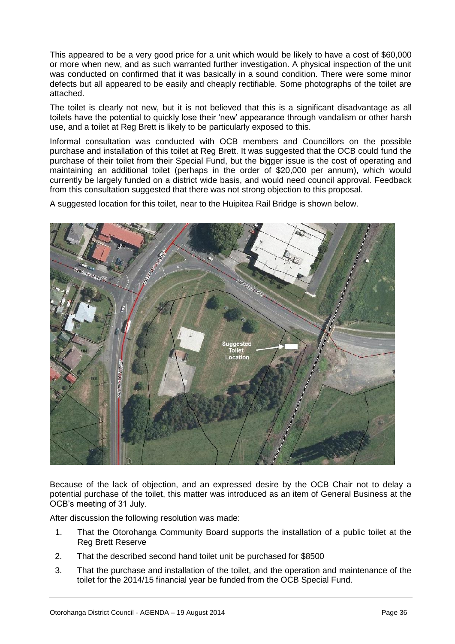This appeared to be a very good price for a unit which would be likely to have a cost of \$60,000 or more when new, and as such warranted further investigation. A physical inspection of the unit was conducted on confirmed that it was basically in a sound condition. There were some minor defects but all appeared to be easily and cheaply rectifiable. Some photographs of the toilet are attached.

The toilet is clearly not new, but it is not believed that this is a significant disadvantage as all toilets have the potential to quickly lose their 'new' appearance through vandalism or other harsh use, and a toilet at Reg Brett is likely to be particularly exposed to this.

Informal consultation was conducted with OCB members and Councillors on the possible purchase and installation of this toilet at Reg Brett. It was suggested that the OCB could fund the purchase of their toilet from their Special Fund, but the bigger issue is the cost of operating and maintaining an additional toilet (perhaps in the order of \$20,000 per annum), which would currently be largely funded on a district wide basis, and would need council approval. Feedback from this consultation suggested that there was not strong objection to this proposal.

A suggested location for this toilet, near to the Huipitea Rail Bridge is shown below.



Because of the lack of objection, and an expressed desire by the OCB Chair not to delay a potential purchase of the toilet, this matter was introduced as an item of General Business at the OCB's meeting of 31 July.

After discussion the following resolution was made:

- 1. That the Otorohanga Community Board supports the installation of a public toilet at the Reg Brett Reserve
- 2. That the described second hand toilet unit be purchased for \$8500
- 3. That the purchase and installation of the toilet, and the operation and maintenance of the toilet for the 2014/15 financial year be funded from the OCB Special Fund.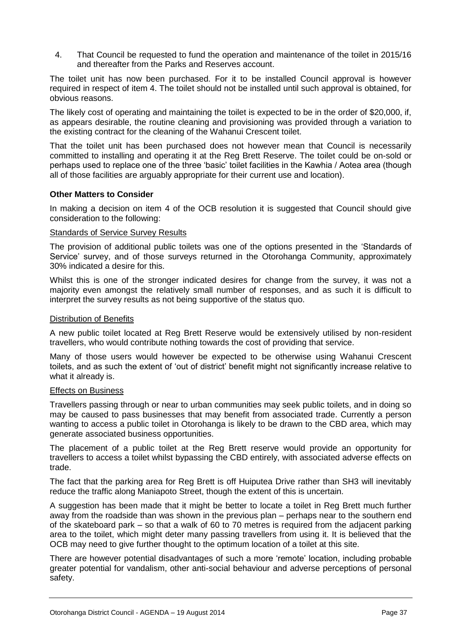4. That Council be requested to fund the operation and maintenance of the toilet in 2015/16 and thereafter from the Parks and Reserves account.

The toilet unit has now been purchased. For it to be installed Council approval is however required in respect of item 4. The toilet should not be installed until such approval is obtained, for obvious reasons.

The likely cost of operating and maintaining the toilet is expected to be in the order of \$20,000, if, as appears desirable, the routine cleaning and provisioning was provided through a variation to the existing contract for the cleaning of the Wahanui Crescent toilet.

That the toilet unit has been purchased does not however mean that Council is necessarily committed to installing and operating it at the Reg Brett Reserve. The toilet could be on-sold or perhaps used to replace one of the three 'basic' toilet facilities in the Kawhia / Aotea area (though all of those facilities are arguably appropriate for their current use and location).

#### **Other Matters to Consider**

In making a decision on item 4 of the OCB resolution it is suggested that Council should give consideration to the following:

#### Standards of Service Survey Results

The provision of additional public toilets was one of the options presented in the 'Standards of Service' survey, and of those surveys returned in the Otorohanga Community, approximately 30% indicated a desire for this.

Whilst this is one of the stronger indicated desires for change from the survey, it was not a majority even amongst the relatively small number of responses, and as such it is difficult to interpret the survey results as not being supportive of the status quo.

#### Distribution of Benefits

A new public toilet located at Reg Brett Reserve would be extensively utilised by non-resident travellers, who would contribute nothing towards the cost of providing that service.

Many of those users would however be expected to be otherwise using Wahanui Crescent toilets, and as such the extent of 'out of district' benefit might not significantly increase relative to what it already is.

#### Effects on Business

Travellers passing through or near to urban communities may seek public toilets, and in doing so may be caused to pass businesses that may benefit from associated trade. Currently a person wanting to access a public toilet in Otorohanga is likely to be drawn to the CBD area, which may generate associated business opportunities.

The placement of a public toilet at the Reg Brett reserve would provide an opportunity for travellers to access a toilet whilst bypassing the CBD entirely, with associated adverse effects on trade.

The fact that the parking area for Reg Brett is off Huiputea Drive rather than SH3 will inevitably reduce the traffic along Maniapoto Street, though the extent of this is uncertain.

A suggestion has been made that it might be better to locate a toilet in Reg Brett much further away from the roadside than was shown in the previous plan – perhaps near to the southern end of the skateboard park – so that a walk of 60 to 70 metres is required from the adjacent parking area to the toilet, which might deter many passing travellers from using it. It is believed that the OCB may need to give further thought to the optimum location of a toilet at this site.

There are however potential disadvantages of such a more 'remote' location, including probable greater potential for vandalism, other anti-social behaviour and adverse perceptions of personal safety.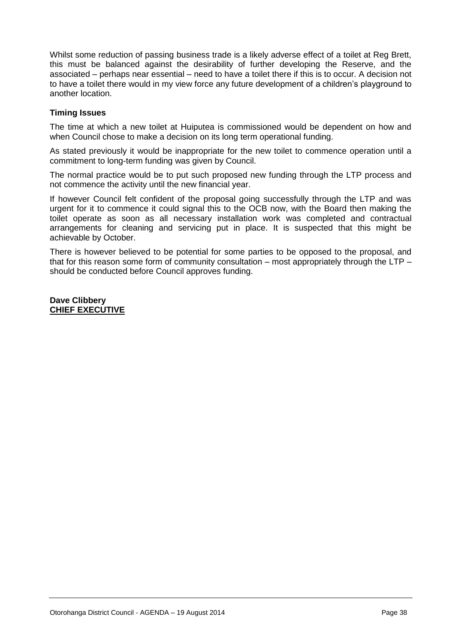Whilst some reduction of passing business trade is a likely adverse effect of a toilet at Reg Brett, this must be balanced against the desirability of further developing the Reserve, and the associated – perhaps near essential – need to have a toilet there if this is to occur. A decision not to have a toilet there would in my view force any future development of a children's playground to another location.

#### **Timing Issues**

The time at which a new toilet at Huiputea is commissioned would be dependent on how and when Council chose to make a decision on its long term operational funding.

As stated previously it would be inappropriate for the new toilet to commence operation until a commitment to long-term funding was given by Council.

The normal practice would be to put such proposed new funding through the LTP process and not commence the activity until the new financial year.

If however Council felt confident of the proposal going successfully through the LTP and was urgent for it to commence it could signal this to the OCB now, with the Board then making the toilet operate as soon as all necessary installation work was completed and contractual arrangements for cleaning and servicing put in place. It is suspected that this might be achievable by October.

There is however believed to be potential for some parties to be opposed to the proposal, and that for this reason some form of community consultation – most appropriately through the LTP – should be conducted before Council approves funding.

**Dave Clibbery CHIEF EXECUTIVE**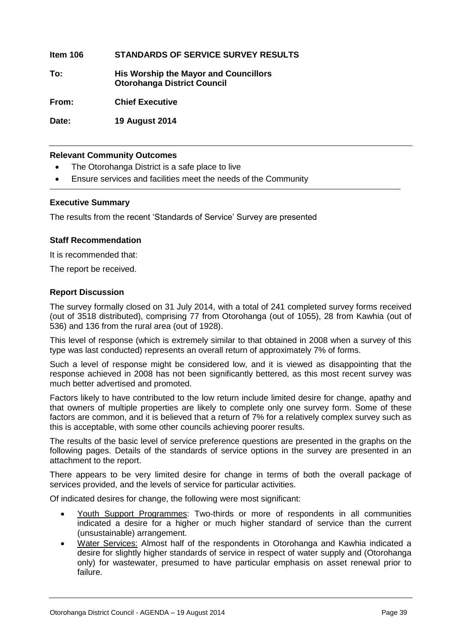#### **Item 106 STANDARDS OF SERVICE SURVEY RESULTS**

**To: His Worship the Mayor and Councillors Otorohanga District Council**

**From: Chief Executive**

**Date: 19 August 2014**

#### **Relevant Community Outcomes**

- The Otorohanga District is a safe place to live
- Ensure services and facilities meet the needs of the Community

#### **Executive Summary**

The results from the recent 'Standards of Service' Survey are presented

#### **Staff Recommendation**

It is recommended that:

The report be received.

#### **Report Discussion**

The survey formally closed on 31 July 2014, with a total of 241 completed survey forms received (out of 3518 distributed), comprising 77 from Otorohanga (out of 1055), 28 from Kawhia (out of 536) and 136 from the rural area (out of 1928).

This level of response (which is extremely similar to that obtained in 2008 when a survey of this type was last conducted) represents an overall return of approximately 7% of forms.

Such a level of response might be considered low, and it is viewed as disappointing that the response achieved in 2008 has not been significantly bettered, as this most recent survey was much better advertised and promoted.

Factors likely to have contributed to the low return include limited desire for change, apathy and that owners of multiple properties are likely to complete only one survey form. Some of these factors are common, and it is believed that a return of 7% for a relatively complex survey such as this is acceptable, with some other councils achieving poorer results.

The results of the basic level of service preference questions are presented in the graphs on the following pages. Details of the standards of service options in the survey are presented in an attachment to the report.

There appears to be very limited desire for change in terms of both the overall package of services provided, and the levels of service for particular activities.

Of indicated desires for change, the following were most significant:

- Youth Support Programmes: Two-thirds or more of respondents in all communities indicated a desire for a higher or much higher standard of service than the current (unsustainable) arrangement.
- Water Services: Almost half of the respondents in Otorohanga and Kawhia indicated a desire for slightly higher standards of service in respect of water supply and (Otorohanga only) for wastewater, presumed to have particular emphasis on asset renewal prior to failure.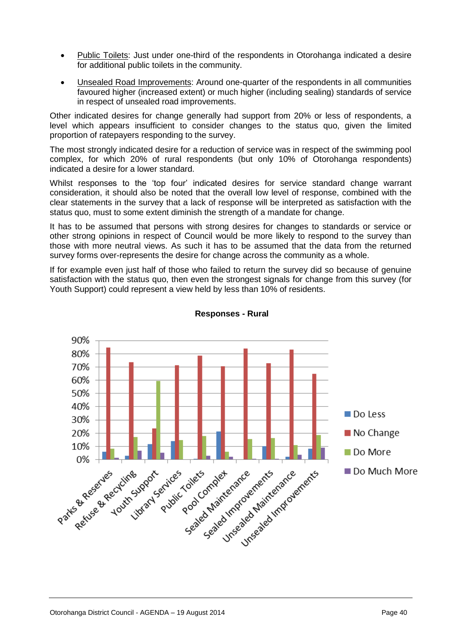- Public Toilets: Just under one-third of the respondents in Otorohanga indicated a desire for additional public toilets in the community.
- Unsealed Road Improvements: Around one-quarter of the respondents in all communities favoured higher (increased extent) or much higher (including sealing) standards of service in respect of unsealed road improvements.

Other indicated desires for change generally had support from 20% or less of respondents, a level which appears insufficient to consider changes to the status quo, given the limited proportion of ratepayers responding to the survey.

The most strongly indicated desire for a reduction of service was in respect of the swimming pool complex, for which 20% of rural respondents (but only 10% of Otorohanga respondents) indicated a desire for a lower standard.

Whilst responses to the 'top four' indicated desires for service standard change warrant consideration, it should also be noted that the overall low level of response, combined with the clear statements in the survey that a lack of response will be interpreted as satisfaction with the status quo, must to some extent diminish the strength of a mandate for change.

It has to be assumed that persons with strong desires for changes to standards or service or other strong opinions in respect of Council would be more likely to respond to the survey than those with more neutral views. As such it has to be assumed that the data from the returned survey forms over-represents the desire for change across the community as a whole.

If for example even just half of those who failed to return the survey did so because of genuine satisfaction with the status quo, then even the strongest signals for change from this survey (for Youth Support) could represent a view held by less than 10% of residents.



#### **Responses - Rural**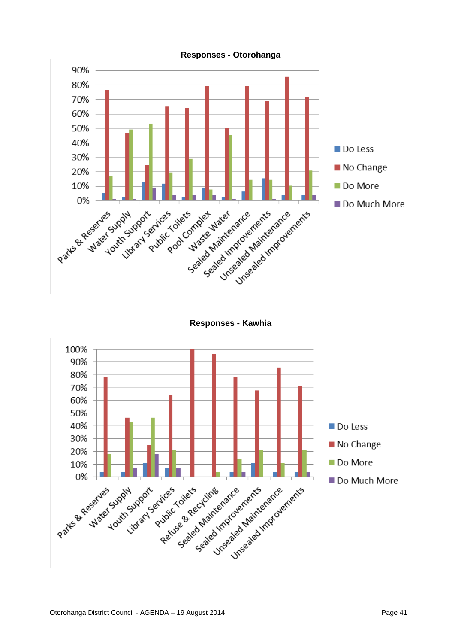

**Responses - Otorohanga**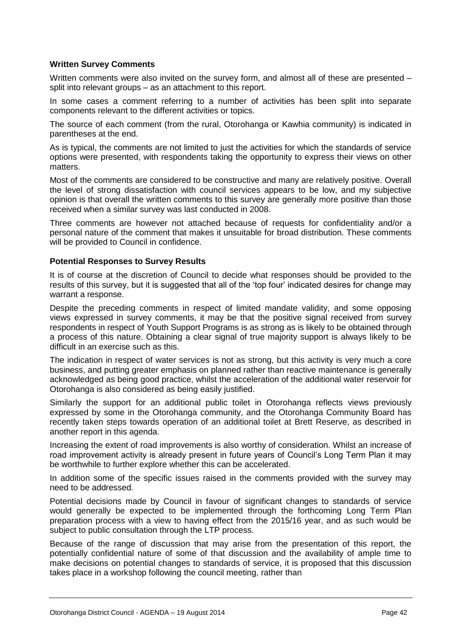#### **Written Survey Comments**

Written comments were also invited on the survey form, and almost all of these are presented – split into relevant groups – as an attachment to this report.

In some cases a comment referring to a number of activities has been split into separate components relevant to the different activities or topics.

The source of each comment (from the rural, Otorohanga or Kawhia community) is indicated in parentheses at the end.

As is typical, the comments are not limited to just the activities for which the standards of service options were presented, with respondents taking the opportunity to express their views on other matters.

Most of the comments are considered to be constructive and many are relatively positive. Overall the level of strong dissatisfaction with council services appears to be low, and my subjective opinion is that overall the written comments to this survey are generally more positive than those received when a similar survey was last conducted in 2008.

Three comments are however not attached because of requests for confidentiality and/or a personal nature of the comment that makes it unsuitable for broad distribution. These comments will be provided to Council in confidence.

#### **Potential Responses to Survey Results**

It is of course at the discretion of Council to decide what responses should be provided to the results of this survey, but it is suggested that all of the 'top four' indicated desires for change may warrant a response.

Despite the preceding comments in respect of limited mandate validity, and some opposing views expressed in survey comments, it may be that the positive signal received from survey respondents in respect of Youth Support Programs is as strong as is likely to be obtained through a process of this nature. Obtaining a clear signal of true majority support is always likely to be difficult in an exercise such as this.

The indication in respect of water services is not as strong, but this activity is very much a core business, and putting greater emphasis on planned rather than reactive maintenance is generally acknowledged as being good practice, whilst the acceleration of the additional water reservoir for Otorohanga is also considered as being easily justified.

Similarly the support for an additional public toilet in Otorohanga reflects views previously expressed by some in the Otorohanga community, and the Otorohanga Community Board has recently taken steps towards operation of an additional toilet at Brett Reserve, as described in another report in this agenda.

Increasing the extent of road improvements is also worthy of consideration. Whilst an increase of road improvement activity is already present in future years of Council's Long Term Plan it may be worthwhile to further explore whether this can be accelerated.

In addition some of the specific issues raised in the comments provided with the survey may need to be addressed.

Potential decisions made by Council in favour of significant changes to standards of service would generally be expected to be implemented through the forthcoming Long Term Plan preparation process with a view to having effect from the 2015/16 year, and as such would be subject to public consultation through the LTP process.

Because of the range of discussion that may arise from the presentation of this report, the potentially confidential nature of some of that discussion and the availability of ample time to make decisions on potential changes to standards of service, it is proposed that this discussion takes place in a workshop following the council meeting, rather than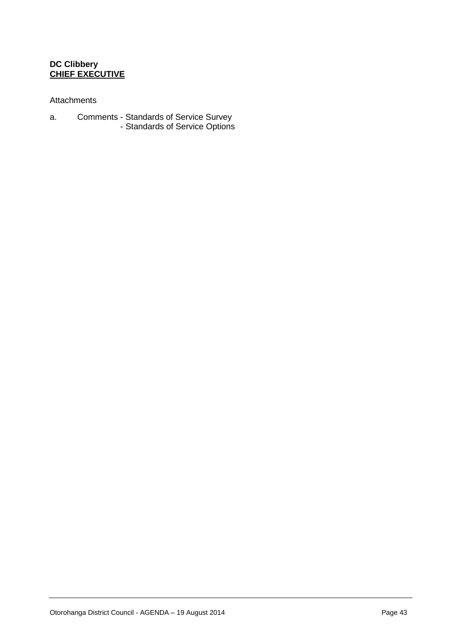#### **DC Clibbery CHIEF EXECUTIVE**

#### Attachments

- a. Comments Standards of Service Survey
	- Standards of Service Options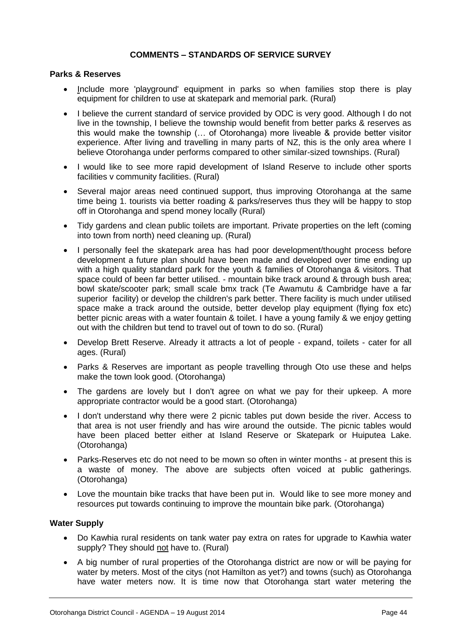#### **COMMENTS – STANDARDS OF SERVICE SURVEY**

#### **Parks & Reserves**

- Include more 'playground' equipment in parks so when families stop there is play equipment for children to use at skatepark and memorial park. (Rural)
- I believe the current standard of service provided by ODC is very good. Although I do not live in the township, I believe the township would benefit from better parks & reserves as this would make the township (… of Otorohanga) more liveable & provide better visitor experience. After living and travelling in many parts of NZ, this is the only area where I believe Otorohanga under performs compared to other similar-sized townships. (Rural)
- I would like to see more rapid development of Island Reserve to include other sports facilities v community facilities. (Rural)
- Several major areas need continued support, thus improving Otorohanga at the same time being 1. tourists via better roading & parks/reserves thus they will be happy to stop off in Otorohanga and spend money locally (Rural)
- Tidy gardens and clean public toilets are important. Private properties on the left (coming into town from north) need cleaning up. (Rural)
- I personally feel the skatepark area has had poor development/thought process before development a future plan should have been made and developed over time ending up with a high quality standard park for the youth & families of Otorohanga & visitors. That space could of been far better utilised. - mountain bike track around & through bush area; bowl skate/scooter park; small scale bmx track (Te Awamutu & Cambridge have a far superior facility) or develop the children's park better. There facility is much under utilised space make a track around the outside, better develop play equipment (flying fox etc) better picnic areas with a water fountain & toilet. I have a young family & we enjoy getting out with the children but tend to travel out of town to do so. (Rural)
- Develop Brett Reserve. Already it attracts a lot of people expand, toilets cater for all ages. (Rural)
- Parks & Reserves are important as people travelling through Oto use these and helps make the town look good. (Otorohanga)
- The gardens are lovely but I don't agree on what we pay for their upkeep. A more appropriate contractor would be a good start. (Otorohanga)
- I don't understand why there were 2 picnic tables put down beside the river. Access to that area is not user friendly and has wire around the outside. The picnic tables would have been placed better either at Island Reserve or Skatepark or Huiputea Lake. (Otorohanga)
- Parks-Reserves etc do not need to be mown so often in winter months at present this is a waste of money. The above are subjects often voiced at public gatherings. (Otorohanga)
- Love the mountain bike tracks that have been put in. Would like to see more money and resources put towards continuing to improve the mountain bike park. (Otorohanga)

#### **Water Supply**

- Do Kawhia rural residents on tank water pay extra on rates for upgrade to Kawhia water supply? They should not have to. (Rural)
- A big number of rural properties of the Otorohanga district are now or will be paying for water by meters. Most of the citys (not Hamilton as yet?) and towns (such) as Otorohanga have water meters now. It is time now that Otorohanga start water metering the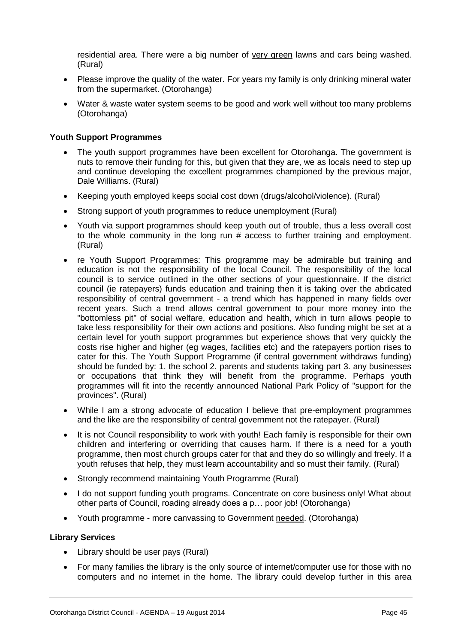residential area. There were a big number of very green lawns and cars being washed. (Rural)

- Please improve the quality of the water. For years my family is only drinking mineral water from the supermarket. (Otorohanga)
- Water & waste water system seems to be good and work well without too many problems (Otorohanga)

#### **Youth Support Programmes**

- The youth support programmes have been excellent for Otorohanga. The government is nuts to remove their funding for this, but given that they are, we as locals need to step up and continue developing the excellent programmes championed by the previous major, Dale Williams. (Rural)
- Keeping youth employed keeps social cost down (drugs/alcohol/violence). (Rural)
- Strong support of youth programmes to reduce unemployment (Rural)
- Youth via support programmes should keep youth out of trouble, thus a less overall cost to the whole community in the long run # access to further training and employment. (Rural)
- re Youth Support Programmes: This programme may be admirable but training and education is not the responsibility of the local Council. The responsibility of the local council is to service outlined in the other sections of your questionnaire. If the district council (ie ratepayers) funds education and training then it is taking over the abdicated responsibility of central government - a trend which has happened in many fields over recent years. Such a trend allows central government to pour more money into the "bottomless pit" of social welfare, education and health, which in turn allows people to take less responsibility for their own actions and positions. Also funding might be set at a certain level for youth support programmes but experience shows that very quickly the costs rise higher and higher (eg wages, facilities etc) and the ratepayers portion rises to cater for this. The Youth Support Programme (if central government withdraws funding) should be funded by: 1. the school 2. parents and students taking part 3. any businesses or occupations that think they will benefit from the programme. Perhaps youth programmes will fit into the recently announced National Park Policy of "support for the provinces". (Rural)
- While I am a strong advocate of education I believe that pre-employment programmes and the like are the responsibility of central government not the ratepayer. (Rural)
- It is not Council responsibility to work with youth! Each family is responsible for their own children and interfering or overriding that causes harm. If there is a need for a youth programme, then most church groups cater for that and they do so willingly and freely. If a youth refuses that help, they must learn accountability and so must their family. (Rural)
- Strongly recommend maintaining Youth Programme (Rural)
- I do not support funding youth programs. Concentrate on core business only! What about other parts of Council, roading already does a p… poor job! (Otorohanga)
- Youth programme more canvassing to Government needed. (Otorohanga)

#### **Library Services**

- Library should be user pays (Rural)
- For many families the library is the only source of internet/computer use for those with no computers and no internet in the home. The library could develop further in this area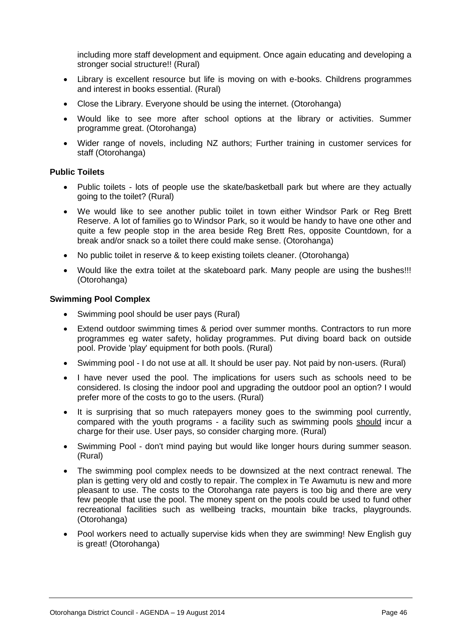including more staff development and equipment. Once again educating and developing a stronger social structure!! (Rural)

- Library is excellent resource but life is moving on with e-books. Childrens programmes and interest in books essential. (Rural)
- Close the Library. Everyone should be using the internet. (Otorohanga)
- Would like to see more after school options at the library or activities. Summer programme great. (Otorohanga)
- Wider range of novels, including NZ authors; Further training in customer services for staff (Otorohanga)

#### **Public Toilets**

- Public toilets lots of people use the skate/basketball park but where are they actually going to the toilet? (Rural)
- We would like to see another public toilet in town either Windsor Park or Reg Brett Reserve. A lot of families go to Windsor Park, so it would be handy to have one other and quite a few people stop in the area beside Reg Brett Res, opposite Countdown, for a break and/or snack so a toilet there could make sense. (Otorohanga)
- No public toilet in reserve & to keep existing toilets cleaner. (Otorohanga)
- Would like the extra toilet at the skateboard park. Many people are using the bushes!!! (Otorohanga)

#### **Swimming Pool Complex**

- Swimming pool should be user pays (Rural)
- Extend outdoor swimming times & period over summer months. Contractors to run more programmes eg water safety, holiday programmes. Put diving board back on outside pool. Provide 'play' equipment for both pools. (Rural)
- Swimming pool I do not use at all. It should be user pay. Not paid by non-users. (Rural)
- I have never used the pool. The implications for users such as schools need to be considered. Is closing the indoor pool and upgrading the outdoor pool an option? I would prefer more of the costs to go to the users. (Rural)
- It is surprising that so much ratepayers money goes to the swimming pool currently, compared with the youth programs - a facility such as swimming pools should incur a charge for their use. User pays, so consider charging more. (Rural)
- Swimming Pool don't mind paying but would like longer hours during summer season. (Rural)
- The swimming pool complex needs to be downsized at the next contract renewal. The plan is getting very old and costly to repair. The complex in Te Awamutu is new and more pleasant to use. The costs to the Otorohanga rate payers is too big and there are very few people that use the pool. The money spent on the pools could be used to fund other recreational facilities such as wellbeing tracks, mountain bike tracks, playgrounds. (Otorohanga)
- Pool workers need to actually supervise kids when they are swimming! New English guy is great! (Otorohanga)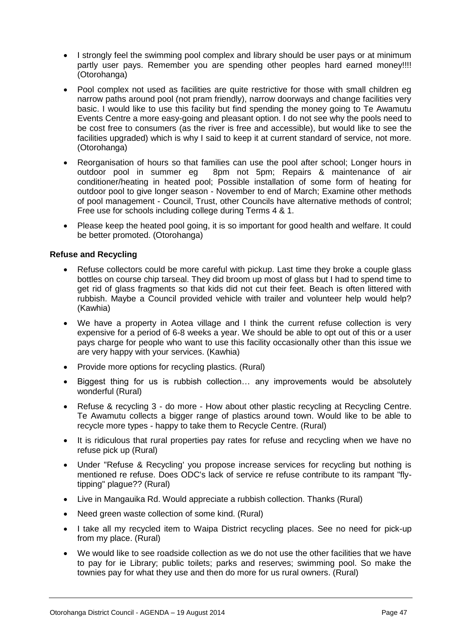- I strongly feel the swimming pool complex and library should be user pays or at minimum partly user pays. Remember you are spending other peoples hard earned money!!!! (Otorohanga)
- Pool complex not used as facilities are quite restrictive for those with small children eg narrow paths around pool (not pram friendly), narrow doorways and change facilities very basic. I would like to use this facility but find spending the money going to Te Awamutu Events Centre a more easy-going and pleasant option. I do not see why the pools need to be cost free to consumers (as the river is free and accessible), but would like to see the facilities upgraded) which is why I said to keep it at current standard of service, not more. (Otorohanga)
- Reorganisation of hours so that families can use the pool after school; Longer hours in outdoor pool in summer eg 8pm not 5pm; Repairs & maintenance of air conditioner/heating in heated pool; Possible installation of some form of heating for outdoor pool to give longer season - November to end of March; Examine other methods of pool management - Council, Trust, other Councils have alternative methods of control; Free use for schools including college during Terms 4 & 1.
- Please keep the heated pool going, it is so important for good health and welfare. It could be better promoted. (Otorohanga)

#### **Refuse and Recycling**

- Refuse collectors could be more careful with pickup. Last time they broke a couple glass bottles on course chip tarseal. They did broom up most of glass but I had to spend time to get rid of glass fragments so that kids did not cut their feet. Beach is often littered with rubbish. Maybe a Council provided vehicle with trailer and volunteer help would help? (Kawhia)
- We have a property in Aotea village and I think the current refuse collection is very expensive for a period of 6-8 weeks a year. We should be able to opt out of this or a user pays charge for people who want to use this facility occasionally other than this issue we are very happy with your services. (Kawhia)
- Provide more options for recycling plastics. (Rural)
- Biggest thing for us is rubbish collection… any improvements would be absolutely wonderful (Rural)
- Refuse & recycling 3 do more How about other plastic recycling at Recycling Centre. Te Awamutu collects a bigger range of plastics around town. Would like to be able to recycle more types - happy to take them to Recycle Centre. (Rural)
- It is ridiculous that rural properties pay rates for refuse and recycling when we have no refuse pick up (Rural)
- Under "Refuse & Recycling' you propose increase services for recycling but nothing is mentioned re refuse. Does ODC's lack of service re refuse contribute to its rampant "flytipping" plague?? (Rural)
- Live in Mangauika Rd. Would appreciate a rubbish collection. Thanks (Rural)
- Need green waste collection of some kind. (Rural)
- I take all my recycled item to Waipa District recycling places. See no need for pick-up from my place. (Rural)
- We would like to see roadside collection as we do not use the other facilities that we have to pay for ie Library; public toilets; parks and reserves; swimming pool. So make the townies pay for what they use and then do more for us rural owners. (Rural)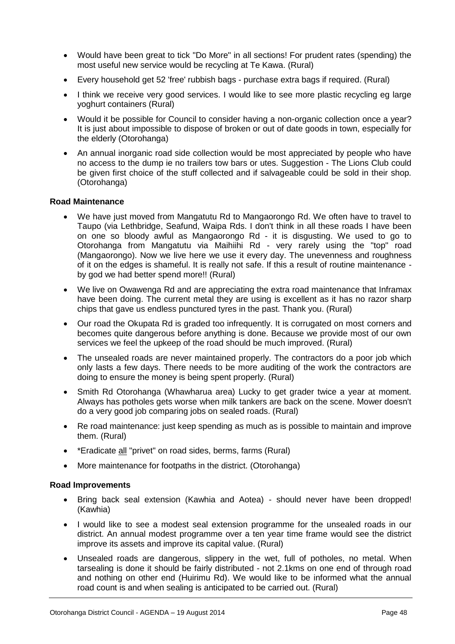- Would have been great to tick "Do More" in all sections! For prudent rates (spending) the most useful new service would be recycling at Te Kawa. (Rural)
- Every household get 52 'free' rubbish bags purchase extra bags if required. (Rural)
- I think we receive very good services. I would like to see more plastic recycling eg large yoghurt containers (Rural)
- Would it be possible for Council to consider having a non-organic collection once a year? It is just about impossible to dispose of broken or out of date goods in town, especially for the elderly (Otorohanga)
- An annual inorganic road side collection would be most appreciated by people who have no access to the dump ie no trailers tow bars or utes. Suggestion - The Lions Club could be given first choice of the stuff collected and if salvageable could be sold in their shop. (Otorohanga)

#### **Road Maintenance**

- We have just moved from Mangatutu Rd to Mangaorongo Rd. We often have to travel to Taupo (via Lethbridge, Seafund, Waipa Rds. I don't think in all these roads I have been on one so bloody awful as Mangaorongo Rd - it is disgusting. We used to go to Otorohanga from Mangatutu via Maihiihi Rd - very rarely using the "top" road (Mangaorongo). Now we live here we use it every day. The unevenness and roughness of it on the edges is shameful. It is really not safe. If this a result of routine maintenance by god we had better spend more!! (Rural)
- We live on Owawenga Rd and are appreciating the extra road maintenance that Inframax have been doing. The current metal they are using is excellent as it has no razor sharp chips that gave us endless punctured tyres in the past. Thank you. (Rural)
- Our road the Okupata Rd is graded too infrequently. It is corrugated on most corners and becomes quite dangerous before anything is done. Because we provide most of our own services we feel the upkeep of the road should be much improved. (Rural)
- The unsealed roads are never maintained properly. The contractors do a poor job which only lasts a few days. There needs to be more auditing of the work the contractors are doing to ensure the money is being spent properly. (Rural)
- Smith Rd Otorohanga (Whawharua area) Lucky to get grader twice a year at moment. Always has potholes gets worse when milk tankers are back on the scene. Mower doesn't do a very good job comparing jobs on sealed roads. (Rural)
- Re road maintenance: just keep spending as much as is possible to maintain and improve them. (Rural)
- \*Eradicate all "privet" on road sides, berms, farms (Rural)
- More maintenance for footpaths in the district. (Otorohanga)

#### **Road Improvements**

- Bring back seal extension (Kawhia and Aotea) should never have been dropped! (Kawhia)
- I would like to see a modest seal extension programme for the unsealed roads in our district. An annual modest programme over a ten year time frame would see the district improve its assets and improve its capital value. (Rural)
- Unsealed roads are dangerous, slippery in the wet, full of potholes, no metal. When tarsealing is done it should be fairly distributed - not 2.1kms on one end of through road and nothing on other end (Huirimu Rd). We would like to be informed what the annual road count is and when sealing is anticipated to be carried out. (Rural)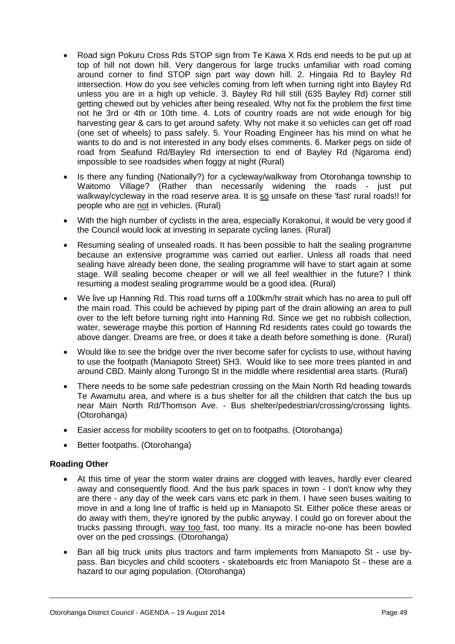- Road sign Pokuru Cross Rds STOP sign from Te Kawa X Rds end needs to be put up at top of hill not down hill. Very dangerous for large trucks unfamiliar with road coming around corner to find STOP sign part way down hill. 2. Hingaia Rd to Bayley Rd intersection. How do you see vehicles coming from left when turning right into Bayley Rd unless you are in a high up vehicle. 3. Bayley Rd hill still (635 Bayley Rd) corner still getting chewed out by vehicles after being resealed. Why not fix the problem the first time not he 3rd or 4th or 10th time. 4. Lots of country roads are not wide enough for big harvesting gear & cars to get around safety. Why not make it so vehicles can get off road (one set of wheels) to pass safely. 5. Your Roading Engineer has his mind on what he wants to do and is not interested in any body elses comments. 6. Marker pegs on side of road from Seafund Rd/Bayley Rd intersection to end of Bayley Rd (Ngaroma end) impossible to see roadsides when foggy at night (Rural)
- Is there any funding (Nationally?) for a cycleway/walkway from Otorohanga township to Waitomo Village? (Rather than necessarily widening the roads - just put walkway/cycleway in the road reserve area. It is so unsafe on these 'fast' rural roads!! for people who are not in vehicles. (Rural)
- With the high number of cyclists in the area, especially Korakonui, it would be very good if the Council would look at investing in separate cycling lanes. (Rural)
- Resuming sealing of unsealed roads. It has been possible to halt the sealing programme because an extensive programme was carried out earlier. Unless all roads that need sealing have already been done, the sealing programme will have to start again at some stage. Will sealing become cheaper or will we all feel wealthier in the future? I think resuming a modest sealing programme would be a good idea. (Rural)
- We live up Hanning Rd. This road turns off a 100km/hr strait which has no area to pull off the main road. This could be achieved by piping part of the drain allowing an area to pull over to the left before turning right into Hanning Rd. Since we get no rubbish collection, water, sewerage maybe this portion of Hanning Rd residents rates could go towards the above danger. Dreams are free, or does it take a death before something is done. (Rural)
- Would like to see the bridge over the river become safer for cyclists to use, without having to use the footpath (Maniapoto Street) SH3. Would like to see more trees planted in and around CBD. Mainly along Turongo St in the middle where residential area starts. (Rural)
- There needs to be some safe pedestrian crossing on the Main North Rd heading towards Te Awamutu area, and where is a bus shelter for all the children that catch the bus up near Main North Rd/Thomson Ave. - Bus shelter/pedestrian/crossing/crossing lights. (Otorohanga)
- Easier access for mobility scooters to get on to footpaths. (Otorohanga)
- Better footpaths. (Otorohanga)

#### **Roading Other**

- At this time of year the storm water drains are clogged with leaves, hardly ever cleared away and consequently flood. And the bus park spaces in town - I don't know why they are there - any day of the week cars vans etc park in them. I have seen buses waiting to move in and a long line of traffic is held up in Maniapoto St. Either police these areas or do away with them, they're ignored by the public anyway. I could go on forever about the trucks passing through, way too fast, too many. Its a miracle no-one has been bowled over on the ped crossings. (Otorohanga)
- Ban all big truck units plus tractors and farm implements from Maniapoto St use bypass. Ban bicycles and child scooters - skateboards etc from Maniapoto St - these are a hazard to our aging population. (Otorohanga)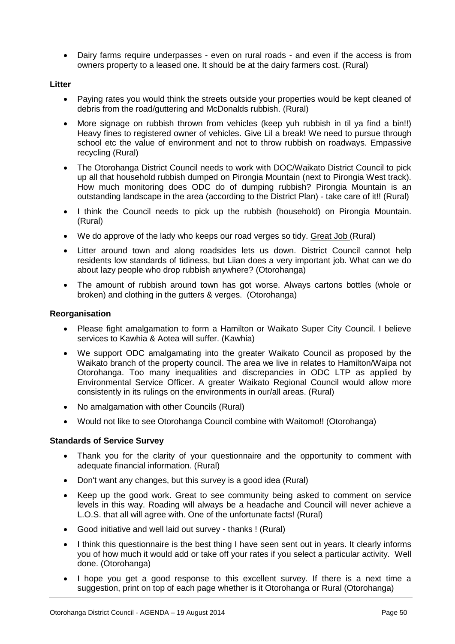• Dairy farms require underpasses - even on rural roads - and even if the access is from owners property to a leased one. It should be at the dairy farmers cost. (Rural)

#### **Litter**

- Paying rates you would think the streets outside your properties would be kept cleaned of debris from the road/guttering and McDonalds rubbish. (Rural)
- More signage on rubbish thrown from vehicles (keep yuh rubbish in til ya find a bin!!) Heavy fines to registered owner of vehicles. Give Lil a break! We need to pursue through school etc the value of environment and not to throw rubbish on roadways. Empassive recycling (Rural)
- The Otorohanga District Council needs to work with DOC/Waikato District Council to pick up all that household rubbish dumped on Pirongia Mountain (next to Pirongia West track). How much monitoring does ODC do of dumping rubbish? Pirongia Mountain is an outstanding landscape in the area (according to the District Plan) - take care of it!! (Rural)
- I think the Council needs to pick up the rubbish (household) on Pirongia Mountain. (Rural)
- We do approve of the lady who keeps our road verges so tidy. Great Job (Rural)
- Litter around town and along roadsides lets us down. District Council cannot help residents low standards of tidiness, but Liian does a very important job. What can we do about lazy people who drop rubbish anywhere? (Otorohanga)
- The amount of rubbish around town has got worse. Always cartons bottles (whole or broken) and clothing in the gutters & verges. (Otorohanga)

#### **Reorganisation**

- Please fight amalgamation to form a Hamilton or Waikato Super City Council. I believe services to Kawhia & Aotea will suffer. (Kawhia)
- We support ODC amalgamating into the greater Waikato Council as proposed by the Waikato branch of the property council. The area we live in relates to Hamilton/Waipa not Otorohanga. Too many inequalities and discrepancies in ODC LTP as applied by Environmental Service Officer. A greater Waikato Regional Council would allow more consistently in its rulings on the environments in our/all areas. (Rural)
- No amalgamation with other Councils (Rural)
- Would not like to see Otorohanga Council combine with Waitomo!! (Otorohanga)

#### **Standards of Service Survey**

- Thank you for the clarity of your questionnaire and the opportunity to comment with adequate financial information. (Rural)
- Don't want any changes, but this survey is a good idea (Rural)
- Keep up the good work. Great to see community being asked to comment on service levels in this way. Roading will always be a headache and Council will never achieve a L.O.S. that all will agree with. One of the unfortunate facts! (Rural)
- Good initiative and well laid out survey thanks ! (Rural)
- I think this questionnaire is the best thing I have seen sent out in years. It clearly informs you of how much it would add or take off your rates if you select a particular activity. Well done. (Otorohanga)
- I hope you get a good response to this excellent survey. If there is a next time a suggestion, print on top of each page whether is it Otorohanga or Rural (Otorohanga)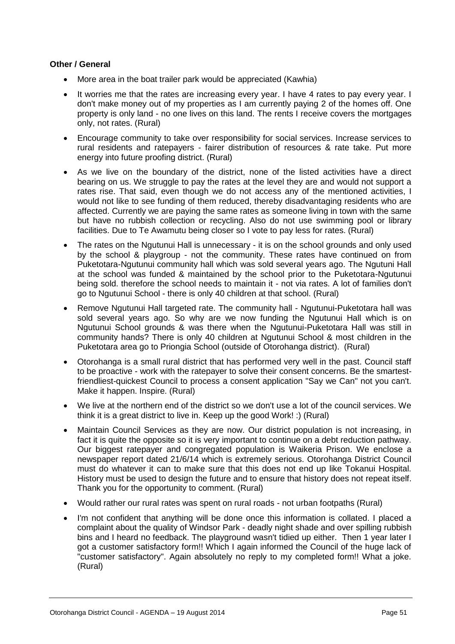#### **Other / General**

- More area in the boat trailer park would be appreciated (Kawhia)
- It worries me that the rates are increasing every year. I have 4 rates to pay every year. I don't make money out of my properties as I am currently paying 2 of the homes off. One property is only land - no one lives on this land. The rents I receive covers the mortgages only, not rates. (Rural)
- Encourage community to take over responsibility for social services. Increase services to rural residents and ratepayers - fairer distribution of resources & rate take. Put more energy into future proofing district. (Rural)
- As we live on the boundary of the district, none of the listed activities have a direct bearing on us. We struggle to pay the rates at the level they are and would not support a rates rise. That said, even though we do not access any of the mentioned activities, I would not like to see funding of them reduced, thereby disadvantaging residents who are affected. Currently we are paying the same rates as someone living in town with the same but have no rubbish collection or recycling. Also do not use swimming pool or library facilities. Due to Te Awamutu being closer so I vote to pay less for rates. (Rural)
- The rates on the Ngutunui Hall is unnecessary it is on the school grounds and only used by the school & playgroup - not the community. These rates have continued on from Puketotara-Ngutunui community hall which was sold several years ago. The Ngutuni Hall at the school was funded & maintained by the school prior to the Puketotara-Ngutunui being sold. therefore the school needs to maintain it - not via rates. A lot of families don't go to Ngutunui School - there is only 40 children at that school. (Rural)
- Remove Ngutunui Hall targeted rate. The community hall Ngutunui-Puketotara hall was sold several years ago. So why are we now funding the Ngutunui Hall which is on Ngutunui School grounds & was there when the Ngutunui-Puketotara Hall was still in community hands? There is only 40 children at Ngutunui School & most children in the Puketotara area go to Priongia School (outside of Otorohanga district). (Rural)
- Otorohanga is a small rural district that has performed very well in the past. Council staff to be proactive - work with the ratepayer to solve their consent concerns. Be the smartestfriendliest-quickest Council to process a consent application "Say we Can" not you can't. Make it happen. Inspire. (Rural)
- We live at the northern end of the district so we don't use a lot of the council services. We think it is a great district to live in. Keep up the good Work! :) (Rural)
- Maintain Council Services as they are now. Our district population is not increasing, in fact it is quite the opposite so it is very important to continue on a debt reduction pathway. Our biggest ratepayer and congregated population is Waikeria Prison. We enclose a newspaper report dated 21/6/14 which is extremely serious. Otorohanga District Council must do whatever it can to make sure that this does not end up like Tokanui Hospital. History must be used to design the future and to ensure that history does not repeat itself. Thank you for the opportunity to comment. (Rural)
- Would rather our rural rates was spent on rural roads not urban footpaths (Rural)
- I'm not confident that anything will be done once this information is collated. I placed a complaint about the quality of Windsor Park - deadly night shade and over spilling rubbish bins and I heard no feedback. The playground wasn't tidied up either. Then 1 year later I got a customer satisfactory form!! Which I again informed the Council of the huge lack of "customer satisfactory". Again absolutely no reply to my completed form!! What a joke. (Rural)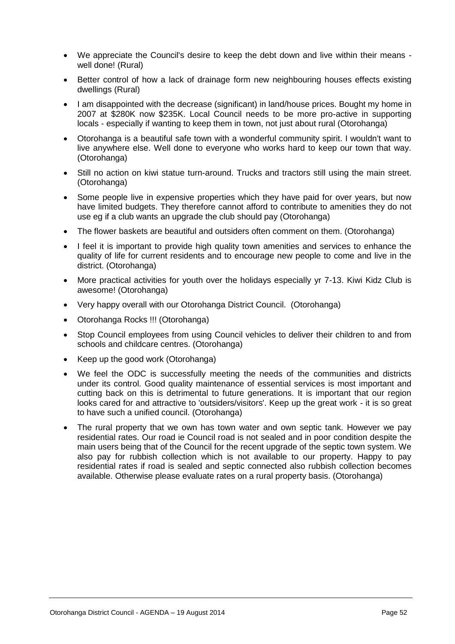- We appreciate the Council's desire to keep the debt down and live within their means well done! (Rural)
- Better control of how a lack of drainage form new neighbouring houses effects existing dwellings (Rural)
- I am disappointed with the decrease (significant) in land/house prices. Bought my home in 2007 at \$280K now \$235K. Local Council needs to be more pro-active in supporting locals - especially if wanting to keep them in town, not just about rural (Otorohanga)
- Otorohanga is a beautiful safe town with a wonderful community spirit. I wouldn't want to live anywhere else. Well done to everyone who works hard to keep our town that way. (Otorohanga)
- Still no action on kiwi statue turn-around. Trucks and tractors still using the main street. (Otorohanga)
- Some people live in expensive properties which they have paid for over years, but now have limited budgets. They therefore cannot afford to contribute to amenities they do not use eg if a club wants an upgrade the club should pay (Otorohanga)
- The flower baskets are beautiful and outsiders often comment on them. (Otorohanga)
- I feel it is important to provide high quality town amenities and services to enhance the quality of life for current residents and to encourage new people to come and live in the district. (Otorohanga)
- More practical activities for youth over the holidays especially yr 7-13. Kiwi Kidz Club is awesome! (Otorohanga)
- Very happy overall with our Otorohanga District Council. (Otorohanga)
- Otorohanga Rocks !!! (Otorohanga)
- Stop Council employees from using Council vehicles to deliver their children to and from schools and childcare centres. (Otorohanga)
- Keep up the good work (Otorohanga)
- We feel the ODC is successfully meeting the needs of the communities and districts under its control. Good quality maintenance of essential services is most important and cutting back on this is detrimental to future generations. It is important that our region looks cared for and attractive to 'outsiders/visitors'. Keep up the great work - it is so great to have such a unified council. (Otorohanga)
- The rural property that we own has town water and own septic tank. However we pay residential rates. Our road ie Council road is not sealed and in poor condition despite the main users being that of the Council for the recent upgrade of the septic town system. We also pay for rubbish collection which is not available to our property. Happy to pay residential rates if road is sealed and septic connected also rubbish collection becomes available. Otherwise please evaluate rates on a rural property basis. (Otorohanga)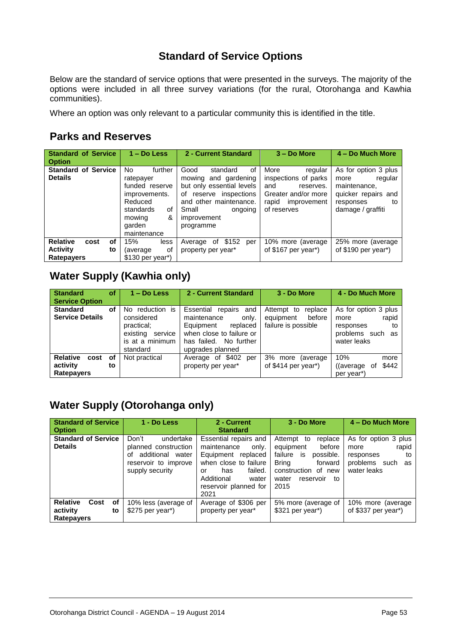# **Standard of Service Options**

Below are the standard of service options that were presented in the surveys. The majority of the options were included in all three survey variations (for the rural, Otorohanga and Kawhia communities).

Where an option was only relevant to a particular community this is identified in the title.

## **Parks and Reserves**

| <b>Standard of Service</b><br><b>Option</b>  | $1 - Do$ Less                                                                                                                        | 2 - Current Standard                                                                                                                                                                  | 3 - Do More                                                                                                               | 4 – Do Much More                                                                                                       |
|----------------------------------------------|--------------------------------------------------------------------------------------------------------------------------------------|---------------------------------------------------------------------------------------------------------------------------------------------------------------------------------------|---------------------------------------------------------------------------------------------------------------------------|------------------------------------------------------------------------------------------------------------------------|
| <b>Standard of Service</b><br><b>Details</b> | further<br>No.<br>ratepayer<br>funded reserve<br>improvements.<br>Reduced<br>standards<br>of<br>&<br>mowing<br>garden<br>maintenance | Good<br>of<br>standard<br>and gardening<br>mowing<br>but only essential levels<br>reserve inspections<br>of<br>and other maintenance.<br>Small<br>ongoing<br>improvement<br>programme | More<br>regular<br>inspections of parks<br>and<br>reserves.<br>Greater and/or more<br>rapid<br>improvement<br>of reserves | As for option 3 plus<br>regular<br>more<br>maintenance.<br>quicker repairs and<br>responses<br>to<br>damage / graffiti |
| <b>Relative</b><br>οf<br>cost                | 15%<br>less                                                                                                                          | of \$152<br>Average<br>per                                                                                                                                                            | 10% more (average)                                                                                                        | 25% more (average)                                                                                                     |
| <b>Activity</b><br>to                        | of<br>(average)                                                                                                                      | property per year*                                                                                                                                                                    | of $$167$ per year <sup>*</sup> )                                                                                         | of \$190 per year*)                                                                                                    |
| <b>Ratepayers</b>                            | \$130 per year <sup>*</sup> )                                                                                                        |                                                                                                                                                                                       |                                                                                                                           |                                                                                                                        |

# **Water Supply (Kawhia only)**

| <b>Standard</b><br><b>Service Option</b>          | οf       | $1 - Do$ Less                                                                                      | 2 - Current Standard                                                                                                                                   | 3 - Do More                                                         | 4 - Do Much More                                                                               |
|---------------------------------------------------|----------|----------------------------------------------------------------------------------------------------|--------------------------------------------------------------------------------------------------------------------------------------------------------|---------------------------------------------------------------------|------------------------------------------------------------------------------------------------|
| <b>Standard</b><br><b>Service Details</b>         | оf       | reduction is<br>No.<br>considered<br>practical;<br>existing service<br>is at a minimum<br>standard | Essential<br>repairs<br>and<br>maintenance<br>only.<br>Equipment<br>replaced<br>when close to failure or<br>has failed. No further<br>upgrades planned | Attempt to<br>replace<br>before<br>equipment<br>failure is possible | As for option 3 plus<br>rapid<br>more<br>responses<br>to<br>problems such<br>as<br>water leaks |
| <b>Relative</b><br>cost<br>activity<br>Ratepayers | оf<br>to | Not practical                                                                                      | Average of \$402 per<br>property per year*                                                                                                             | 3% more (average)<br>of $$414$ per year <sup>*</sup> )              | 10%<br>more<br>\$442<br>(average)<br>οf<br>per year <sup>*</sup> )                             |

# **Water Supply (Otorohanga only)**

| <b>Standard of Service</b><br><b>Option</b>                          | 1 - Do Less                                                                                                        | 2 - Current<br><b>Standard</b>                                                                                                                                               | 3 - Do More                                                                                                                                                         | 4 - Do Much More                                                                            |
|----------------------------------------------------------------------|--------------------------------------------------------------------------------------------------------------------|------------------------------------------------------------------------------------------------------------------------------------------------------------------------------|---------------------------------------------------------------------------------------------------------------------------------------------------------------------|---------------------------------------------------------------------------------------------|
| <b>Standard of Service</b><br><b>Details</b>                         | Don't<br>undertake<br>planned construction<br>additional<br>water<br>οf<br>reservoir to improve<br>supply security | Essential repairs and<br>maintenance<br>only.<br>Equipment replaced<br>when close to failure<br>failed.<br>has<br>or<br>Additional<br>water<br>reservoir planned for<br>2021 | Attempt<br>replace<br>to<br>before<br>equipment<br>failure<br>possible.<br>is<br><b>Bring</b><br>forward<br>construction of new<br>water<br>reservoir<br>to<br>2015 | As for option 3 plus<br>rapid<br>more<br>responses<br>to<br>problems such as<br>water leaks |
| <b>Relative</b><br>Cost<br>оf<br>activity<br>to<br><b>Ratepayers</b> | 10% less (average of<br>\$275 per year*)                                                                           | Average of \$306 per<br>property per year*                                                                                                                                   | 5% more (average of<br>\$321 per year <sup>*</sup> )                                                                                                                | 10% more (average)<br>of \$337 per year $*)$                                                |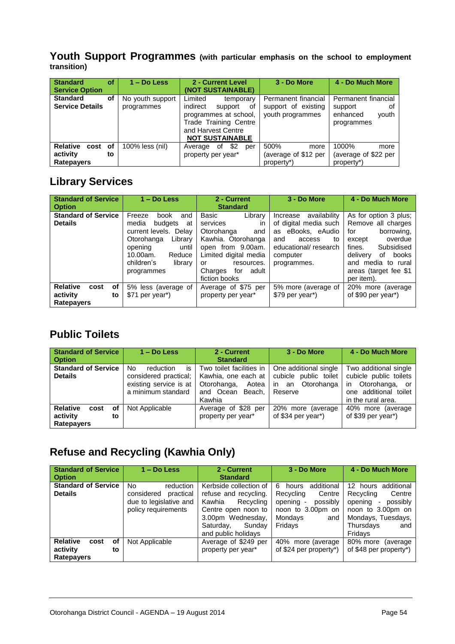#### **Youth Support Programmes (with particular emphasis on the school to employment transition)**

| <b>Standard</b><br>Service Option                           | οf | $1 - Do$ Less                  | 2 - Current Level<br>(NOT SUSTAINABLE)                                                                                                                     | 3 - Do More                                                    | 4 - Do Much More                                                        |
|-------------------------------------------------------------|----|--------------------------------|------------------------------------------------------------------------------------------------------------------------------------------------------------|----------------------------------------------------------------|-------------------------------------------------------------------------|
| <b>Standard</b><br><b>Service Details</b>                   | οf | No youth support<br>programmes | Limited<br>temporary<br>indirect<br>support<br>οf<br>programmes at school.<br><b>Trade Training Centre</b><br>and Harvest Centre<br><b>NOT SUSTAINABLE</b> | Permanent financial<br>support of existing<br>youth programmes | Permanent financial<br>support<br>οf<br>enhanced<br>youth<br>programmes |
| <b>Relative</b><br>cost of<br>activity<br><b>Ratepayers</b> | to | 100% less (nil)                | \$2<br>оf<br>Average<br>per<br>property per year*                                                                                                          | 500%<br>more<br>(average of \$12 per<br>property*)             | 1000%<br>more<br>(average of \$22 per<br>property <sup>*</sup> )        |

# **Library Services**

| <b>Standard of Service</b><br><b>Option</b>                   | $1 - Do$ Less                                                                                                                                                                      | 2 - Current<br><b>Standard</b>                                                                                                                                                              | 3 - Do More                                                                                                                                         | 4 - Do Much More                                                                                                                                                                                      |
|---------------------------------------------------------------|------------------------------------------------------------------------------------------------------------------------------------------------------------------------------------|---------------------------------------------------------------------------------------------------------------------------------------------------------------------------------------------|-----------------------------------------------------------------------------------------------------------------------------------------------------|-------------------------------------------------------------------------------------------------------------------------------------------------------------------------------------------------------|
| <b>Standard of Service</b><br><b>Details</b>                  | Freeze<br>book<br>and<br>media<br>budgets<br>at<br>current levels. Delay<br>Library<br>Otorohanga<br>opening<br>until<br>10.00am.<br>Reduce<br>children's<br>library<br>programmes | Library<br>Basic<br>services<br>in<br>Otorohanga<br>and<br>Kawhia. Otorohanga<br>open from 9.00am.<br>Limited digital media<br>resources.<br>or<br>Charges<br>adult<br>for<br>fiction books | availability<br>Increase<br>of digital media such<br>eBooks, eAudio<br>as<br>to<br>and<br>access<br>educational/research<br>computer<br>programmes. | As for option 3 plus;<br>Remove all charges<br>borrowing.<br>for<br>overdue<br>except<br>Subsidised<br>fines.<br>delivery<br>books<br>οf<br>and media to rural<br>areas (target fee \$1<br>per item). |
| <b>Relative</b><br>οf<br>cost<br>activity<br>to<br>Ratepayers | 5% less (average of<br>\$71 per year <sup>*</sup> )                                                                                                                                | Average of \$75 per<br>property per year*                                                                                                                                                   | 5% more (average of<br>\$79 per year <sup>*</sup> )                                                                                                 | 20% more (average<br>of \$90 per year*)                                                                                                                                                               |

# **Public Toilets**

| <b>Standard of Service</b><br><b>Option</b>                   | $1 - Do$ Less                                                                                  | 2 - Current<br><b>Standard</b>                                                                           | 3 - Do More                                                                         | 4 - Do Much More                                                                                                              |
|---------------------------------------------------------------|------------------------------------------------------------------------------------------------|----------------------------------------------------------------------------------------------------------|-------------------------------------------------------------------------------------|-------------------------------------------------------------------------------------------------------------------------------|
| <b>Standard of Service</b><br><b>Details</b>                  | is<br>No<br>reduction<br>considered practical;<br>existing service is at<br>a minimum standard | Two toilet facilities in<br>Kawhia, one each at<br>Otorohanga,<br>Aotea<br>and Ocean<br>Beach.<br>Kawhia | One additional single<br>cubicle public toilet<br>Otorohanga<br>in<br>an<br>Reserve | Two additional single<br>cubicle public toilets<br>Otorohanga, or<br><i>in</i><br>one additional toilet<br>in the rural area. |
| <b>Relative</b><br>cost<br>οf<br>activity<br>to<br>Ratepayers | Not Applicable                                                                                 | Average of \$28 per<br>property per year*                                                                | 20% more (average<br>of \$34 per year <sup>*</sup> )                                | 40% more (average<br>of \$39 per year <sup>*</sup> )                                                                          |

# **Refuse and Recycling (Kawhia Only)**

| <b>Standard of Service</b><br><b>Option</b>                   | $1 - Do$ Less                                                                                      | 2 - Current<br><b>Standard</b>                                                                                                                                   | 3 - Do More                                                                                                                | 4 - Do Much More                                                                                                                                                              |
|---------------------------------------------------------------|----------------------------------------------------------------------------------------------------|------------------------------------------------------------------------------------------------------------------------------------------------------------------|----------------------------------------------------------------------------------------------------------------------------|-------------------------------------------------------------------------------------------------------------------------------------------------------------------------------|
| <b>Standard of Service</b><br><b>Details</b>                  | <b>No</b><br>reduction<br>considered<br>practical<br>due to legislative and<br>policy requirements | Kerbside collection of<br>refuse and recycling.<br>Kawhia<br>Recycling<br>Centre open noon to<br>3.00pm Wednesday,<br>Sundav<br>Saturday,<br>and public holidays | additional<br>6<br>hours<br>Centre<br>Recycling<br>opening -<br>possibly<br>noon to 3.00pm on<br>Mondays<br>and<br>Fridays | 12<br>additional<br>hours<br>Centre<br>Recycling<br>possibly<br>opening<br>$\overline{\phantom{a}}$<br>noon to 3.00pm on<br>Mondays, Tuesdays,<br>Thursdays<br>and<br>Fridays |
| <b>Relative</b><br>cost<br>оf<br>activity<br>to<br>Ratepayers | Not Applicable                                                                                     | Average of \$249 per<br>property per year*                                                                                                                       | 40% more (average<br>of \$24 per property*)                                                                                | 80% more<br>(average)<br>of \$48 per property*)                                                                                                                               |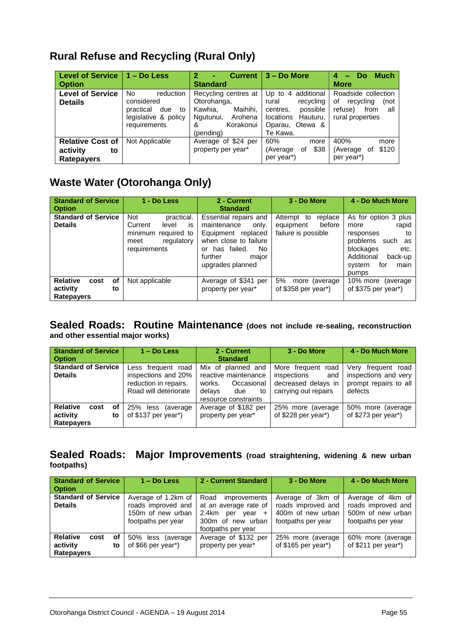| Level of Service        | $1 - Do$ Less          | <b>Current</b><br>2<br>٠ | $3 - Do$ More                | <b>Much</b><br>Do<br>4  |
|-------------------------|------------------------|--------------------------|------------------------------|-------------------------|
| <b>Option</b>           |                        | <b>Standard</b>          |                              | <b>More</b>             |
| <b>Level of Service</b> | No<br>reduction        | Recycling centres at     | additional<br>Up to $4$      | Roadside collection     |
| <b>Details</b>          | considered             | Otorohanga,              | recycling<br>rural           | recycling<br>οf<br>(not |
|                         | practical<br>due<br>to | Kawhia.<br>Maihihi,      | possible<br>centres.         | refuse)<br>from<br>all  |
|                         | legislative & policy   | Ngutunui,<br>Arohena     | <b>locations</b><br>Hauturu. | rural properties        |
|                         | requirements           | Korakonui<br>&           | Otewa &<br>Oparau,           |                         |
|                         |                        | (pending)                | Te Kawa.                     |                         |
| <b>Relative Cost of</b> | Not Applicable         | Average of \$24 per      | 60%<br>more                  | 400%<br>more            |
| activity<br>to          |                        | property per year*       | \$38<br>(Average<br>οf       | \$120<br>(Average<br>0f |
| <b>Ratepayers</b>       |                        |                          | per year <sup>*</sup> )      | per year <sup>*</sup> ) |

# **Waste Water (Otorohanga Only)**

| <b>Standard of Service</b><br><b>Option</b>                          | 1 - Do Less                                                                                                        | 2 - Current<br><b>Standard</b>                                                                                                                                      | 3 - Do More                                                         | 4 - Do Much More                                                                                                                                                   |
|----------------------------------------------------------------------|--------------------------------------------------------------------------------------------------------------------|---------------------------------------------------------------------------------------------------------------------------------------------------------------------|---------------------------------------------------------------------|--------------------------------------------------------------------------------------------------------------------------------------------------------------------|
| <b>Standard of Service</b><br><b>Details</b>                         | <b>Not</b><br>practical.<br>Current<br>level<br>is<br>minimum<br>required to<br>regulatory<br>meet<br>requirements | Essential repairs and<br>maintenance<br>only.<br>Equipment replaced<br>when close to failure<br>failed.<br>No.<br>has<br>Ωr<br>further<br>maior<br>upgrades planned | Attempt to<br>replace<br>before<br>equipment<br>failure is possible | As for option 3 plus<br>rapid<br>more<br>to<br>responses<br>problems<br>such<br>as<br>blockages<br>etc.<br>Additional<br>back-up<br>system<br>for<br>main<br>pumps |
| <b>Relative</b><br>οf<br>cost<br>activity<br>to<br><b>Ratepayers</b> | Not applicable                                                                                                     | Average of \$341 per<br>property per year*                                                                                                                          | 5%<br>more (average)<br>of $$358$ per year <sup>*</sup> )           | 10% more<br>(average)<br>of \$375 per year <sup>*</sup> )                                                                                                          |

#### **Sealed Roads: Routine Maintenance (does not include re-sealing, reconstruction and other essential major works)**

| <b>Standard of Service</b><br><b>Option</b>                   | $1 - Do$ Less                                                                               | 2 - Current<br><b>Standard</b>                                                                                    | 3 - Do More                                                                                | 4 - Do Much More                                                                  |
|---------------------------------------------------------------|---------------------------------------------------------------------------------------------|-------------------------------------------------------------------------------------------------------------------|--------------------------------------------------------------------------------------------|-----------------------------------------------------------------------------------|
| <b>Standard of Service</b><br><b>Details</b>                  | Less frequent road<br>inspections and 20%<br>reduction in repairs.<br>Road will deteriorate | Mix of planned and<br>reactive maintenance<br>works.<br>Occasional<br>delays<br>due<br>to<br>resource constraints | More frequent<br>road<br>inspections<br>and<br>decreased delays in<br>carrying out repairs | frequent road<br>Verv<br>inspections and very<br>prompt repairs to all<br>defects |
| <b>Relative</b><br>оf<br>cost<br>activity<br>to<br>Ratepayers | 25% less<br>(average)<br>of \$137 per year <sup>*</sup> )                                   | Average of \$182 per<br>property per year*                                                                        | 25% more (average<br>of \$228 per year <sup>*</sup> )                                      | 50% more (average)<br>of \$273 per year*)                                         |

#### **Sealed Roads: Major Improvements (road straightening, widening & new urban footpaths)**

| <b>Standard of Service</b><br><b>Option</b>                   | $1 - Do$ Less                                                                        | 2 - Current Standard                                                                                                 | 3 - Do More                                                                        | 4 - Do Much More                                                                   |
|---------------------------------------------------------------|--------------------------------------------------------------------------------------|----------------------------------------------------------------------------------------------------------------------|------------------------------------------------------------------------------------|------------------------------------------------------------------------------------|
| <b>Standard of Service</b><br><b>Details</b>                  | Average of 1.2km of<br>roads improved and<br>150m of new urban<br>footpaths per year | Road improvements<br>at an average rate of<br>2.4km per year<br>$\ddot{}$<br>300m of new urban<br>footpaths per year | Average of 3km of<br>roads improved and<br>400m of new urban<br>footpaths per year | Average of 4km of<br>roads improved and<br>500m of new urban<br>footpaths per year |
| <b>Relative</b><br>of<br>cost<br>activity<br>to<br>Ratepayers | 50% less (average<br>of \$66 per year*)                                              | Average of \$132 per<br>property per year*                                                                           | 25% more (average)<br>of $$165$ per year <sup>*</sup> )                            | 60% more (average<br>of \$211 per year*)                                           |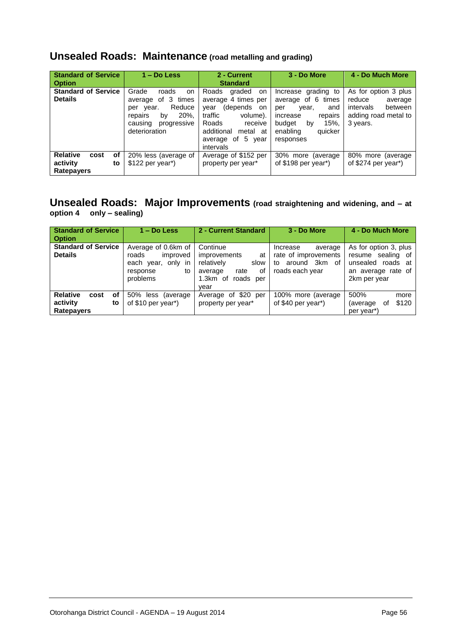# **Unsealed Roads: Maintenance (road metalling and grading)**

| <b>Standard of Service</b><br><b>Option</b>                          | $1 - Do$ Less                                                                                                                               | 2 - Current<br><b>Standard</b>                                                                                                                                             | 3 - Do More                                                                                                                                         | 4 - Do Much More                                                                                      |
|----------------------------------------------------------------------|---------------------------------------------------------------------------------------------------------------------------------------------|----------------------------------------------------------------------------------------------------------------------------------------------------------------------------|-----------------------------------------------------------------------------------------------------------------------------------------------------|-------------------------------------------------------------------------------------------------------|
| <b>Standard of Service</b><br><b>Details</b>                         | Grade<br>roads<br>on<br>3 times<br>of<br>average<br>Reduce<br>per year.<br>20%,<br>by<br>repairs<br>causing<br>progressive<br>deterioration | Roads<br>graded<br>on<br>average 4 times per<br>(depends on<br>vear<br>traffic<br>volume).<br>Roads<br>receive<br>additional<br>metal at<br>average of 5 year<br>intervals | Increase grading to<br>average of 6 times<br>year,<br>and<br>per<br>increase<br>repairs<br>15%.<br>budget<br>by<br>quicker<br>enabling<br>responses | As for option 3 plus<br>reduce<br>average<br>intervals<br>between<br>adding road metal to<br>3 years. |
| <b>Relative</b><br>cost<br>оf<br>activity<br>to<br><b>Ratepayers</b> | 20% less (average of<br>$$122$ per year <sup>*</sup> )                                                                                      | Average of \$152 per<br>property per year*                                                                                                                                 | 30% more (average)<br>of $$198$ per year <sup>*</sup> )                                                                                             | 80% more (average)<br>of $$274$ per year <sup>*</sup> )                                               |

#### **Unsealed Roads: Major Improvements (road straightening and widening, and – at option 4 only – sealing)**

| <b>Standard of Service</b><br><b>Option</b>  | $1 - Do$ Less                                                                                | 2 - Current Standard                                                                                                  | 3 - Do More                                                                                 | 4 - Do Much More                                                                                         |
|----------------------------------------------|----------------------------------------------------------------------------------------------|-----------------------------------------------------------------------------------------------------------------------|---------------------------------------------------------------------------------------------|----------------------------------------------------------------------------------------------------------|
| <b>Standard of Service</b><br><b>Details</b> | Average of 0.6km of<br>improved<br>roads<br>each year, only in<br>response<br>to<br>problems | Continue<br><i>improvements</i><br>at<br>relatively<br>slow<br>of<br>rate<br>average<br>1.3km of<br>roads per<br>vear | Increase<br>average<br>rate of improvements<br>3km<br>around<br>of<br>to<br>roads each year | As for option 3, plus<br>sealing of<br>resume<br>unsealed roads at<br>an average rate of<br>2km per year |
| <b>Relative</b><br>cost<br>оf                | 50% less<br>(average)                                                                        | Average of \$20 per                                                                                                   | 100% more (average                                                                          | 500%<br>more                                                                                             |
| activity<br>to<br><b>Ratepayers</b>          | of \$10 per year <sup>*</sup> )                                                              | property per year*                                                                                                    | of \$40 per year*)                                                                          | \$120<br>(average)<br>οt<br>per year <sup>*</sup> )                                                      |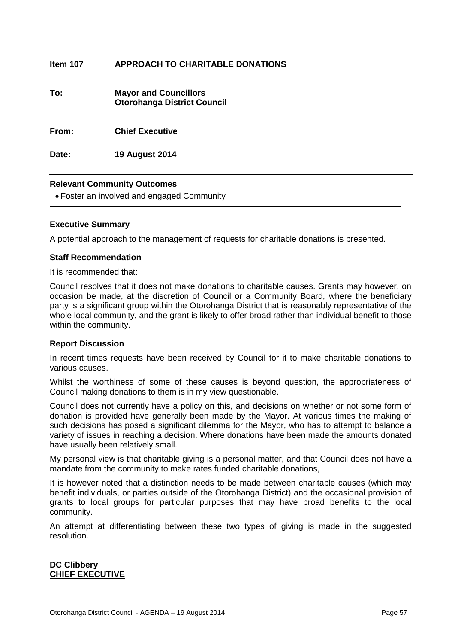| Item 107 | APPROACH TO CHARITABLE DONATIONS |
|----------|----------------------------------|
|          |                                  |

| To: | <b>Mayor and Councillors</b>       |
|-----|------------------------------------|
|     | <b>Otorohanga District Council</b> |

**From: Chief Executive**

**Date: 19 August 2014**

#### **Relevant Community Outcomes**

Foster an involved and engaged Community

#### **Executive Summary**

A potential approach to the management of requests for charitable donations is presented.

#### **Staff Recommendation**

It is recommended that:

Council resolves that it does not make donations to charitable causes. Grants may however, on occasion be made, at the discretion of Council or a Community Board, where the beneficiary party is a significant group within the Otorohanga District that is reasonably representative of the whole local community, and the grant is likely to offer broad rather than individual benefit to those within the community.

#### **Report Discussion**

In recent times requests have been received by Council for it to make charitable donations to various causes.

Whilst the worthiness of some of these causes is beyond question, the appropriateness of Council making donations to them is in my view questionable.

Council does not currently have a policy on this, and decisions on whether or not some form of donation is provided have generally been made by the Mayor. At various times the making of such decisions has posed a significant dilemma for the Mayor, who has to attempt to balance a variety of issues in reaching a decision. Where donations have been made the amounts donated have usually been relatively small.

My personal view is that charitable giving is a personal matter, and that Council does not have a mandate from the community to make rates funded charitable donations,

It is however noted that a distinction needs to be made between charitable causes (which may benefit individuals, or parties outside of the Otorohanga District) and the occasional provision of grants to local groups for particular purposes that may have broad benefits to the local community.

An attempt at differentiating between these two types of giving is made in the suggested resolution.

#### **DC Clibbery CHIEF EXECUTIVE**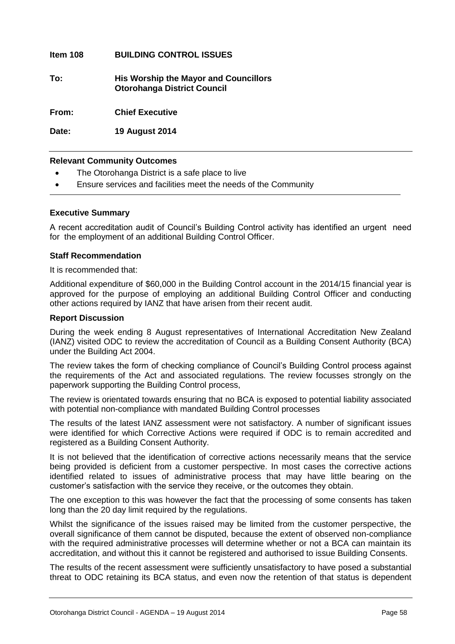#### **Item 108 BUILDING CONTROL ISSUES**

**To: His Worship the Mayor and Councillors Otorohanga District Council**

**From: Chief Executive**

**Date: 19 August 2014**

#### **Relevant Community Outcomes**

- The Otorohanga District is a safe place to live
- Ensure services and facilities meet the needs of the Community

#### **Executive Summary**

A recent accreditation audit of Council's Building Control activity has identified an urgent need for the employment of an additional Building Control Officer.

#### **Staff Recommendation**

It is recommended that:

Additional expenditure of \$60,000 in the Building Control account in the 2014/15 financial year is approved for the purpose of employing an additional Building Control Officer and conducting other actions required by IANZ that have arisen from their recent audit.

#### **Report Discussion**

During the week ending 8 August representatives of International Accreditation New Zealand (IANZ) visited ODC to review the accreditation of Council as a Building Consent Authority (BCA) under the Building Act 2004.

The review takes the form of checking compliance of Council's Building Control process against the requirements of the Act and associated regulations. The review focusses strongly on the paperwork supporting the Building Control process,

The review is orientated towards ensuring that no BCA is exposed to potential liability associated with potential non-compliance with mandated Building Control processes

The results of the latest IANZ assessment were not satisfactory. A number of significant issues were identified for which Corrective Actions were required if ODC is to remain accredited and registered as a Building Consent Authority.

It is not believed that the identification of corrective actions necessarily means that the service being provided is deficient from a customer perspective. In most cases the corrective actions identified related to issues of administrative process that may have little bearing on the customer's satisfaction with the service they receive, or the outcomes they obtain.

The one exception to this was however the fact that the processing of some consents has taken long than the 20 day limit required by the regulations.

Whilst the significance of the issues raised may be limited from the customer perspective, the overall significance of them cannot be disputed, because the extent of observed non-compliance with the required administrative processes will determine whether or not a BCA can maintain its accreditation, and without this it cannot be registered and authorised to issue Building Consents.

The results of the recent assessment were sufficiently unsatisfactory to have posed a substantial threat to ODC retaining its BCA status, and even now the retention of that status is dependent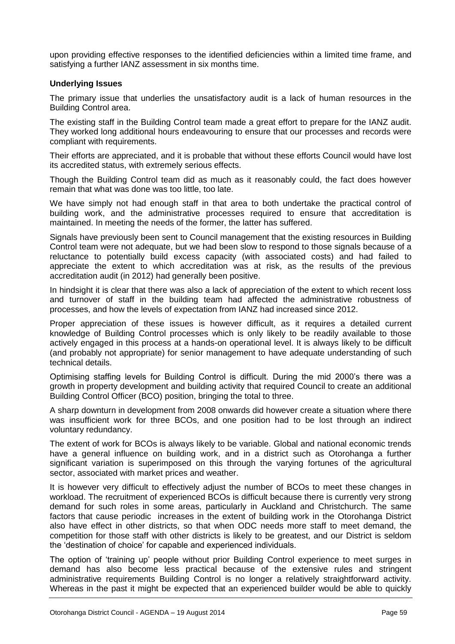upon providing effective responses to the identified deficiencies within a limited time frame, and satisfying a further IANZ assessment in six months time.

#### **Underlying Issues**

The primary issue that underlies the unsatisfactory audit is a lack of human resources in the Building Control area.

The existing staff in the Building Control team made a great effort to prepare for the IANZ audit. They worked long additional hours endeavouring to ensure that our processes and records were compliant with requirements.

Their efforts are appreciated, and it is probable that without these efforts Council would have lost its accredited status, with extremely serious effects.

Though the Building Control team did as much as it reasonably could, the fact does however remain that what was done was too little, too late.

We have simply not had enough staff in that area to both undertake the practical control of building work, and the administrative processes required to ensure that accreditation is maintained. In meeting the needs of the former, the latter has suffered.

Signals have previously been sent to Council management that the existing resources in Building Control team were not adequate, but we had been slow to respond to those signals because of a reluctance to potentially build excess capacity (with associated costs) and had failed to appreciate the extent to which accreditation was at risk, as the results of the previous accreditation audit (in 2012) had generally been positive.

In hindsight it is clear that there was also a lack of appreciation of the extent to which recent loss and turnover of staff in the building team had affected the administrative robustness of processes, and how the levels of expectation from IANZ had increased since 2012.

Proper appreciation of these issues is however difficult, as it requires a detailed current knowledge of Building Control processes which is only likely to be readily available to those actively engaged in this process at a hands-on operational level. It is always likely to be difficult (and probably not appropriate) for senior management to have adequate understanding of such technical details.

Optimising staffing levels for Building Control is difficult. During the mid 2000's there was a growth in property development and building activity that required Council to create an additional Building Control Officer (BCO) position, bringing the total to three.

A sharp downturn in development from 2008 onwards did however create a situation where there was insufficient work for three BCOs, and one position had to be lost through an indirect voluntary redundancy.

The extent of work for BCOs is always likely to be variable. Global and national economic trends have a general influence on building work, and in a district such as Otorohanga a further significant variation is superimposed on this through the varying fortunes of the agricultural sector, associated with market prices and weather.

It is however very difficult to effectively adjust the number of BCOs to meet these changes in workload. The recruitment of experienced BCOs is difficult because there is currently very strong demand for such roles in some areas, particularly in Auckland and Christchurch. The same factors that cause periodic increases in the extent of building work in the Otorohanga District also have effect in other districts, so that when ODC needs more staff to meet demand, the competition for those staff with other districts is likely to be greatest, and our District is seldom the 'destination of choice' for capable and experienced individuals.

The option of 'training up' people without prior Building Control experience to meet surges in demand has also become less practical because of the extensive rules and stringent administrative requirements Building Control is no longer a relatively straightforward activity. Whereas in the past it might be expected that an experienced builder would be able to quickly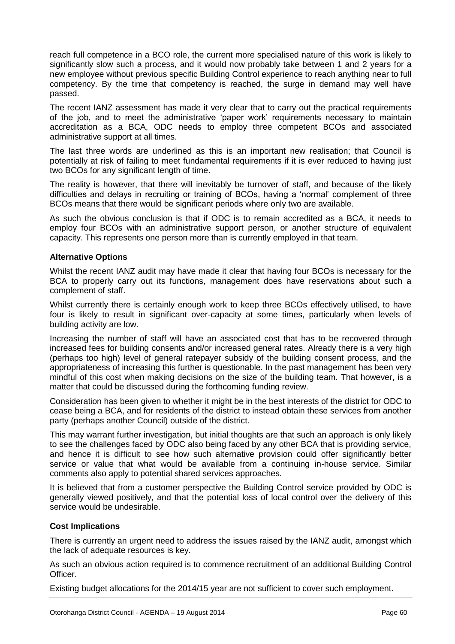reach full competence in a BCO role, the current more specialised nature of this work is likely to significantly slow such a process, and it would now probably take between 1 and 2 years for a new employee without previous specific Building Control experience to reach anything near to full competency. By the time that competency is reached, the surge in demand may well have passed.

The recent IANZ assessment has made it very clear that to carry out the practical requirements of the job, and to meet the administrative 'paper work' requirements necessary to maintain accreditation as a BCA, ODC needs to employ three competent BCOs and associated administrative support at all times.

The last three words are underlined as this is an important new realisation; that Council is potentially at risk of failing to meet fundamental requirements if it is ever reduced to having just two BCOs for any significant length of time.

The reality is however, that there will inevitably be turnover of staff, and because of the likely difficulties and delays in recruiting or training of BCOs, having a 'normal' complement of three BCOs means that there would be significant periods where only two are available.

As such the obvious conclusion is that if ODC is to remain accredited as a BCA, it needs to employ four BCOs with an administrative support person, or another structure of equivalent capacity. This represents one person more than is currently employed in that team.

#### **Alternative Options**

Whilst the recent IANZ audit may have made it clear that having four BCOs is necessary for the BCA to properly carry out its functions, management does have reservations about such a complement of staff.

Whilst currently there is certainly enough work to keep three BCOs effectively utilised, to have four is likely to result in significant over-capacity at some times, particularly when levels of building activity are low.

Increasing the number of staff will have an associated cost that has to be recovered through increased fees for building consents and/or increased general rates. Already there is a very high (perhaps too high) level of general ratepayer subsidy of the building consent process, and the appropriateness of increasing this further is questionable. In the past management has been very mindful of this cost when making decisions on the size of the building team. That however, is a matter that could be discussed during the forthcoming funding review.

Consideration has been given to whether it might be in the best interests of the district for ODC to cease being a BCA, and for residents of the district to instead obtain these services from another party (perhaps another Council) outside of the district.

This may warrant further investigation, but initial thoughts are that such an approach is only likely to see the challenges faced by ODC also being faced by any other BCA that is providing service, and hence it is difficult to see how such alternative provision could offer significantly better service or value that what would be available from a continuing in-house service. Similar comments also apply to potential shared services approaches.

It is believed that from a customer perspective the Building Control service provided by ODC is generally viewed positively, and that the potential loss of local control over the delivery of this service would be undesirable.

#### **Cost Implications**

There is currently an urgent need to address the issues raised by the IANZ audit, amongst which the lack of adequate resources is key.

As such an obvious action required is to commence recruitment of an additional Building Control Officer.

Existing budget allocations for the 2014/15 year are not sufficient to cover such employment.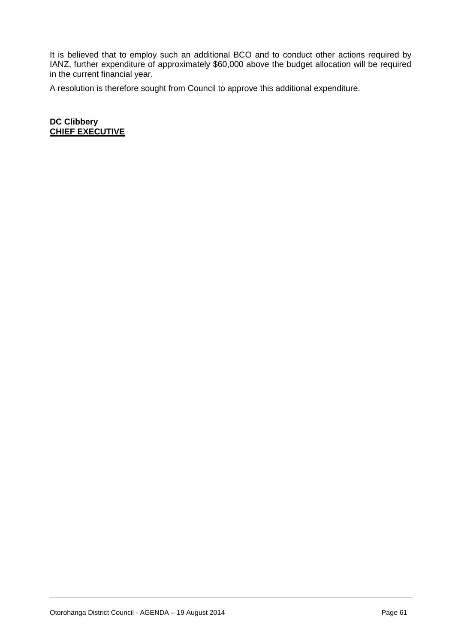It is believed that to employ such an additional BCO and to conduct other actions required by IANZ, further expenditure of approximately \$60,000 above the budget allocation will be required in the current financial year.

A resolution is therefore sought from Council to approve this additional expenditure.

**DC Clibbery CHIEF EXECUTIVE**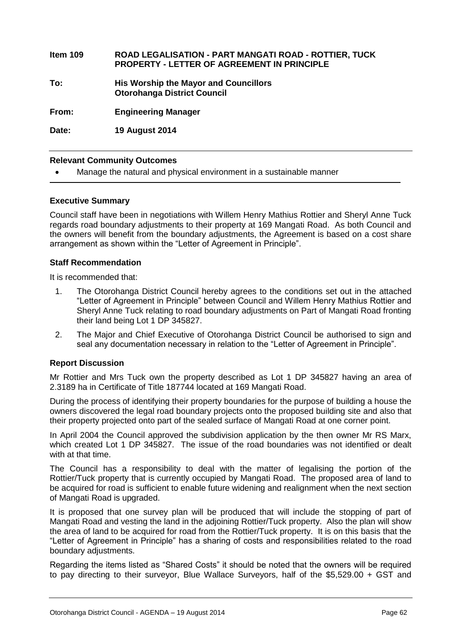| Item 109 | <b>ROAD LEGALISATION - PART MANGATI ROAD - ROTTIER, TUCK</b><br><b>PROPERTY - LETTER OF AGREEMENT IN PRINCIPLE</b> |
|----------|--------------------------------------------------------------------------------------------------------------------|
| To:      | <b>His Worship the Mayor and Councillors</b><br><b>Otorohanga District Council</b>                                 |
| From:    | <b>Engineering Manager</b>                                                                                         |
| Date:    | <b>19 August 2014</b>                                                                                              |

#### **Relevant Community Outcomes**

Manage the natural and physical environment in a sustainable manner

#### **Executive Summary**

Council staff have been in negotiations with Willem Henry Mathius Rottier and Sheryl Anne Tuck regards road boundary adjustments to their property at 169 Mangati Road. As both Council and the owners will benefit from the boundary adjustments, the Agreement is based on a cost share arrangement as shown within the "Letter of Agreement in Principle".

#### **Staff Recommendation**

It is recommended that:

- 1. The Otorohanga District Council hereby agrees to the conditions set out in the attached "Letter of Agreement in Principle" between Council and Willem Henry Mathius Rottier and Sheryl Anne Tuck relating to road boundary adjustments on Part of Mangati Road fronting their land being Lot 1 DP 345827.
- 2. The Major and Chief Executive of Otorohanga District Council be authorised to sign and seal any documentation necessary in relation to the "Letter of Agreement in Principle".

#### **Report Discussion**

Mr Rottier and Mrs Tuck own the property described as Lot 1 DP 345827 having an area of 2.3189 ha in Certificate of Title 187744 located at 169 Mangati Road.

During the process of identifying their property boundaries for the purpose of building a house the owners discovered the legal road boundary projects onto the proposed building site and also that their property projected onto part of the sealed surface of Mangati Road at one corner point.

In April 2004 the Council approved the subdivision application by the then owner Mr RS Marx, which created Lot 1 DP 345827. The issue of the road boundaries was not identified or dealt with at that time.

The Council has a responsibility to deal with the matter of legalising the portion of the Rottier/Tuck property that is currently occupied by Mangati Road. The proposed area of land to be acquired for road is sufficient to enable future widening and realignment when the next section of Mangati Road is upgraded.

It is proposed that one survey plan will be produced that will include the stopping of part of Mangati Road and vesting the land in the adjoining Rottier/Tuck property. Also the plan will show the area of land to be acquired for road from the Rottier/Tuck property. It is on this basis that the "Letter of Agreement in Principle" has a sharing of costs and responsibilities related to the road boundary adjustments.

Regarding the items listed as "Shared Costs" it should be noted that the owners will be required to pay directing to their surveyor, Blue Wallace Surveyors, half of the \$5,529.00 + GST and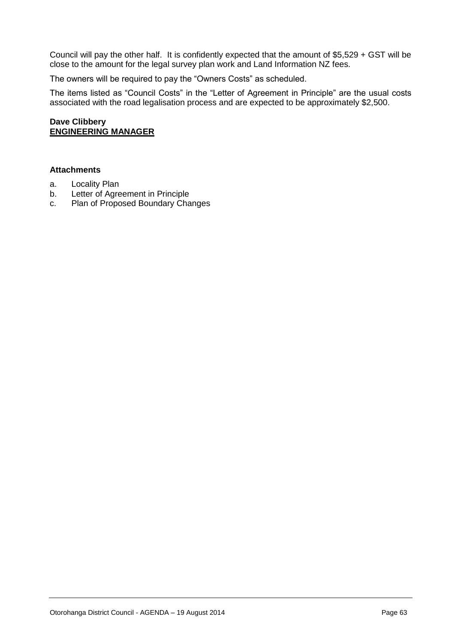Council will pay the other half. It is confidently expected that the amount of \$5,529 + GST will be close to the amount for the legal survey plan work and Land Information NZ fees.

The owners will be required to pay the "Owners Costs" as scheduled.

The items listed as "Council Costs" in the "Letter of Agreement in Principle" are the usual costs associated with the road legalisation process and are expected to be approximately \$2,500.

#### **Dave Clibbery ENGINEERING MANAGER**

#### **Attachments**

- a. Locality Plan
- b. Letter of Agreement in Principle
- c. Plan of Proposed Boundary Changes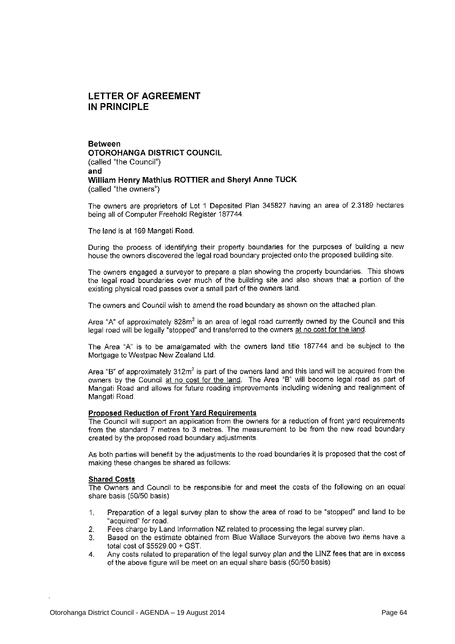#### **LETTER OF AGREEMENT** IN PRINCIPLE

**Between OTOROHANGA DISTRICT COUNCIL** (called "the Council") and William Henry Mathius ROTTIER and Sheryl Anne TUCK (called "the owners")

The owners are proprietors of Lot 1 Deposited Plan 345827 having an area of 2.3189 hectares being all of Computer Freehold Register 187744.

The land is at 169 Mangati Road.

During the process of identifying their property boundaries for the purposes of building a new house the owners discovered the legal road boundary projected onto the proposed building site.

The owners engaged a surveyor to prepare a plan showing the property boundaries. This shows the legal road boundaries over much of the building site and also shows that a portion of the existing physical road passes over a small part of the owners land.

The owners and Council wish to amend the road boundary as shown on the attached plan.

Area "A" of approximately 828m<sup>2</sup> is an area of legal road currently owned by the Council and this legal road will be legally "stopped" and transferred to the owners at no cost for the land.

The Area "A" is to be amalgamated with the owners land title 187744 and be subject to the Mortgage to Westpac New Zealand Ltd.

Area "B" of approximately 312m<sup>2</sup> is part of the owners land and this land will be acquired from the owners by the Council at no cost for the land. The Area "B" will become legal road as part of Mangati Road and allows for future roading improvements including widening and realignment of Mangati Road.

#### **Proposed Reduction of Front Yard Requirements**

The Council will support an application from the owners for a reduction of front yard requirements from the standard 7 metres to 3 metres. The measurement to be from the new road boundary created by the proposed road boundary adjustments.

As both parties will benefit by the adjustments to the road boundaries it is proposed that the cost of making these changes be shared as follows:

#### **Shared Costs**

The Owners and Council to be responsible for and meet the costs of the following on an equal share basis (50/50 basis)

- Preparation of a legal survey plan to show the area of road to be "stopped" and land to be  $\mathbf 1$ . "acquired" for road.
- Fees charge by Land Information NZ related to processing the legal survey plan.  $\overline{2}$ .
- Based on the estimate obtained from Blue Wallace Surveyors the above two items have a 3. total cost of \$5529.00 + GST.
- Any costs related to preparation of the legal survey plan and the LINZ fees that are in excess 4. of the above figure will be meet on an equal share basis (50/50 basis)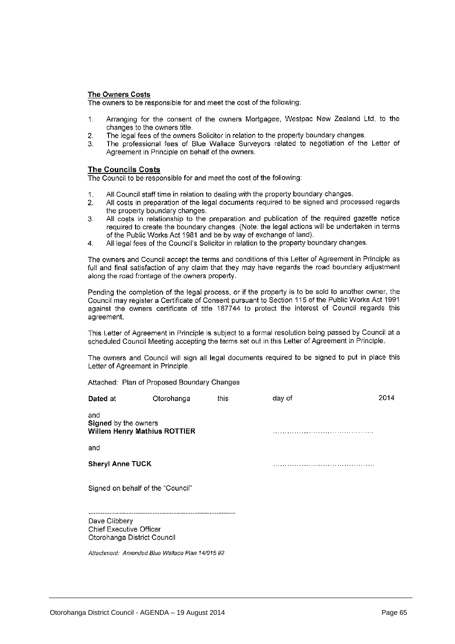#### The Owners Costs

The owners to be responsible for and meet the cost of the following:

- Arranging for the consent of the owners Mortgagee, Westpac New Zealand Ltd, to the  $\mathbf{1}$ changes to the owners title.
- The legal fees of the owners Solicitor in relation to the property boundary changes.  $\overline{2}$ .
- The professional fees of Blue Wallace Surveyors related to negotiation of the Letter of  $\mathcal{R}$ Agreement in Principle on behalf of the owners.

#### **The Councils Costs**

The Council to be responsible for and meet the cost of the following:

- All Council staff time in relation to dealing with the property boundary changes.  $\overline{1}$ .
- All costs in preparation of the legal documents required to be signed and processed regards  $\overline{2}$ . the property boundary changes.
- All costs in relationship to the preparation and publication of the required gazette notice  $\overline{3}$ . required to create the boundary changes. (Note: the legal actions will be undertaken in terms of the Public Works Act 1981 and be by way of exchange of land).
- All legal fees of the Council's Solicitor in relation to the property boundary changes.  $\mathbf{A}$

The owners and Council accept the terms and conditions of this Letter of Agreement in Principle as full and final satisfaction of any claim that they may have regards the road boundary adjustment along the road frontage of the owners property.

Pending the completion of the legal process, or if the property is to be sold to another owner, the Council may register a Certificate of Consent pursuant to Section 115 of the Public Works Act 1991 against the owners certificate of title 187744 to protect the interest of Council regards this agreement.

This Letter of Agreement in Principle is subject to a formal resolution being passed by Council at a scheduled Council Meeting accepting the terms set out in this Letter of Agreement in Principle.

The owners and Council will sign all legal documents required to be signed to put in place this Letter of Agreement in Principle.

Attached: Plan of Proposed Boundary Changes

| Dated at                                                                       | Otorohanga                                      | this | day of | 2014 |
|--------------------------------------------------------------------------------|-------------------------------------------------|------|--------|------|
| and<br>Signed by the owners<br><b>Willem Henry Mathius ROTTIER</b>             |                                                 |      |        |      |
| and                                                                            |                                                 |      |        |      |
| <b>Sheryl Anne TUCK</b>                                                        |                                                 |      |        |      |
| Signed on behalf of the "Council"                                              |                                                 |      |        |      |
| Dave Clibbery<br><b>Chief Executive Officer</b><br>Otorohanga District Council |                                                 |      |        |      |
|                                                                                | Attachment: Amended Blue Wallace Plan 14/015 #2 |      |        |      |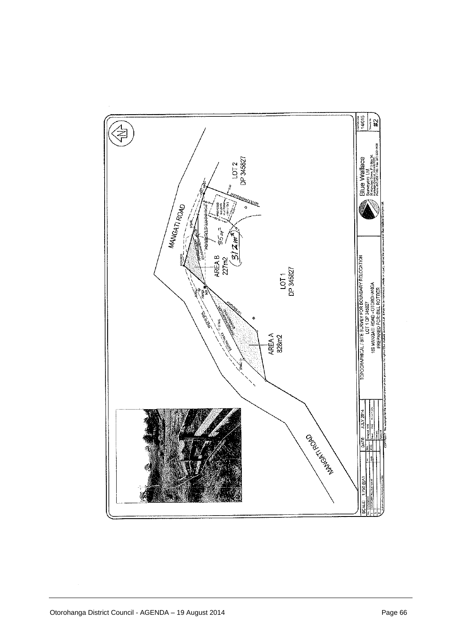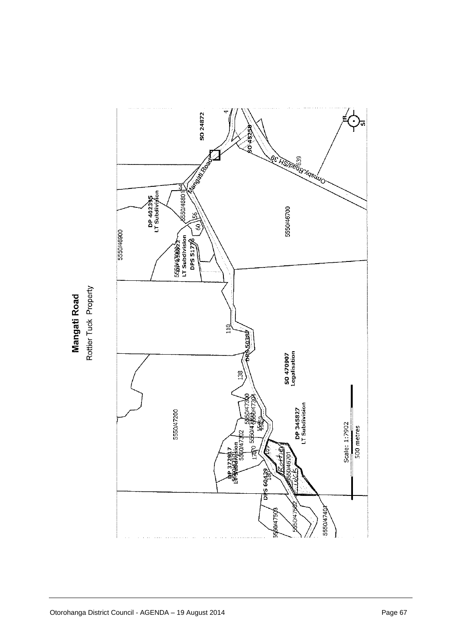

Rottier Tuck Property Mangati Road